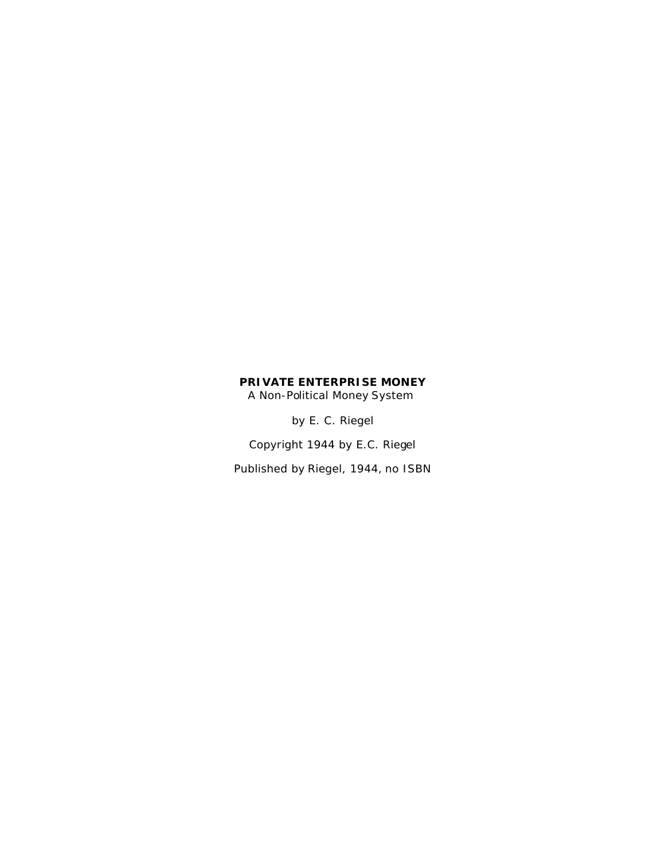## **PRIVATE ENTERPRISE MONEY** A Non-Political Money System

by E. C. Riegel

Copyright 1944 by E.C. Riegel

Published by Riegel, 1944, no ISBN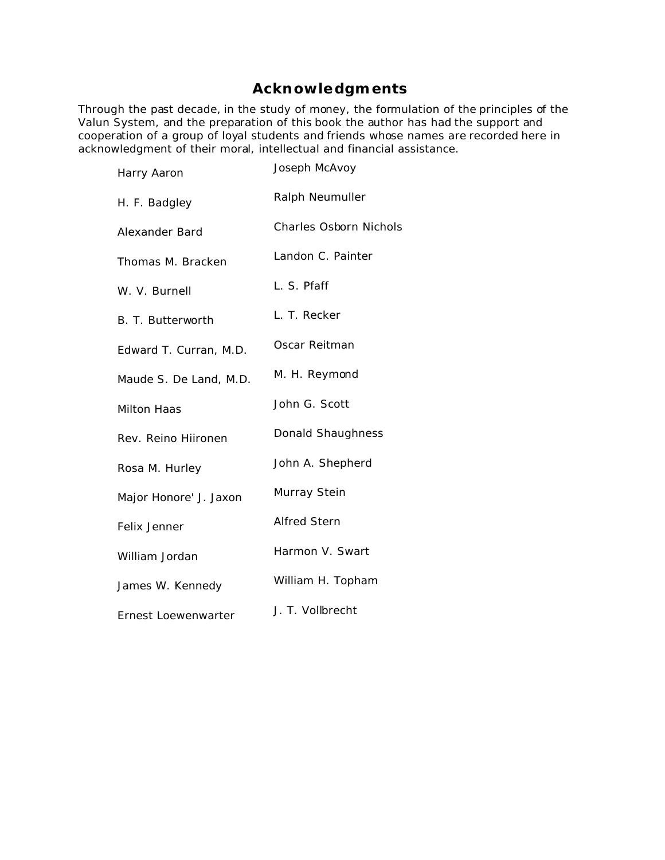# **Acknowledgments**

Through the past decade, in the study of money, the formulation of the principles of the Valun System, and the preparation of this book the author has had the support and cooperation of a group of loyal students and friends whose names are recorded here in acknowledgment of their moral, intellectual and financial assistance.

| Harry Aaron            | Joseph McAvoy                 |
|------------------------|-------------------------------|
| H. F. Badgley          | Ralph Neumuller               |
| Alexander Bard         | <b>Charles Osborn Nichols</b> |
| Thomas M. Bracken      | Landon C. Painter             |
| W. V. Burnell          | L. S. Pfaff                   |
| B. T. Butterworth      | L. T. Recker                  |
| Edward T. Curran, M.D. | Oscar Reitman                 |
| Maude S. De Land, M.D. | M. H. Reymond                 |
| <b>Milton Haas</b>     | John G. Scott                 |
| Rev. Reino Hiironen    | Donald Shaughness             |
| Rosa M. Hurley         | John A. Shepherd              |
| Major Honore' J. Jaxon | Murray Stein                  |
| Felix Jenner           | <b>Alfred Stern</b>           |
| William Jordan         | Harmon V. Swart               |
| James W. Kennedy       | William H. Topham             |
| Ernest Loewenwarter    | J. T. Vollbrecht              |
|                        |                               |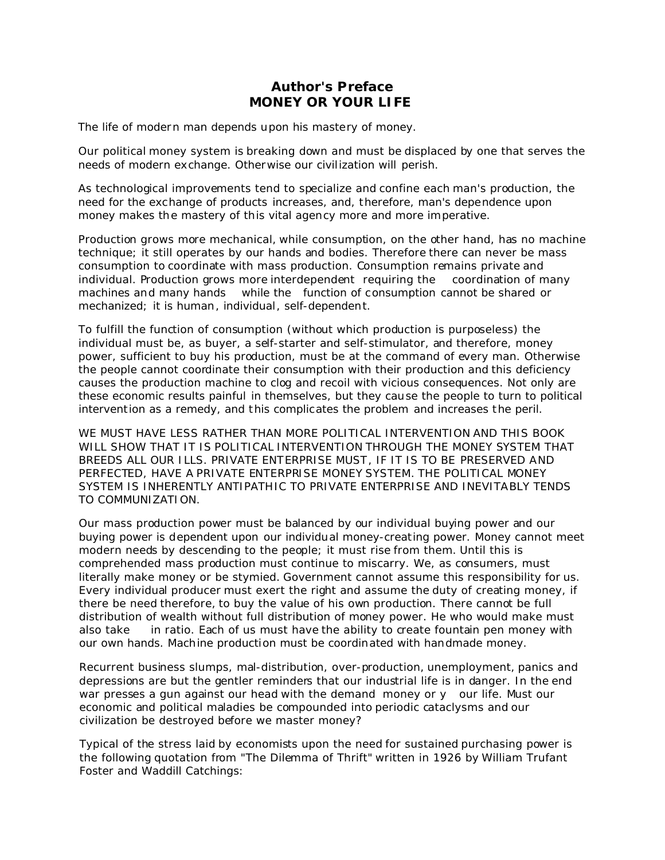## **Author's Preface MONEY OR YOUR LIFE**

The life of modern man depends upon his mastery of money.

Our political money system is breaking down and must be displaced by one that serves the needs of modern exchange. Otherwise our civilization will perish.

As technological improvements tend to specialize and confine each man's production, the need for the exchange of products increases, and, therefore, man's dependence upon money makes the mastery of this vital agency more and more imperative.

Production grows more mechanical, while consumption, on the other hand, has no machine technique; it still operates by our hands and bodies. Therefore there can never be mass consumption to coordinate with mass production. Consumption remains private and individual. Production grows more interdependent requiring the coordination of many machines and many hands while the function of consumption cannot be shared or mechanized; it is human, individual, self-dependent.

To fulfill the function of consumption (without which production is purposeless) the individual must be, as buyer, a self-starter and self-stimulator, and therefore, money power, sufficient to buy his production, must be at the command of every man. Otherwise the people cannot coordinate their consumption with their production and this deficiency causes the production machine to clog and recoil with vicious consequences. Not only are these economic results painful in themselves, but they cause the people to turn to political intervention as a remedy, and this complicates the problem and increases the peril.

WE MUST HAVE LESS RATHER THAN MORE POLITICAL INTERVENTION AND THIS BOOK WILL SHOW THAT IT IS POLITICAL INTERVENTION THROUGH THE MONEY SYSTEM THAT BREEDS ALL OUR ILLS. PRIVATE ENTERPRISE MUST, IF IT IS TO BE PRESERVED AND PERFECTED, HAVE A PRIVATE ENTERPRISE MONEY SYSTEM. THE POLITICAL MONEY SYSTEM IS INHERENTLY ANTIPATHIC TO PRIVATE ENTERPRISE AND INEVITABLY TENDS TO COMMUNIZATION.

Our mass production power must be balanced by our individual buying power and our buying power is dependent upon our individual money-creating power. *Money cannot meet modern needs by descending to the people; it must rise from them.* Until this is comprehended mass production must continue to miscarry. We, as consumers, must literally make money or be stymied. Government cannot assume this responsibility for us. Every individual producer must exert the right and assume the duty of creating money, if there be need therefore, to buy the value of his own production. There cannot be full distribution of wealth without full distribution of money power. He who would make must also take in ratio. Each of us must have the ability to create fountain pen money with our own hands. Machine production must be coordinated with handmade money.

Recurrent business slumps, mal-distribution, over-production, unemployment, panics and depressions are but the gentler reminders that our industrial life is in danger. In the end war presses a gun against our head with the demand money or y our life. Must our economic and political maladies be compounded into periodic cataclysms and our civilization be destroyed before we master money?

Typical of the stress laid by economists upon the need for sustained purchasing power is the following quotation from "The Dilemma of Thrift" written in 1926 by William Trufant Foster and Waddill Catchings: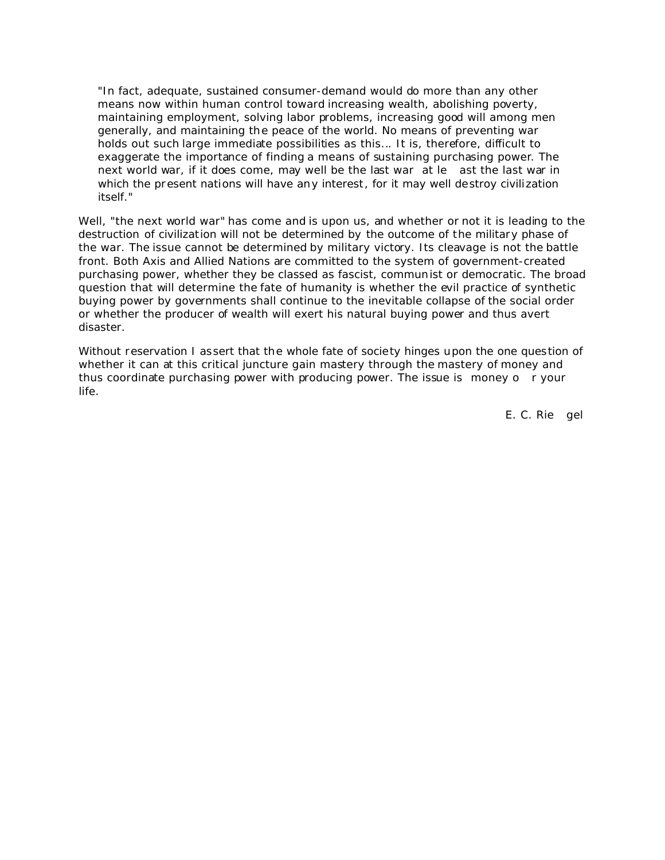"In fact, adequate, sustained consumer-demand would do more than any other means now within human control toward increasing wealth, abolishing poverty, maintaining employment, solving labor problems, increasing good will among men generally, and maintaining the peace of the world. No means of preventing war holds out such large immediate possibilities as this... It is, therefore, difficult to exaggerate the importance of finding a means of sustaining purchasing power. The next world war, if it does come, may well be the last war at le ast the last war in which the present nations will have any interest, for it may well destroy civilization itself."

Well, "the next world war" has come and is upon us, and whether or not it is leading to the destruction of civilization will not be determined by the outcome of the military phase of the war. The issue cannot be determined by military victory. Its cleavage is not the battle front. Both Axis and Allied Nations are committed to the system of government-created purchasing power, whether they be classed as fascist, communist or democratic. The broad question that will determine the fate of humanity is whether the evil practice of synthetic buying power by governments shall continue to the inevitable collapse of the social order or whether the producer of wealth will exert his natural buying power and thus avert disaster.

Without reservation I assert that the whole fate of society hinges upon the one question of whether it can at this critical juncture gain mastery through the mastery of money and thus coordinate purchasing power with producing power. The issue is money o r your life.

E. C. Rie gel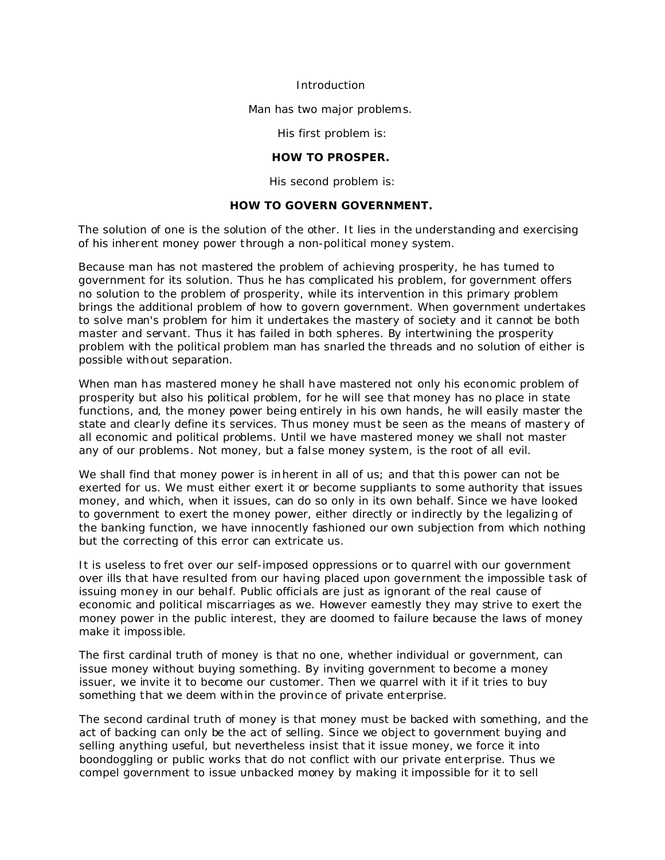Introduction

Man has two major problems.

His first problem is:

**HOW TO PROSPER.**

His second problem is:

## **HOW TO GOVERN GOVERNMENT.**

The solution of one is the solution of the other. It lies in the understanding and exercising of his inherent money power through a non-political money system.

Because man has not mastered the problem of achieving prosperity, he has turned to government for its solution. Thus he has complicated his problem, for government offers no solution to the problem of prosperity, while its intervention in this primary problem brings the additional problem of how to govern government. When government undertakes to solve man's problem for him it undertakes the mastery of society and it cannot be both master and servant. Thus it has failed in both spheres. By intertwining the prosperity problem with the political problem man has snarled the threads and no solution of either is possible without separation.

When man has mastered money he shall have mastered not only his economic problem of prosperity but also his political problem, for he will see that money has no place in state functions, and, the money power being entirely in his own hands, he will easily master the state and clearly define its services. Thus money must be seen as the means of mastery of all economic and political problems. Until we have mastered money we shall not master any of our problems. Not money, but a false money system, is the root of all evil.

We shall find that money power is inherent in all of us; and that this power can not be exerted for us. We must either exert it or become suppliants to some authority that issues money, and which, when it issues, can do so only in its own behalf. Since we have looked to government to exert the money power, either directly or indirectly by the legalizing of the banking function, we have innocently fashioned our own subjection from which nothing but the correcting of this error can extricate us.

It is useless to fret over our self-imposed oppressions or to quarrel with our government over ills that have resulted from our having placed upon government the impossible task of issuing money in our behalf. Public officials are just as ignorant of the real cause of economic and political miscarriages as we. However earnestly they may strive to exert the money power in the public interest, they are doomed to failure because the laws of money make it impossible.

The first cardinal truth of money is that no one, whether individual or government, can issue money without buying something. By inviting government to become a money issuer, we invite it to become our customer. Then we quarrel with it if it tries to buy something that we deem within the province of private enterprise.

The second cardinal truth of money is that money must be backed with something, and the act of backing can only be the act of selling. Since we object to government buying and selling anything useful, but nevertheless insist that it issue money, we force it into boondoggling or public works that do not conflict with our private enterprise. Thus we compel government to issue unbacked money by making it impossible for it to sell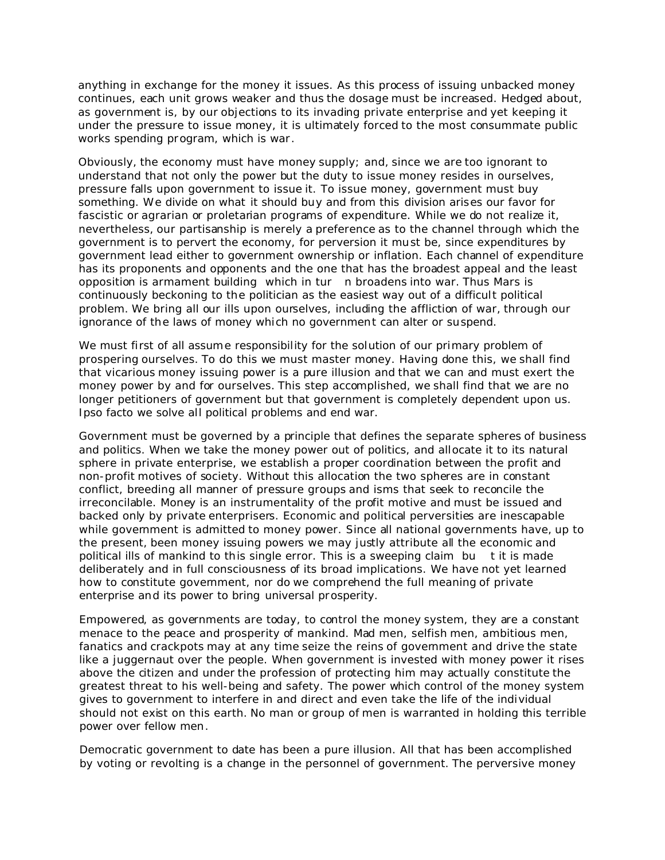anything in exchange for the money it issues. As this process of issuing unbacked money continues, each unit grows weaker and thus the dosage must be increased. Hedged about, as government is, by our objections to its invading private enterprise and yet keeping it under the pressure to issue money, it is ultimately forced to the most consummate public works spending program, which is war.

Obviously, the economy must have money supply; and, since we are too ignorant to understand that not only the power but the duty to issue money resides in ourselves, pressure falls upon government to issue it. To issue money, government must buy something. We divide on what it should buy and from this division arises our favor for fascistic or agrarian or proletarian programs of expenditure. While we do not realize it, nevertheless, our partisanship is merely a preference as to the channel through which the government is to pervert the economy, for perversion it must be, since expenditures by government lead either to government ownership or inflation. Each channel of expenditure has its proponents and opponents and the one that has the broadest appeal and the least opposition is armament building which in tur n broadens into war. Thus Mars is continuously beckoning to the politician as the easiest way out of a difficult political problem. We bring all our ills upon ourselves, including the affliction of war, through our ignorance of the laws of money which no government can alter or suspend.

We must first of all assume responsibility for the solution of our primary problem of prospering ourselves. To do this we must master money. Having done this, we shall find that vicarious money issuing power is a pure illusion and that we can and must exert the money power by and for ourselves. This step accomplished, we shall find that we are no longer petitioners of government but that government is completely dependent upon us. Ipso facto we solve all political problems and end war.

Government must be governed by a principle that defines the separate spheres of business and politics. When we take the money power out of politics, and allocate it to its natural sphere in private enterprise, we establish a proper coordination between the profit and non-profit motives of society. Without this allocation the two spheres are in constant conflict, breeding all manner of pressure groups and isms that seek to reconcile the irreconcilable. Money is an instrumentality of the profit motive and must be issued and backed only by private enterprisers. Economic and political perversities are inescapable while government is admitted to money power. Since all national governments have, up to the present, been money issuing powers we may justly attribute all the economic and political ills of mankind to this single error. This is a sweeping claim bu t it is made deliberately and in full consciousness of its broad implications. We have not yet learned how to constitute government, nor do we comprehend the full meaning of private enterprise and its power to bring universal prosperity.

Empowered, as governments are today, to control the money system, they are a constant menace to the peace and prosperity of mankind. Mad men, selfish men, ambitious men, fanatics and crackpots may at any time seize the reins of government and drive the state like a juggernaut over the people. When government is invested with money power it rises above the citizen and under the profession of protecting him may actually constitute the greatest threat to his well-being and safety. The power which control of the money system gives to government to interfere in and direct and even take the life of the individual should not exist on this earth. No man or group of men is warranted in holding this terrible power over fellow men.

Democratic government to date has been a pure illusion. All that has been accomplished by voting or revolting is a change in the personnel of government. The perversive money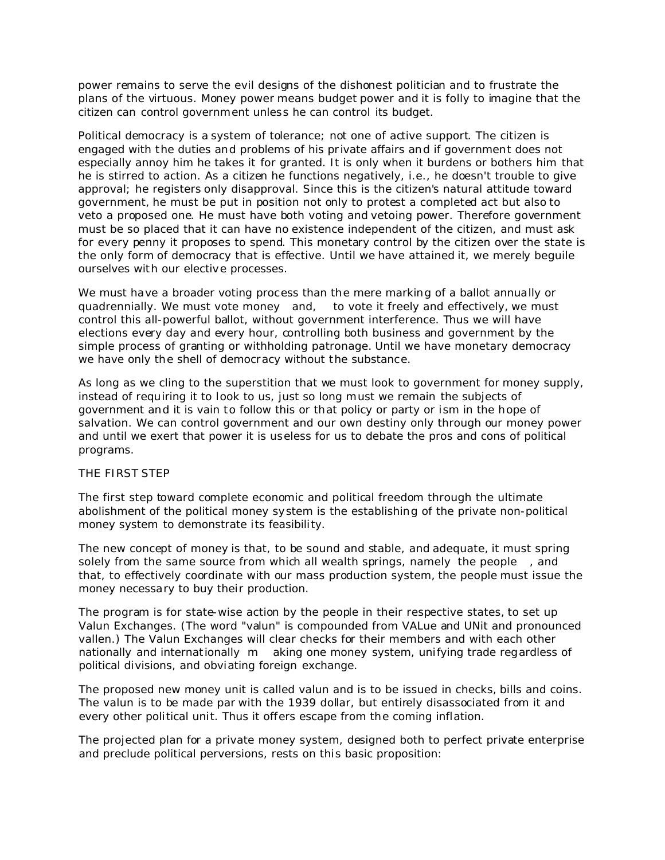power remains to serve the evil designs of the dishonest politician and to frustrate the plans of the virtuous. Money power means budget power and it is folly to imagine that the citizen can control government unless he can control its budget.

Political democracy is a system of tolerance; not one of active support. The citizen is engaged with the duties and problems of his private affairs and if government does not especially annoy him he takes it for granted. It is only when it burdens or bothers him that he is stirred to action. As a citizen he functions negatively, i.e., he doesn't trouble to give approval; he registers only disapproval. Since this is the citizen's natural attitude toward government, he must be put in position not only to protest a completed act but also to veto a proposed one. He must have both voting and vetoing power. Therefore government must be so placed that it can have no existence independent of the citizen, and must ask for every penny it proposes to spend. This monetary control by the citizen over the state is the only form of democracy that is effective. Until we have attained it, we merely beguile ourselves with our elective processes.

We must have a broader voting process than the mere marking of a ballot annually or quadrennially. We must vote money and, to vote it freely and effectively, we must control this all-powerful ballot, without government interference. Thus we will have elections every day and every hour, controlling both business and government by the simple process of granting or withholding patronage. Until we have monetary democracy we have only the shell of democracy without the substance.

As long as we cling to the superstition that we must look to government for money supply, instead of requiring it to look to us, just so long must we remain the subjects of government and it is vain to follow this or that policy or party or ism in the hope of salvation. We can control government and our own destiny only through our money power and until we exert that power it is useless for us to debate the pros and cons of political programs.

#### THE FIRST STEP

The first step toward complete economic and political freedom through the ultimate abolishment of the political money system is the establishing of the private non-political money system to demonstrate its feasibility.

The new concept of money is that, to be sound and stable, and adequate, it must spring solely from the same source from which all wealth springs, namely the people , and that, to effectively coordinate with our mass production system, the people must issue the money necessary to buy their production.

The program is for state-wise action by the people in their respective states, to set up Valun Exchanges. (The word "valun" is compounded from VALue and UNit and pronounced vallen.) The Valun Exchanges will clear checks for their members and with each other nationally and internationally m aking one money system, unifying trade regardless of political divisions, and obviating foreign exchange.

The proposed new money unit is called valun and is to be issued in checks, bills and coins. The valun is to be made par with the 1939 dollar, but entirely disassociated from it and every other political unit. Thus it offers escape from the coming inflation.

The projected plan for a private money system, designed both to perfect private enterprise and preclude political perversions, rests on this basic proposition: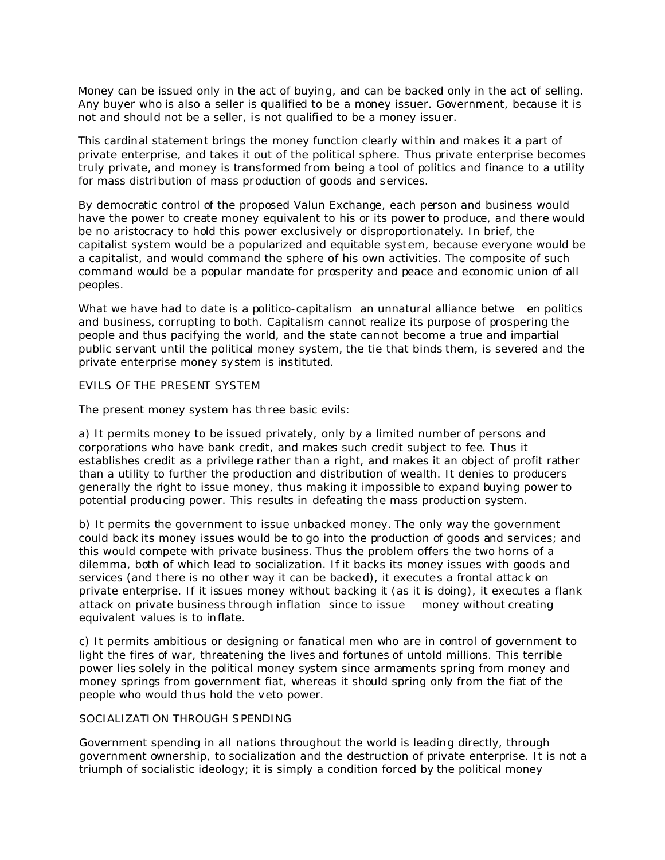Money can be issued only in the act of buying, and can be backed only in the act of selling. Any buyer who is also a seller is qualified to be a money issuer. Government, because it is not and should not be a seller, is not qualified to be a money issuer.

This cardinal statement brings the money function clearly within and makes it a part of private enterprise, and takes it out of the political sphere. Thus private enterprise becomes truly private, and money is transformed from being a tool of politics and finance to a utility for mass distribution of mass production of goods and services.

By democratic control of the proposed Valun Exchange, each person and business would have the power to create money equivalent to his or its power to produce, and there would be no aristocracy to hold this power exclusively or disproportionately. In brief, the capitalist system would be a popularized and equitable system, because everyone would be a capitalist, and would command the sphere of his own activities. The composite of such command would be a popular mandate for prosperity and peace and economic union of all peoples.

What we have had to date is a politico-capitalism an unnatural alliance betwe en politics and business, corrupting to both. Capitalism cannot realize its purpose of prospering the people and thus pacifying the world, and the state cannot become a true and impartial public servant until the political money system, the tie that binds them, is severed and the private enterprise money system is instituted.

#### EVILS OF THE PRESENT SYSTEM

The present money system has three basic evils:

a) It permits money to be issued privately, only by a limited number of persons and corporations who have bank credit, and makes such credit subject to fee. Thus it establishes credit as a privilege rather than a right, and makes it an object of profit rather than a utility to further the production and distribution of wealth. It denies to producers generally the right to issue money, thus making it impossible to expand buying power to potential producing power. This results in defeating the mass production system.

b) It permits the government to issue unbacked money. The only way the government could back its money issues would be to go into the production of goods and services; and this would compete with private business. Thus the problem offers the two horns of a dilemma, both of which lead to socialization. If it backs its money issues with goods and services (and there is no other way it can be backed), it executes a frontal attack on private enterprise. If it issues money without backing it (as it is doing), it executes a flank attack on private business through inflation since to issue money without creating equivalent values is to inflate.

c) It permits ambitious or designing or fanatical men who are in control of government to light the fires of war, threatening the lives and fortunes of untold millions. This terrible power lies solely in the political money system since armaments spring from money and money springs from government fiat, whereas it should spring only from the fiat of the people who would thus hold the veto power.

## SOCIALIZATION THROUGH SPENDING

Government spending in all nations throughout the world is leading directly, through government ownership, to socialization and the destruction of private enterprise. It is not a triumph of socialistic ideology; it is simply a condition forced by the political money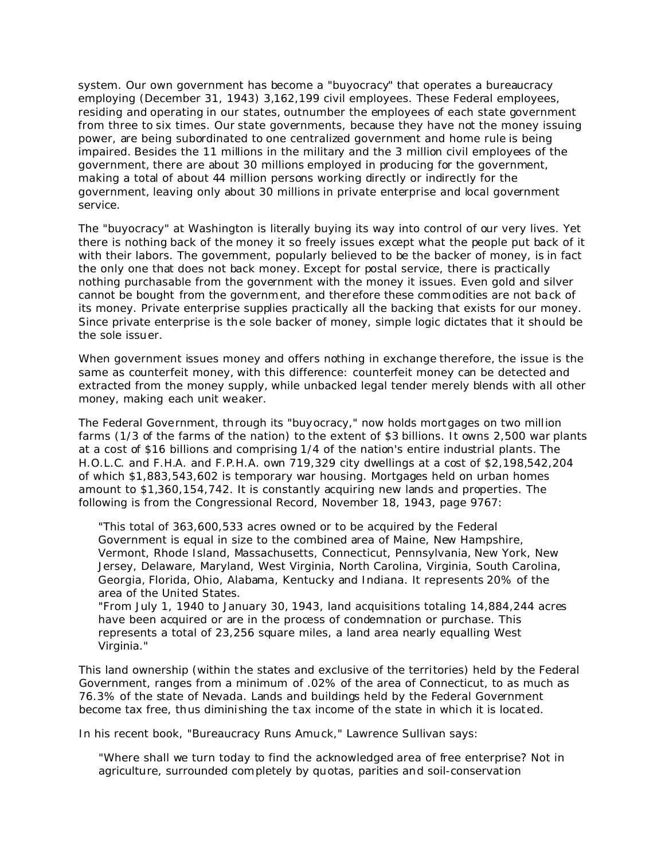system. Our own government has become a "buyocracy" that operates a bureaucracy employing (December 31, 1943) 3,162,199 civil employees. These Federal employees, residing and operating in our states, outnumber the employees of each state government from three to six times. Our state governments, because they have not the money issuing power, are being subordinated to one centralized government and home rule is being impaired. Besides the 11 millions in the military and the 3 million civil employees of the government, there are about 30 millions employed in producing for the government, making a total of about 44 million persons working directly or indirectly for the government, leaving only about 30 millions in private enterprise and local government service.

The "buyocracy" at Washington is literally buying its way into control of our very lives. Yet there is nothing back of the money it so freely issues except what the people put back of it with their labors. The government, popularly believed to be the backer of money, is in fact the only one that does not back money. Except for postal service, there is practically nothing purchasable from the government with the money it issues. Even gold and silver cannot be bought from the government, and therefore these commodities are not back of its money. Private enterprise supplies practically all the backing that exists for our money. Since private enterprise is the sole backer of money, simple logic dictates that it should be the sole issuer.

When government issues money and offers nothing in exchange therefore, the issue is the same as counterfeit money, with this difference: counterfeit money can be detected and extracted from the money supply, while unbacked legal tender merely blends with all other money, making each unit weaker.

The Federal Government, through its "buyocracy," now holds mortgages on two million farms (1/3 of the farms of the nation) to the extent of \$3 billions. It owns 2,500 war plants at a cost of \$16 billions and comprising 1/4 of the nation's entire industrial plants. The H.O.L.C. and F.H.A. and F.P.H.A. own 719,329 city dwellings at a cost of \$2,198,542,204 of which \$1,883,543,602 is temporary war housing. Mortgages held on urban homes amount to \$1,360,154,742. It is constantly acquiring new lands and properties. The following is from the Congressional Record, November 18, 1943, page 9767:

"This total of 363,600,533 acres owned or to be acquired by the Federal Government is equal in size to the combined area of Maine, New Hampshire, Vermont, Rhode Island, Massachusetts, Connecticut, Pennsylvania, New York, New Jersey, Delaware, Maryland, West Virginia, North Carolina, Virginia, South Carolina, Georgia, Florida, Ohio, Alabama, Kentucky and Indiana. It represents 20% of the area of the United States.

"From July 1, 1940 to January 30, 1943, land acquisitions totaling 14,884,244 acres have been acquired or are in the process of condemnation or purchase. This represents a total of 23,256 square miles, a land area nearly equalling West Virginia."

This land ownership (within the states and exclusive of the territories) held by the Federal Government, ranges from a minimum of .02% of the area of Connecticut, to as much as 76.3% of the state of Nevada. Lands and buildings held by the Federal Government become tax free, thus diminishing the tax income of the state in which it is located.

In his recent book, "Bureaucracy Runs Amuck," Lawrence Sullivan says:

"Where shall we turn today to find the acknowledged area of free enterprise? Not in agriculture, surrounded completely by quotas, parities and soil-conservation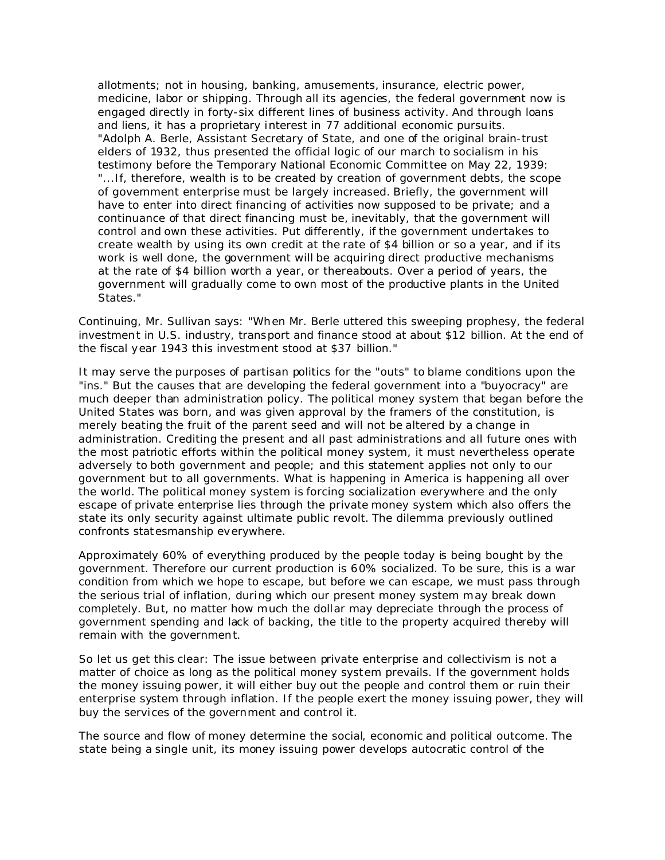allotments; not in housing, banking, amusements, insurance, electric power, medicine, labor or shipping. Through all its agencies, the federal government now is engaged directly in forty-six different lines of business activity. And through loans and liens, it has a proprietary interest in 77 additional economic pursuits. "Adolph A. Berle, Assistant Secretary of State, and one of the original brain-trust elders of 1932, thus presented the official logic of our march to socialism in his testimony before the Temporary National Economic Committee on May 22, 1939: "...If, therefore, wealth is to be created by creation of government debts, the scope of government enterprise must be largely increased. Briefly, the government will have to enter into direct financing of activities now supposed to be private; and a continuance of that direct financing must be, inevitably, that the government will control and own these activities. Put differently, if the government undertakes to create wealth by using its own credit at the rate of \$4 billion or so a year, and if its work is well done, the government will be acquiring direct productive mechanisms at the rate of \$4 billion worth a year, or thereabouts. Over a period of years, the government will gradually come to own most of the productive plants in the United States."

Continuing, Mr. Sullivan says: "When Mr. Berle uttered this sweeping prophesy, the federal investment in U.S. industry, transport and finance stood at about \$12 billion. At the end of the fiscal year 1943 this investment stood at \$37 billion."

It may serve the purposes of partisan politics for the "outs" to blame conditions upon the "ins." But the causes that are developing the federal government into a "buyocracy" are much deeper than administration policy. The political money system that began before the United States was born, and was given approval by the framers of the constitution, is merely beating the fruit of the parent seed and will not be altered by a change in administration. Crediting the present and all past administrations and all future ones with the most patriotic efforts within the political money system, it must nevertheless operate adversely to both government and people; and this statement applies not only to our government but to all governments. What is happening in America is happening all over the world. The political money system is forcing socialization everywhere and the only escape of private enterprise lies through the private money system which also offers the state its only security against ultimate public revolt. The dilemma previously outlined confronts statesmanship everywhere.

Approximately 60% of everything produced by the people today is being bought by the government. Therefore our current production is 60% socialized. To be sure, this is a war condition from which we hope to escape, but before we can escape, we must pass through the serious trial of inflation, during which our present money system may break down completely. But, no matter how much the dollar may depreciate through the process of government spending and lack of backing, the title to the property acquired thereby will remain with the government.

So let us get this clear: The issue between private enterprise and collectivism is not a matter of choice as long as the political money system prevails. If the government holds the money issuing power, it will either buy out the people and control them or ruin their enterprise system through inflation. If the people exert the money issuing power, they will buy the services of the government and control it.

The source and flow of money determine the social, economic and political outcome. The state being a single unit, its money issuing power develops autocratic control of the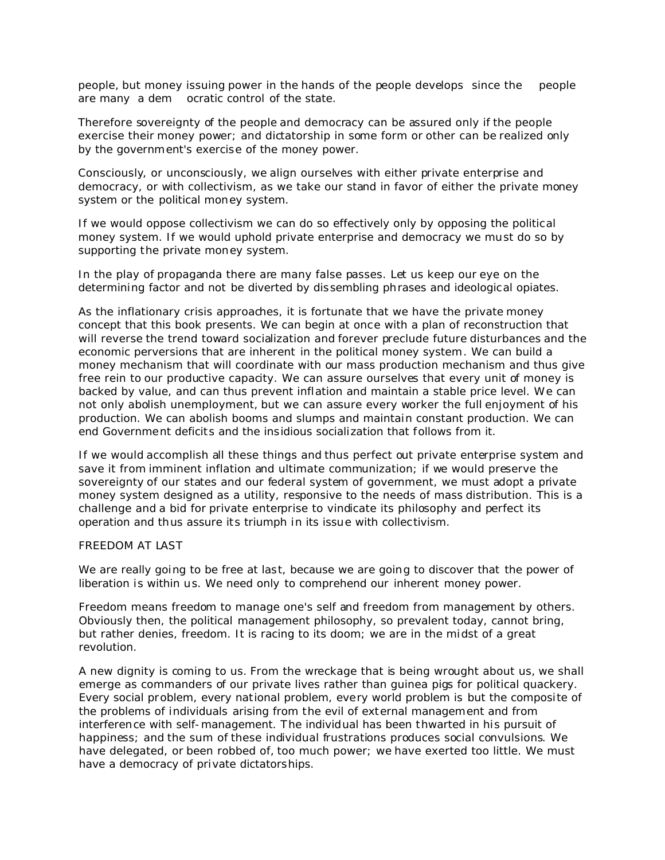people, but money issuing power in the hands of the people develops since the people are many a dem ocratic control of the state.

Therefore sovereignty of the people and democracy can be assured only if the people exercise their money power; and dictatorship in some form or other can be realized only by the government's exercise of the money power.

Consciously, or unconsciously, we align ourselves with either private enterprise and democracy, or with collectivism, as we take our stand in favor of either the private money system or the political money system.

If we would oppose collectivism we can do so effectively only by opposing the political money system. If we would uphold private enterprise and democracy we must do so by supporting the private money system.

In the play of propaganda there are many false passes. Let us keep our eye on the determining factor and not be diverted by dissembling phrases and ideological opiates.

As the inflationary crisis approaches, it is fortunate that we have the private money concept that this book presents. We can begin at once with a plan of reconstruction that will reverse the trend toward socialization and forever preclude future disturbances and the economic perversions that are inherent in the political money system. We can build a money mechanism that will coordinate with our mass production mechanism and thus give free rein to our productive capacity. We can assure ourselves that every unit of money is backed by value, and can thus prevent inflation and maintain a stable price level. We can not only abolish unemployment, but we can assure every worker the full enjoyment of his production. We can abolish booms and slumps and maintain constant production. We can end Government deficits and the insidious socialization that follows from it.

If we would accomplish all these things and thus perfect out private enterprise system and save it from imminent inflation and ultimate communization; if we would preserve the sovereignty of our states and our federal system of government, we must adopt a private money system designed as a utility, responsive to the needs of mass distribution. This is a challenge and a bid for private enterprise to vindicate its philosophy and perfect its operation and thus assure its triumph in its issue with collectivism.

## FREEDOM AT LAST

We are really going to be free at last, because we are going to discover that the power of liberation is within us. We need only to comprehend our inherent money power.

Freedom means freedom to manage one's self and freedom from management by others. Obviously then, the political management philosophy, so prevalent today, cannot bring, but rather denies, freedom. It is racing to its doom; we are in the midst of a great revolution.

A new dignity is coming to us. From the wreckage that is being wrought about us, we shall emerge as commanders of our private lives rather than guinea pigs for political quackery. Every social problem, every national problem, every world problem is but the composite of the problems of individuals arising from the evil of external management and from interference with self-management. The individual has been thwarted in his pursuit of happiness; and the sum of these individual frustrations produces social convulsions. We have delegated, or been robbed of, too much power; we have exerted too little. We must have a democracy of private dictatorships.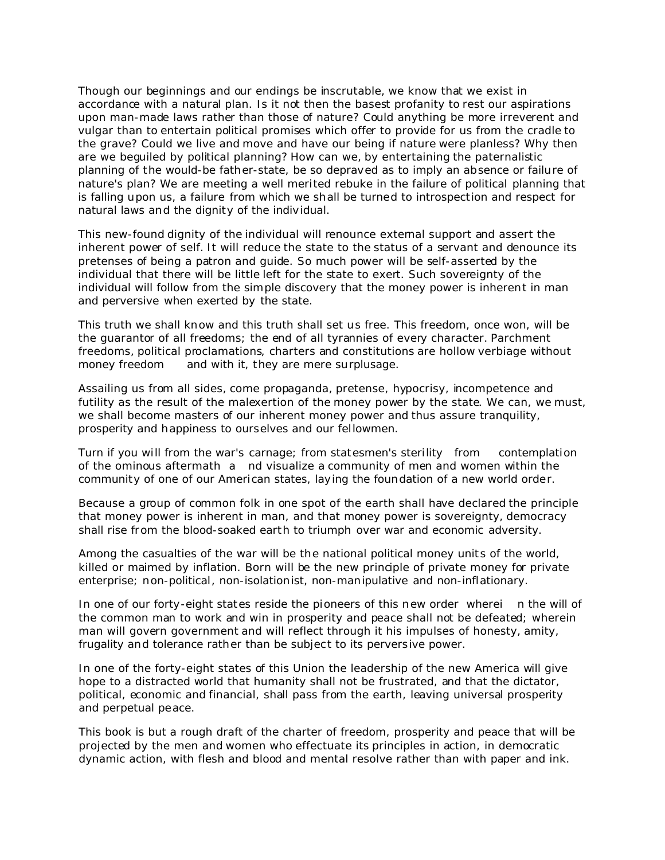Though our beginnings and our endings be inscrutable, we know that we exist in accordance with a natural plan. Is it not then the basest profanity to rest our aspirations upon man-made laws rather than those of nature? Could anything be more irreverent and vulgar than to entertain political promises which offer to provide for us from the cradle to the grave? Could we live and move and have our being if nature were planless? Why then are we beguiled by political planning? How can we, by entertaining the paternalistic planning of the would-be father-state, be so depraved as to imply an absence or failure of nature's plan? We are meeting a well merited rebuke in the failure of political planning that is falling upon us, a failure from which we shall be turned to introspection and respect for natural laws and the dignity of the individual.

This new-found dignity of the individual will renounce external support and assert the inherent power of self. It will reduce the state to the status of a servant and denounce its pretenses of being a patron and guide. So much power will be self-asserted by the individual that there will be little left for the state to exert. Such sovereignty of the individual will follow from the simple discovery that the money power is inherent in man and perversive when exerted by the state.

This truth we shall know and this truth shall set us free. This freedom, once won, will be the guarantor of all freedoms; the end of all tyrannies of every character. Parchment freedoms, political proclamations, charters and constitutions are hollow verbiage without money freedom and with it, they are mere surplusage.

Assailing us from all sides, come propaganda, pretense, hypocrisy, incompetence and futility as the result of the malexertion of the money power by the state. We can, we must, we shall become masters of our inherent money power and thus assure tranquility, prosperity and happiness to ourselves and our fellowmen.

Turn if you will from the war's carnage; from statesmen's sterility from contemplation of the ominous aftermath a nd visualize a community of men and women within the community of one of our American states, laying the foundation of a new world order.

Because a group of common folk in one spot of the earth shall have declared the principle that money power is inherent in man, and that money power is sovereignty, democracy shall rise from the blood-soaked earth to triumph over war and economic adversity.

Among the casualties of the war will be the national political money units of the world, killed or maimed by inflation. Born will be the new principle of private money for private enterprise; non-political, non-isolationist, non-manipulative and non-inflationary.

In one of our forty-eight states reside the pioneers of this new order wherei n the will of the common man to work and win in prosperity and peace shall not be defeated; wherein *man will govern government* and will reflect through it his impulses of honesty, amity, frugality and tolerance rather than be subject to its perversive power.

In one of the forty-eight states of this Union the leadership of the new America will give hope to a distracted world that humanity shall not be frustrated, and that the dictator, political, economic and financial, shall pass from the earth, leaving universal prosperity and perpetual peace.

This book is but a rough draft of the charter of freedom, prosperity and peace that will be projected by the men and women who effectuate its principles in action, in democratic dynamic action, with flesh and blood and mental resolve rather than with paper and ink.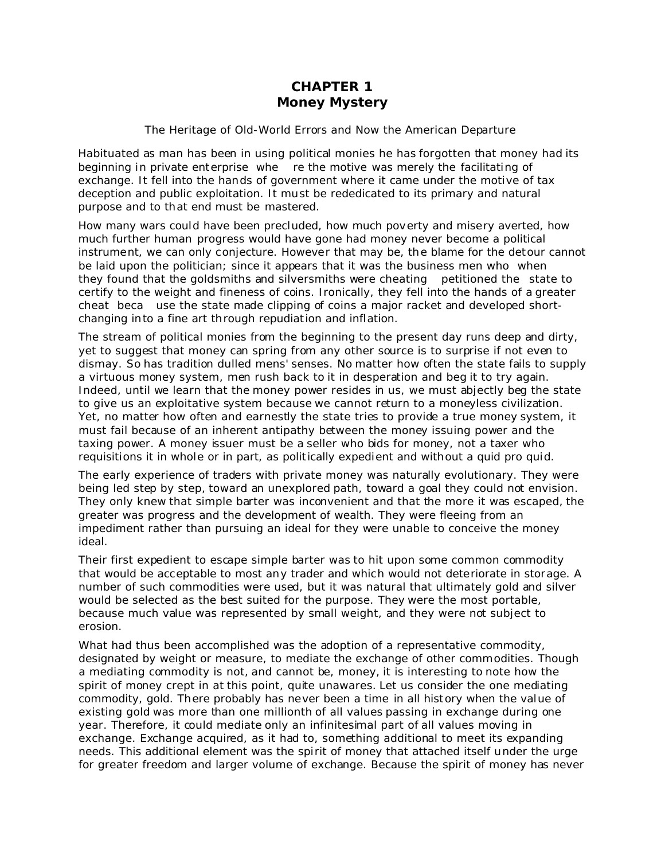## **CHAPTER 1** *Money Mystery*

## The Heritage of Old-World Errors and Now the American Departure

Habituated as man has been in using political monies he has forgotten that money had its beginning in private enterprise whe re the motive was merely the facilitating of exchange. It fell into the hands of government where it came under the motive of tax deception and public exploitation. It must be rededicated to its primary and natural purpose and to that end must be mastered.

How many wars could have been precluded, how much poverty and misery averted, how much further human progress would have gone had money never become a political instrument, we can only conjecture. However that may be, the blame for the detour cannot be laid upon the politician; since it appears that it was the business men who when they found that the goldsmiths and silversmiths were cheating petitioned the state to certify to the weight and fineness of coins. Ironically, they fell into the hands of a greater cheat beca use the state made clipping of coins a major racket and developed shortchanging into a fine art through repudiation and inflation.

The stream of political monies from the beginning to the present day runs deep and dirty, yet to suggest that money can spring from any other source is to surprise if not even to dismay. So has tradition dulled mens' senses. No matter how often the state fails to supply a virtuous money system, men rush back to it in desperation and beg it to try again. Indeed, until we learn that the money power resides in us, we must abjectly beg the state to give us an exploitative system because we cannot return to a moneyless civilization. Yet, no matter how often and earnestly the state tries to provide a true money system, it must fail because of an inherent antipathy between the money issuing power and the taxing power. A money issuer must be a seller who bids for money, not a taxer who requisitions it in whole or in part, as politically expedient and without a quid pro quid.

The early experience of traders with private money was naturally evolutionary. They were being led step by step, toward an unexplored path, toward a goal they could not envision. They only knew that simple barter was inconvenient and that the more it was escaped, the greater was progress and the development of wealth. They were fleeing from an impediment rather than pursuing an ideal for they were unable to conceive the money ideal.

Their first expedient to escape simple barter was to hit upon some common commodity that would be acceptable to most any trader and which would not deteriorate in storage. A number of such commodities were used, but it was natural that ultimately gold and silver would be selected as the best suited for the purpose. They were the most portable, because much value was represented by small weight, and they were not subject to erosion.

What had thus been accomplished was the adoption of a representative commodity, designated by weight or measure, to mediate the exchange of other commodities. Though a mediating commodity is not, and cannot be, money, it is interesting to note how the spirit of money crept in at this point, quite unawares. Let us consider the one mediating commodity, gold. There probably has never been a time in all history when the value of existing gold was more than one millionth of all values passing in exchange during one year. Therefore, it could mediate only an infinitesimal part of all values moving in exchange. Exchange acquired, as it had to, something additional to meet its expanding needs. This additional element was the spirit of money that attached itself under the urge for greater freedom and larger volume of exchange. Because the spirit of money has never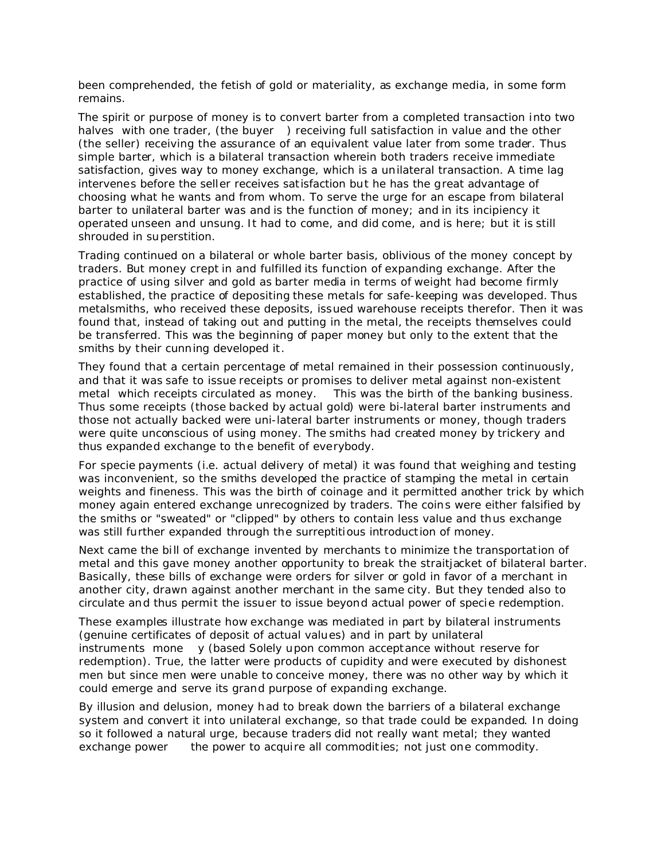been comprehended, the fetish of gold or materiality, as exchange media, in some form remains.

The spirit or purpose of money is to convert barter from a completed transaction into two halves with one trader, (the buyer) receiving full satisfaction in value and the other (the seller) receiving the assurance of an equivalent value later from some trader. Thus simple barter, which is a bilateral transaction wherein both traders receive immediate satisfaction, gives way to money exchange, which is a unilateral transaction. A time lag intervenes before the seller receives satisfaction but he has the great advantage of choosing what he wants and from whom. To serve the urge for an escape from bilateral barter to unilateral barter was and is the function of money; and in its incipiency it operated unseen and unsung. It had to come, and did come, and is here; but it is still shrouded in superstition.

Trading continued on a bilateral or whole barter basis, oblivious of the money concept by traders. But money crept in and fulfilled its function of expanding exchange. After the practice of using silver and gold as barter media in terms of weight had become firmly established, the practice of depositing these metals for safe-keeping was developed. Thus metalsmiths, who received these deposits, issued warehouse receipts therefor. Then it was found that, instead of taking out and putting in the metal, the receipts themselves could be transferred. This was the beginning of paper money but only to the extent that the smiths by their cunning developed it.

They found that a certain percentage of metal remained in their possession continuously, and that it was safe to issue receipts or promises to deliver metal against non-existent metal which receipts circulated as money. This was the birth of the banking business. Thus some receipts (those backed by actual gold) were bi-lateral barter instruments and those not actually backed were uni-lateral barter instruments or money, though traders were quite unconscious of using money. The smiths had created money by trickery and thus expanded exchange to the benefit of everybody.

For specie payments (i.e. actual delivery of metal) it was found that weighing and testing was inconvenient, so the smiths developed the practice of stamping the metal in certain weights and fineness. This was the birth of coinage and it permitted another trick by which money again entered exchange unrecognized by traders. The coins were either falsified by the smiths or "sweated" or "clipped" by others to contain less value and thus exchange was still further expanded through the surreptitious introduction of money.

Next came the bill of exchange invented by merchants to minimize the transportation of metal and this gave money another opportunity to break the straitjacket of bilateral barter. Basically, these bills of exchange were orders for silver or gold in favor of a merchant in another city, drawn against another merchant in the same city. But they tended also to circulate and thus permit the issuer to issue beyond actual power of specie redemption.

These examples illustrate how exchange was mediated in part by bilateral instruments (genuine certificates of deposit of actual values) and in part by unilateral instruments mone y (based Solely upon common acceptance without reserve for redemption). True, the latter were products of cupidity and were executed by dishonest men but since men were unable to conceive money, there was no other way by which it could emerge and serve its grand purpose of expanding exchange.

By illusion and delusion, money had to break down the barriers of a bilateral exchange system and convert it into unilateral exchange, so that trade could be expanded. In doing so it followed a natural urge, because traders did not really want metal; they wanted exchange power the power to acquire all commodities; not just one commodity.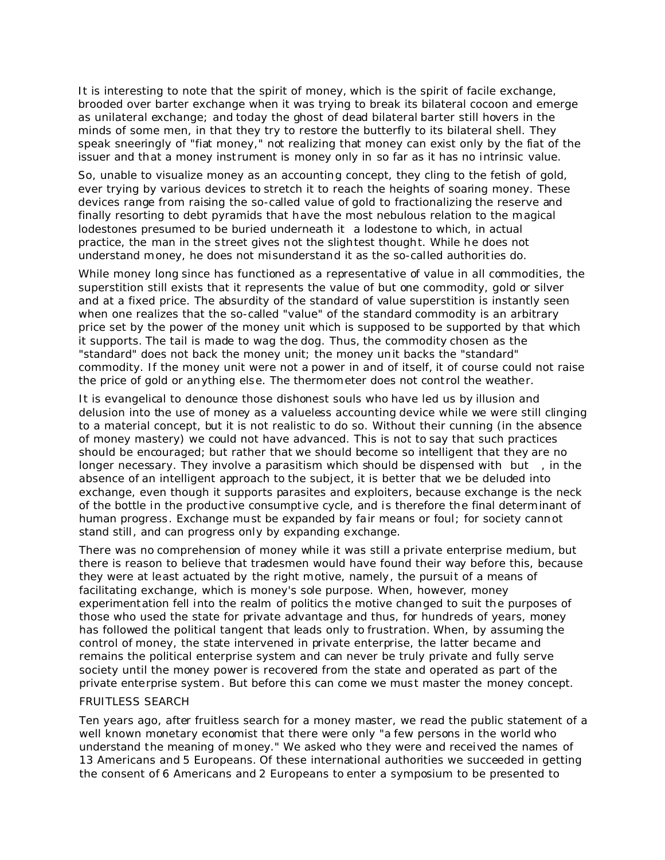It is interesting to note that the spirit of money, which is the spirit of facile exchange, brooded over barter exchange when it was trying to break its bilateral cocoon and emerge as unilateral exchange; and today the ghost of dead bilateral barter still hovers in the minds of some men, in that they try to restore the butterfly to its bilateral shell. They speak sneeringly of "fiat money," not realizing that money can exist only by the fiat of the issuer and that a money instrument is money only in so far as it has no intrinsic value.

So, unable to visualize money as an accounting concept, they cling to the fetish of gold, ever trying by various devices to stretch it to reach the heights of soaring money. These devices range from raising the so-called value of gold to fractionalizing the reserve and finally resorting to debt pyramids that have the most nebulous relation to the magical lodestones presumed to be buried underneath it a lodestone to which, in actual practice, the man in the street gives not the slightest thought. While he does not understand money, he does not misunderstand it as the so-called authorities do.

While money long since has functioned as a representative of value in all commodities, the superstition still exists that it represents the value of but one commodity, gold or silver and at a fixed price. The absurdity of the standard of value superstition is instantly seen when one realizes that the so-called "value" of the standard commodity is an arbitrary price set by the power of the money unit which is supposed to be supported by that which it supports. The tail is made to wag the dog. Thus, the commodity chosen as the "standard" does not back the money unit; the money unit backs the "standard" commodity. If the money unit were not a power in and of itself, it of course could not raise the price of gold or anything else. The thermometer does not control the weather.

It is evangelical to denounce those dishonest souls who have led us by illusion and delusion into the use of money as a valueless accounting device while we were still clinging to a material concept, but it is not realistic to do so. Without their cunning (in the absence of money mastery) we could not have advanced. This is not to say that such practices should be encouraged; but rather that we should become so intelligent that they are no longer necessary. They involve a parasitism which should be dispensed with but, in the absence of an intelligent approach to the subject, it is better that we be deluded into exchange, even though it supports parasites and exploiters, because exchange is the neck of the bottle in the productive consumptive cycle, and is therefore the final determinant of human progress. Exchange must be expanded by fair means or foul; for society cannot stand still, and can progress only by expanding exchange.

There was no comprehension of money while it was still a private enterprise medium, but there is reason to believe that tradesmen would have found their way before this, because they were at least actuated by the right motive, namely, the pursuit of a means of facilitating exchange, which is money's sole purpose. When, however, money experimentation fell into the realm of politics the motive changed to suit the purposes of those who used the state for private advantage and thus, for hundreds of years, money has followed the political tangent that leads only to frustration. When, by assuming the control of money, the state intervened in private enterprise, the latter became and remains the political enterprise system and can never be truly private and fully serve society until the money power is recovered from the state and operated as part of the private enterprise system. But before this can come we must master the money concept.

### **FRUITLESS SEARCH**

Ten years ago, after fruitless search for a money master, we read the public statement of a well known monetary economist that there were only "a few persons in the world who understand the meaning of money." We asked who they were and received the names of 13 Americans and 5 Europeans. Of these international authorities we succeeded in getting the consent of 6 Americans and 2 Europeans to enter a symposium to be presented to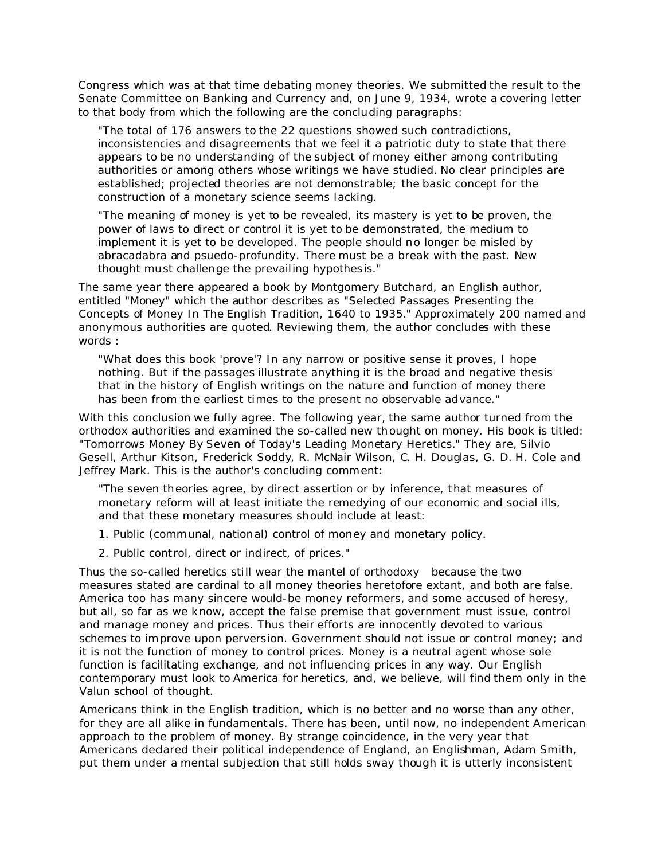Congress which was at that time debating money theories. We submitted the result to the Senate Committee on Banking and Currency and, on June 9, 1934, wrote a covering letter to that body from which the following are the concluding paragraphs:

"The total of 176 answers to the 22 questions showed such contradictions, inconsistencies and disagreements that we feel it a patriotic duty to state that there appears to be no understanding of the subject of money either among contributing authorities or among others whose writings we have studied. No clear principles are established; projected theories are not demonstrable; the basic concept for the construction of a monetary science seems lacking.

"The meaning of money is yet to be revealed, its mastery is yet to be proven, the power of laws to direct or control it is yet to be demonstrated, the medium to implement it is yet to be developed. The people should no longer be misled by abracadabra and psuedo-profundity. There must be a break with the past. New thought must challenge the prevailing hypothesis."

The same year there appeared a book by Montgomery Butchard, an English author, entitled "Money" which the author describes as "Selected Passages Presenting the Concepts of Money In The English Tradition, 1640 to 1935." Approximately 200 named and anonymous authorities are quoted. Reviewing them, the author concludes with these words :

"What does this book 'prove'? In any narrow or positive sense it proves, I hope nothing. But if the passages illustrate anything it is the broad and negative thesis that in the history of English writings on the nature and function of money there has been from the earliest times to the present no observable advance."

With this conclusion we fully agree. The following year, the same author turned from the orthodox authorities and examined the so-called new thought on money. His book is titled: "Tomorrows Money By Seven of Today's Leading Monetary Heretics." They are, Silvio Gesell, Arthur Kitson, Frederick Soddy, R. McNair Wilson, C. H. Douglas, G. D. H. Cole and Jeffrey Mark. This is the author's concluding comment:

"The seven theories agree, by direct assertion or by inference, that measures of monetary reform will at least initiate the remedying of our economic and social ills, and that these monetary measures should include at least:

- 1. Public (communal, national) control of money and monetary policy.
- 2. Public control, direct or indirect, of prices."

Thus the so-called heretics still wear the mantel of orthodoxy because the two measures stated are cardinal to all money theories heretofore extant, and both are false. America too has many sincere would-be money reformers, and some accused of heresy, but all, so far as we know, accept the false premise that government must issue, control and manage money and prices. Thus their efforts are innocently devoted to various schemes to improve upon perversion. *Government should not issue or control money; and it is not the function of money to control prices.* Money is a neutral agent whose sole function is facilitating exchange, and not influencing prices in any way. Our English contemporary must look to America for heretics, and, we believe, will find them only in the Valun school of thought.

Americans think in the English tradition, which is no better and no worse than any other, for they are all alike in fundamentals. There has been, until now, no independent American approach to the problem of money. By strange coincidence, in the very year that Americans declared their political independence of England, an Englishman, Adam Smith, put them under a mental subjection that still holds sway though it is utterly inconsistent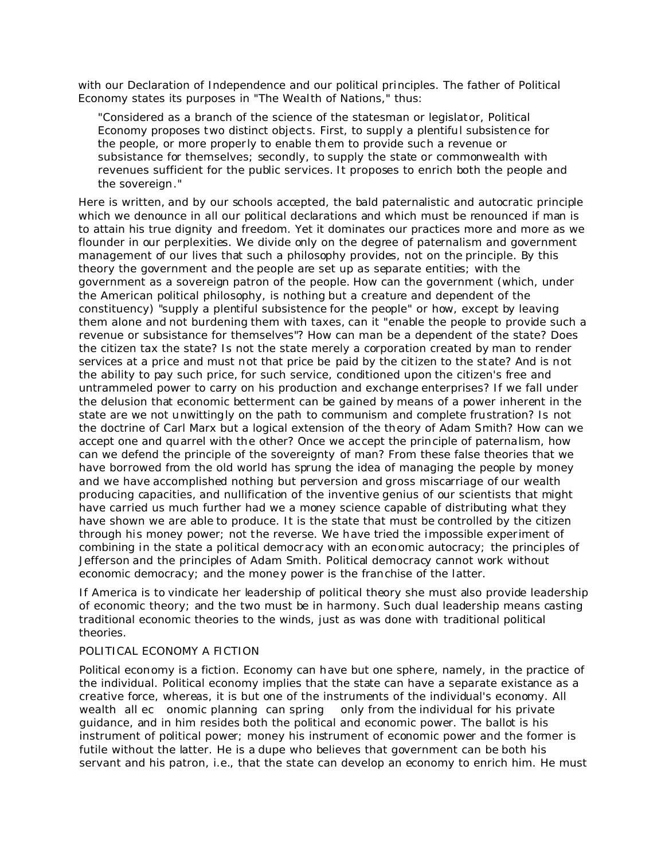with our Declaration of Independence and our political principles. The father of Political Economy states its purposes in "The Wealth of Nations," thus:

"Considered as a branch of the science of the statesman or legislator, Political Economy proposes two distinct objects. First, to supply a plentiful subsistence for the people, or more properly to enable them to provide such a revenue or subsistance for themselves; secondly, to supply the state or commonwealth with revenues sufficient for the public services. It proposes to enrich both the people and the sovereign."

Here is written, and by our schools accepted, the bald paternalistic and autocratic principle which we denounce in all our political declarations and which must be renounced if man is to attain his true dignity and freedom. Yet it dominates our practices more and more as we flounder in our perplexities. We divide only on the degree of paternalism and government management of our lives that such a philosophy provides, not on the principle. By this theory the government and the people are set up as separate entities; with the government as a sovereign patron of the people. How can the government (which, under the American political philosophy, is nothing but a creature and dependent of the constituency) "supply a plentiful subsistence for the people" or how, except by leaving them alone and not burdening them with taxes, can it "enable the people to provide such a revenue or subsistance for themselves"? How can man be a dependent of the state? Does the citizen tax the state? Is not the state merely a corporation created by man to render services at a price and must not that price be paid by the citizen to the state? And is not the ability to pay such price, for such service, conditioned upon the citizen's free and untrammeled power to carry on his production and exchange enterprises? If we fall under the delusion that economic betterment can be gained by means of a power inherent in the state are we not unwittingly on the path to communism and complete frustration? Is not the doctrine of Carl Marx but a logical extension of the theory of Adam Smith? How can we accept one and quarrel with the other? Once we accept the principle of paternalism, how can we defend the principle of the sovereignty of man? From these false theories that we have borrowed from the old world has sprung the idea of managing the people by money and we have accomplished nothing but perversion and gross miscarriage of our wealth producing capacities, and nullification of the inventive genius of our scientists that might have carried us much further had we a money science capable of distributing what they have shown we are able to produce. It is the state that must be controlled by the citizen through his money power; not the reverse. We have tried the impossible experiment of combining in the state a political democracy with an economic autocracy; the principles of Jefferson and the principles of Adam Smith. Political democracy cannot work without economic democracy; and the money power is the franchise of the latter.

If America is to vindicate her leadership of political theory she must also provide leadership of economic theory; and the two must be in harmony. Such dual leadership means casting traditional economic theories to the winds, just as was done with traditional political theories.

## POLITICAL ECONOMY A FICTION

Political economy is a fiction. Economy can have but one sphere, namely, in the practice of the individual. Political economy implies that the state can have a separate existance as a creative force, whereas, it is but one of the instruments of the individual's economy. All wealth all ec onomic planning can spring only from the individual for his private guidance, and in him resides both the political and economic power. The ballot is his instrument of political power; money his instrument of economic power and the former is futile without the latter. He is a dupe who believes that government can be both his servant and his patron, i.e., that the state can develop an economy to enrich him. He must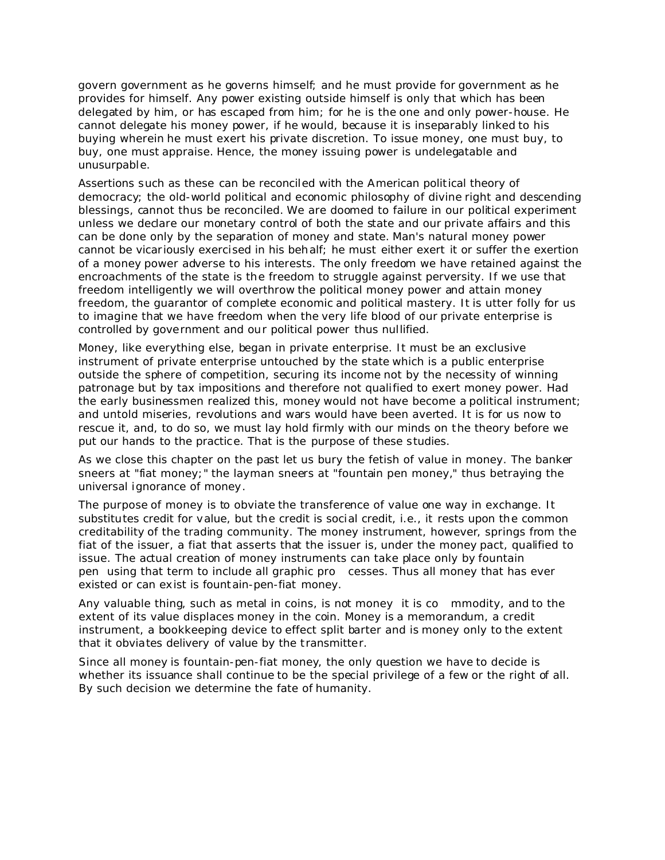govern government as he governs himself; and he must provide for government as he provides for himself. Any power existing outside himself is only that which has been delegated by him, or has escaped from him; for he is the one and only power-house. He cannot delegate his money power, if he would, because it is inseparably linked to his buying wherein he must exert his private discretion. To issue money, one must buy, to buy, one must appraise. Hence, the money issuing power is undelegatable and unusurpable.

Assertions such as these can be reconciled with the American political theory of democracy; the old-world political and economic philosophy of divine right and descending blessings, cannot thus be reconciled. We are doomed to failure in our political experiment unless we declare our monetary control of both the state and our private affairs and this can be done only by the separation of money and state. Man's natural money power cannot be vicariously exercised in his behalf; he must either exert it or suffer the exertion of a money power adverse to his interests. The only freedom we have retained against the encroachments of the state is the freedom to struggle against perversity. If we use that freedom intelligently we will overthrow the political money power and attain money freedom, the guarantor of complete economic and political mastery. It is utter folly for us to imagine that we have freedom when the very life blood of our private enterprise is controlled by government and our political power thus nullified.

Money, like everything else, began in private enterprise. It must be an exclusive instrument of private enterprise untouched by the state which is a public enterprise outside the sphere of competition, securing its income not by the necessity of winning patronage but by tax impositions and therefore not qualified to exert money power. Had the early businessmen realized this, money would not have become a political instrument; and untold miseries, revolutions and wars would have been averted. It is for us now to rescue it, and, to do so, we must lay hold firmly with our minds on the theory before we put our hands to the practice. That is the purpose of these studies.

As we close this chapter on the past let us bury the fetish of value in money. The banker sneers at "fiat money;" the layman sneers at "fountain pen money," thus betraying the universal ignorance of money.

The purpose of money is to obviate the transference of value one way in exchange. It substitutes credit for value, but the credit is social credit, i.e., it rests upon the common creditability of the trading community. The money instrument, however, springs from the fiat of the issuer, a fiat that asserts that the issuer is, under the money pact, qualified to issue. The actual creation of money instruments can take place only by fountain pen using that term to include all graphic pro cesses. Thus all money that has ever existed or can exist is fountain-pen-fiat money.

Any valuable thing, such as metal in coins, is not money it is co mmodity, and to the extent of its value displaces money in the coin. Money is a memorandum, a credit instrument, a bookkeeping device to effect split barter and is money only to the extent that it obviates delivery of value by the transmitter.

Since all money is fountain-pen-fiat money, the only question we have to decide is whether its issuance shall continue to be the special privilege of a few or the right of all. By such decision we determine the fate of humanity.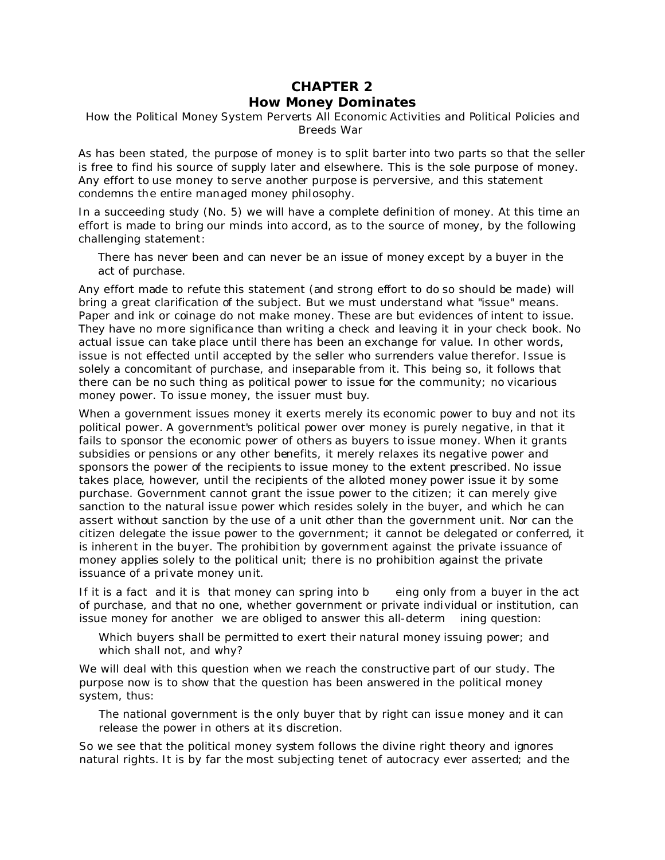## **CHAPTER 2**

## *How Money Dominates*

How the Political Money System Perverts All Economic Activities and Political Policies and Breeds War

As has been stated, the purpose of money is to split barter into two parts so that the seller is free to find his source of supply later and elsewhere. This is the sole purpose of money. Any effort to use money to serve another purpose is perversive, and this statement condemns the entire managed money philosophy.

In a succeeding study (No. 5) we will have a complete definition of money. At this time an effort is made to bring our minds into accord, as to the source of money, by the following challenging statement:

There has never been and can never be an issue of money except by a buyer in the act of purchase.

Any effort made to refute this statement (and strong effort to do so should be made) will bring a great clarification of the subject. But we must understand what "issue" means. Paper and ink or coinage do not make money. These are but evidences of *intent* to issue. They have no more significance than writing a check and leaving it in your check book. No *actual* issue can take place until there has been an *exchange for value*. In other words, issue is not effected until accepted by the seller who surrenders value therefor. Issue is solely a concomitant of purchase, and inseparable from it. This being so, it follows that there can be no such thing as political power to issue for the community; no vicarious money power. To issue money, *the issuer must buy*.

When a government issues money it exerts merely its *economic power to buy* and not its *political* power. A government's political power over money is purely negative, in that it fails to sponsor the economic power of others as buyers to issue money. When it grants subsidies or pensions or any other benefits, it merely relaxes its negative power and sponsors the power of the recipients to issue money to the extent prescribed. No issue takes place, however, until the recipients of the alloted money power issue it by some purchase. Government cannot grant the issue power to the citizen; it can merely give sanction to the natural issue power which resides solely in the buyer, and which he can assert without sanction by the use of a unit other than the government unit. Nor can the citizen delegate the issue power to the government; it cannot be delegated or conferred, it is inherent in the buyer. The prohibition by government against the private issuance of money applies solely to the political unit; there is no prohibition against the private issuance of a private money unit.

If it is a fact and it is that money can spring into b eing only from a buyer in the act of purchase, and that no one, whether government or private individual or institution, can issue money for another we are obliged to answer this all-determ ining question:

Which buyers shall be permitted to exert their natural money issuing power; and which shall not, and why?

We will deal with this question when we reach the constructive part of our study. The purpose now is to show that the question has been answered in the political money system, thus:

The national government is the only buyer that by right can issue money and it can release the power in others at its discretion.

So we see that the political money system follows the divine right theory and ignores natural rights. It is by far the most subjecting tenet of autocracy ever asserted; and the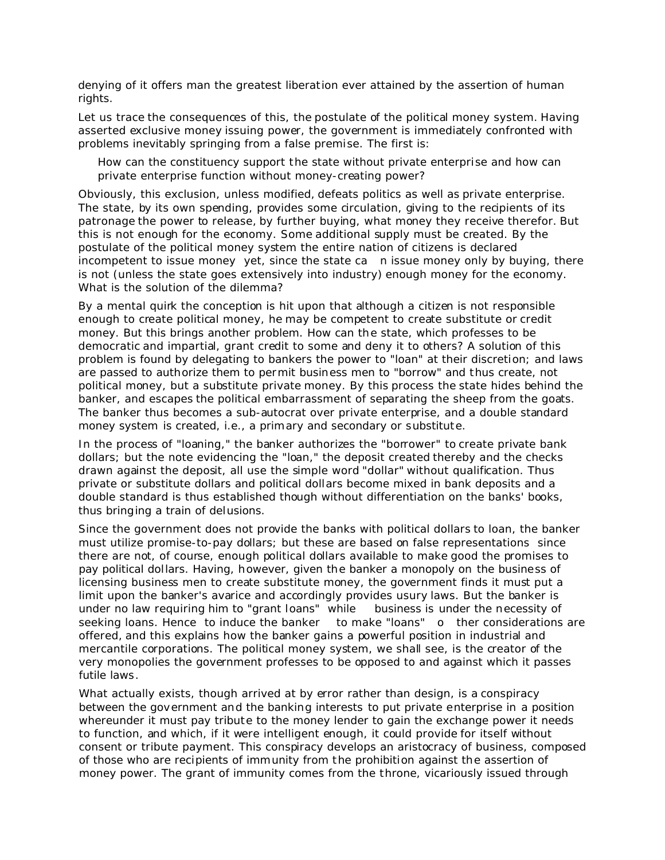denying of it offers man the greatest liberation ever attained by the assertion of human rights.

Let us trace the consequences of this, the postulate of the political money system. Having asserted exclusive money issuing power, the government is immediately confronted with problems inevitably springing from a false premise. The first is:

How can the constituency support the state without private enterprise and how can private enterprise function without money-creating power?

Obviously, this exclusion, unless modified, defeats politics as well as private enterprise. The state, by its own spending, provides some circulation, giving to the recipients of its patronage the power to release, by further buying, what money they receive therefor. But this is not enough for the economy. Some additional supply must be created. By the postulate of the political money system the entire nation of citizens is declared incompetent to issue money yet, since the state ca n issue money only by buying, there is not (unless the state goes extensively into industry) enough money for the economy. What is the solution of the dilemma?

By a mental quirk the conception is hit upon that although a citizen is not responsible enough to create political money, he may be competent to create substitute or credit money. But this brings another problem. How can the state, which professes to be democratic and impartial, grant credit to some and deny it to others? A solution of this problem is found by delegating to bankers the power to "loan" at their discretion; and laws are passed to authorize them to permit business men to "borrow" and thus create, not political money, but a substitute private money. By this process the state hides behind the banker, and escapes the political embarrassment of separating the sheep from the goats. The banker thus becomes a sub-autocrat over private enterprise, and a double standard money system is created, i.e., a primary and secondary or substitute.

In the process of "loaning," the banker authorizes the "borrower" to create private bank dollars; but the note evidencing the "loan," the deposit created thereby and the checks drawn against the deposit, all use the simple word "dollar" without qualification. Thus private or substitute dollars and political dollars become mixed in bank deposits and a double standard is thus established though without differentiation on the banks' books, thus bringing a train of delusions.

Since the government does not provide the banks with political dollars to loan, the banker must utilize promise-to-pay dollars; but these are based on false representations since there are not, of course, enough political dollars available to make good the promises to pay political dollars. Having, however, given the banker a monopoly on the business of licensing business men to create substitute money, the government finds it must put a limit upon the banker's avarice and accordingly provides usury laws. But the banker is under no law *requiring* him to "grant loans" while business is under the necessity of seeking loans. Hence to induce the banker to make "loans" o ther considerations are offered, and this explains how the banker gains a powerful position in industrial and mercantile corporations. The political money system, we shall see, is the creator of the very monopolies the government professes to be opposed to and against which it passes futile laws.

What actually exists, though arrived at by error rather than design, is a conspiracy between the government and the banking interests to put private enterprise in a position whereunder it must pay tribute to the money lender to gain the exchange power it needs to function, and which, if it were intelligent enough, it could provide for itself without consent or tribute payment. This conspiracy develops an aristocracy of business, composed of those who are recipients of immunity from the prohibition against the assertion of money power. The grant of immunity comes from the throne, vicariously issued through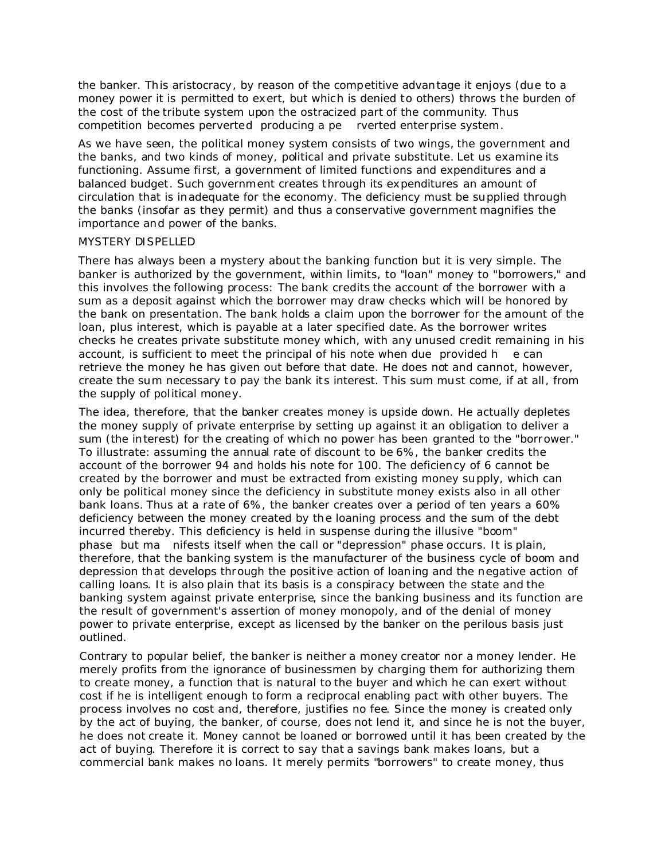the banker. This aristocracy, by reason of the competitive advantage it enjoys (due to a money power it is permitted to exert, but which is denied to others) throws the burden of the cost of the tribute system upon the ostracized part of the community. Thus competition becomes perverted producing a pe rverted enterprise system.

As we have seen, the political money system consists of two wings, the government and the banks, and two kinds of money, political and private substitute. Let us examine its functioning. Assume first, a government of limited functions and expenditures and a balanced budget. Such government creates through its expenditures an amount of circulation that is inadequate for the economy. The deficiency must be supplied through the banks (insofar as they permit) and thus a conservative government magnifies the importance and power of the banks.

#### MYSTERY DISPELLED

There has always been a mystery about the banking function but it is very simple. The banker is authorized by the government, within limits, to "loan" money to "borrowers," and this involves the following process: The bank credits the account of the borrower with a sum as a deposit against which the borrower may draw checks which will be honored by the bank on presentation. The bank holds a claim upon the borrower for the amount of the loan, plus interest, which is payable at a later specified date. As the borrower writes checks he creates *private substitute money* which, with any unused credit remaining in his account, is sufficient to meet the principal of his note when due provided h e can retrieve the money he has given out before that date. He does not and cannot, however, create the sum necessary to pay the bank its interest. This sum must come, if at all, from the supply of political money.

The idea, therefore, that the banker creates money is upside down. He actually depletes the money supply of private enterprise by setting up against it an obligation to deliver a sum (the interest) for the creating of which no power has been granted to the "borrower." To illustrate: assuming the annual rate of discount to be 6%, the banker credits the account of the borrower 94 and holds his note for 100. The deficiency of 6 cannot be created by the borrower and must be extracted from existing money supply, which can only be political money since the deficiency in substitute money exists also in all other bank loans. Thus at a rate of 6%, the banker creates over a period of ten years a 60% deficiency between the money created by the loaning process and the sum of the debt incurred thereby. This deficiency is held in suspense during the illusive "boom" phase but ma nifests itself when the call or "depression" phase occurs. It is plain, therefore, that the banking system is the manufacturer of the business cycle of boom and depression that develops through the positive action of loaning and the negative action of calling loans. It is also plain that its basis is a conspiracy between the state and the banking system against private enterprise, since the banking business and its function are the result of government's assertion of money monopoly, and of the denial of money power to private enterprise, except as licensed by the banker on the perilous basis just outlined.

Contrary to popular belief, the banker is neither a money creator nor a money lender. He merely profits from the ignorance of businessmen by charging them for authorizing them to create money, a function that is natural to the buyer and which he can exert without cost if he is intelligent enough to form a reciprocal enabling pact with other buyers. The process involves no cost and, therefore, justifies no fee. Since the money is created only by the act of buying, the banker, of course, does not lend it, and since he is not the buyer, he does not create it. Money cannot be loaned or borrowed until it has been created by the act of buying. Therefore it is correct to say that a savings bank makes loans, but a commercial bank makes no loans. It merely permits "borrowers" to create money, thus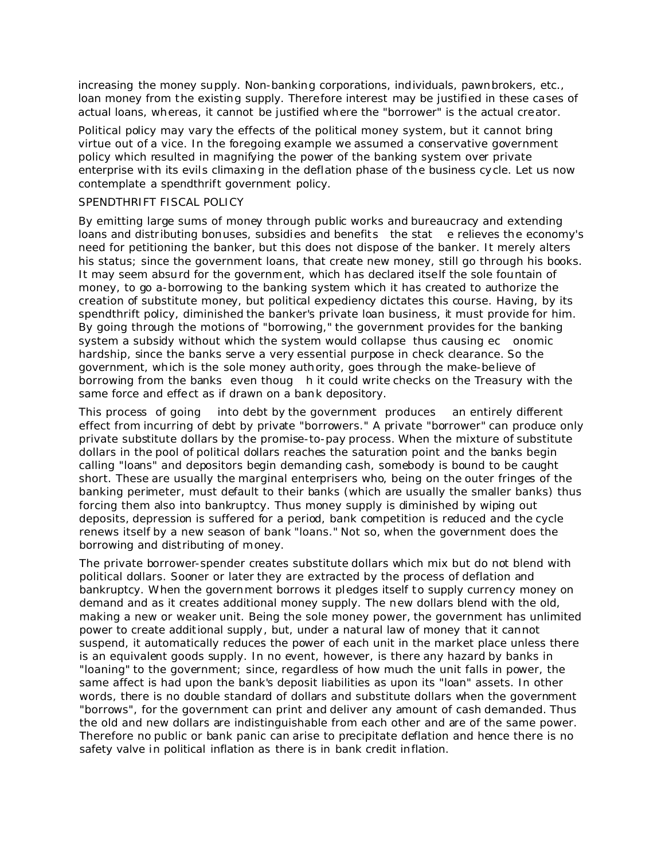increasing the money supply. Non-banking corporations, individuals, pawnbrokers, etc., loan money from the existing supply. Therefore interest may be justified in these cases of actual loans, whereas, it cannot be justified where the "borrower" is the actual creator.

Political policy may vary the effects of the political money system, but it cannot bring virtue out of a vice. In the foregoing example we assumed a conservative government policy which resulted in magnifying the power of the banking system over private enterprise with its evils climaxing in the deflation phase of the business cycle. Let us now contemplate a spendthrift government policy.

## SPENDTHRIFT FISCAL POLICY

By emitting large sums of money through public works and bureaucracy and extending loans and distributing bonuses, subsidies and benefits the stat e relieves the economy's need for petitioning the banker, but this does not dispose of the banker. It merely alters his status; since the government loans, that create new money, still go through his books. It may seem absurd for the government, which has declared itself the sole fountain of money, to go a-borrowing to the banking system which it has created to authorize the creation of substitute money, but political expediency dictates this course. Having, by its spendthrift policy, diminished the banker's private loan business, it must provide for him. By going through the motions of "borrowing," the government provides for the banking system a subsidy without which the system would collapse thus causing ec onomic hardship, since the banks serve a very essential purpose in check clearance. So the government, which is the sole money authority, goes through the make-believe of borrowing from the banks even thoug h it could write checks on the Treasury with the same force and effect as if drawn on a bank depository.

This process of going into debt by the government produces an entirely different effect from incurring of debt by private "borrowers." A private "borrower" can produce only private substitute dollars by the promise-to-pay process. When the mixture of substitute dollars in the pool of political dollars reaches the saturation point and the banks begin calling "loans" and depositors begin demanding cash, somebody is bound to be caught short. These are usually the marginal enterprisers who, being on the outer fringes of the banking perimeter, must default to their banks (which are usually the smaller banks) thus forcing them also into bankruptcy. Thus money supply is diminished by wiping out deposits, depression is suffered for a period, bank competition is reduced and the cycle renews itself by a new season of bank "loans." Not so, when the government does the borrowing and distributing of money.

The private borrower-spender creates substitute dollars which mix but do not blend with political dollars. Sooner or later they are extracted by the process of deflation and bankruptcy. When the government borrows it pledges itself to supply currency money on demand and as it creates additional money supply. The new dollars blend with the old, making a new or weaker unit. Being the sole money power, the government has unlimited power to create additional supply, but, under a natural law of money that it cannot suspend, it automatically reduces the power of each unit in the market place unless there is an equivalent goods supply. In no event, however, is there any hazard by banks in "loaning" to the government; since, regardless of how much the unit falls in power, the same affect is had upon the bank's deposit liabilities as upon its "loan" assets. In other words, there is no double standard of dollars and substitute dollars when the government "borrows", for the government can print and deliver any amount of cash demanded. Thus the old and new dollars are indistinguishable from each other and are of the same power. Therefore no public or bank panic can arise to precipitate deflation and hence there is no safety valve in political inflation as there is in bank credit inflation.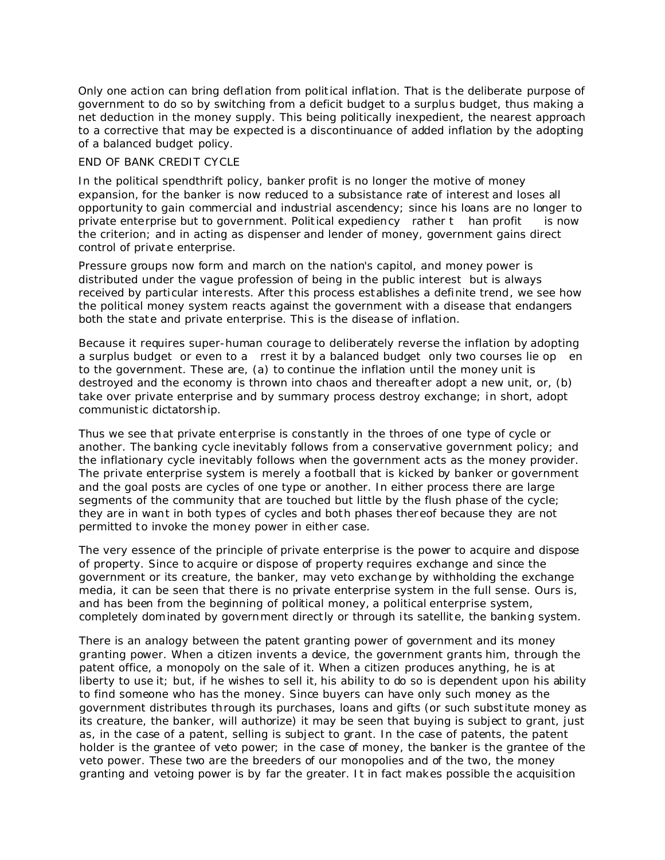Only one action can bring deflation from political inflation. That is the deliberate purpose of government to do so by switching from a deficit budget to a surplus budget, thus making a net deduction in the money supply. This being politically inexpedient, the nearest approach to a corrective that may be expected is a discontinuance of added inflation by the adopting of a balanced budget policy.

## END OF BANK CREDIT CYCLE

In the political spendthrift policy, banker profit is no longer the motive of money expansion, for the banker is now reduced to a subsistance rate of interest and loses all opportunity to gain commercial and industrial ascendency; since his loans are no longer to private enterprise but to government. Political expediency rather t han profit is now the criterion; and in acting as dispenser and lender of money, government gains direct control of private enterprise.

Pressure groups now form and march on the nation's capitol, and money power is distributed under the vague profession of being in the public interest but is always received by particular interests. After this process establishes a definite trend, we see how the political money system reacts against the government with a disease that endangers both the state and private enterprise. This is the disease of inflation.

Because it requires super-human courage to deliberately reverse the inflation by adopting a surplus budget or even to a rrest it by a balanced budget only two courses lie op en to the government. These are, (a) to continue the inflation until the money unit is destroyed and the economy is thrown into chaos and thereafter adopt a new unit, or, (b) take over private enterprise and by summary process destroy exchange; in short, adopt communistic dictatorship.

Thus we see that private enterprise is constantly in the throes of one type of cycle or another. The banking cycle inevitably follows from a conservative government policy; and the inflationary cycle inevitably follows when the government acts as the money provider. The private enterprise system is merely a football that is kicked by banker or government and the goal posts are cycles of one type or another. In either process there are large segments of the community that are touched but little by the flush phase of the cycle; they are in want in both types of cycles and both phases thereof because they are not permitted to invoke the money power in either case.

The very essence of the principle of private enterprise is the power to acquire and dispose of property. Since to acquire or dispose of property requires exchange and since the government or its creature, the banker, may veto exchange by withholding the exchange media, it can be seen that there is no private enterprise system in the full sense. Ours is, and has been from the beginning of political money, a political enterprise system, completely dominated by government directly or through its satellite, the banking system.

There is an analogy between the patent granting power of government and its money granting power. When a citizen invents a device, the government grants him, through the patent office, a monopoly on the sale of it. When a citizen produces anything, he is at liberty to use it; but, if he wishes to sell it, his ability to do so is dependent upon his ability to find someone who has the money. Since buyers can have only such money as the government distributes through its purchases, loans and gifts (or such substitute money as its creature, the banker, will authorize) it may be seen that buying is subject to grant, just as, in the case of a patent, selling is subject to grant. In the case of patents, the patent holder is the grantee of veto power; in the case of money, the banker is the grantee of the veto power. These two are the breeders of our monopolies and of the two, the money granting and vetoing power is by far the greater. It in fact makes possible the acquisition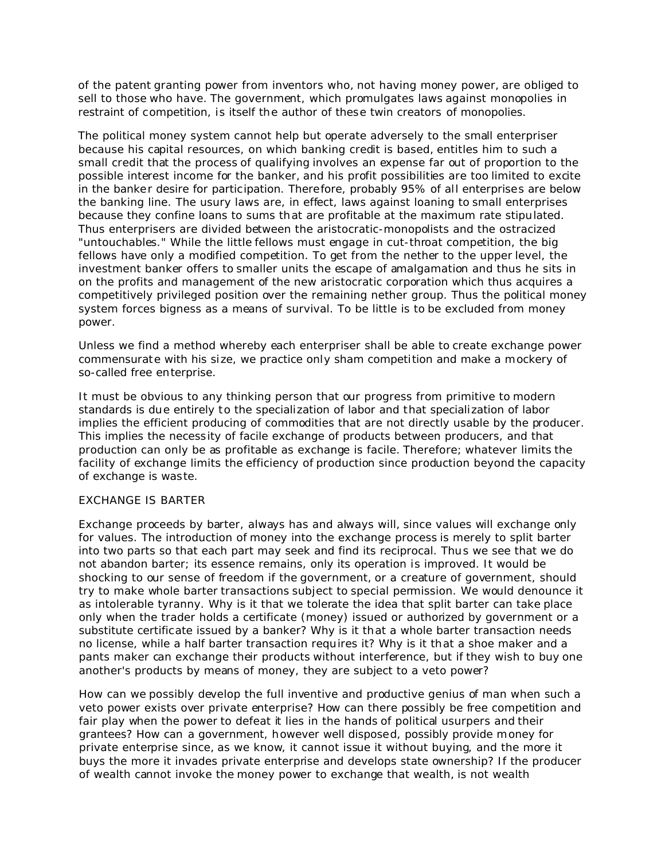of the patent granting power from inventors who, not having money power, are obliged to sell to those who have. The government, which promulgates laws against monopolies in restraint of competition, is itself the author of these twin creators of monopolies.

The political money system cannot help but operate adversely to the small enterpriser because his capital resources, on which banking credit is based, entitles him to such a small credit that the process of qualifying involves an expense far out of proportion to the possible interest income for the banker, and his profit possibilities are too limited to excite in the banker desire for participation. Therefore, probably 95% of all enterprises are below the banking line. The usury laws are, in effect, laws against loaning to small enterprises because they confine loans to sums that are profitable at the maximum rate stipulated. Thus enterprisers are divided between the aristocratic-monopolists and the ostracized "untouchables." While the little fellows must engage in cut-throat competition, the big fellows have only a modified competition. To get from the nether to the upper level, the investment banker offers to smaller units the escape of amalgamation and thus he sits in on the profits and management of the new aristocratic corporation which thus acquires a competitively privileged position over the remaining nether group. Thus the political money system forces bigness as a means of survival. To be little is to be excluded from money power.

Unless we find a method whereby each enterpriser shall be able to create exchange power commensurate with his size, we practice only sham competition and make a mockery of so-called free enterprise.

It must be obvious to any thinking person that our progress from primitive to modern standards is due entirely to the specialization of labor and that specialization of labor implies the efficient producing of commodities that are not directly usable by the producer. This implies the necessity of facile exchange of products between producers, and that production can only be as profitable as exchange is facile. Therefore; whatever limits the facility of exchange limits the efficiency of production since production beyond the capacity of exchange is waste.

#### EXCHANGE IS BARTER

Exchange proceeds by barter, always has and always will, since values will exchange only for values. The introduction of money into the exchange process is merely to split barter into two parts so that each part may seek and find its reciprocal. Thus we see that we do not abandon barter; its essence remains, only its operation is improved. It would be shocking to our sense of freedom if the government, or a creature of government, should try to make whole barter transactions subject to special permission. We would denounce it as intolerable tyranny. Why is it that we tolerate the idea that split barter can take place only when the trader holds a certificate (money) issued or authorized by government or a substitute certificate issued by a banker? Why is it that a whole barter transaction needs no license, while a half barter transaction requires it? Why is it that a shoe maker and a pants maker can exchange their products without interference, but if they wish to buy one another's products by means of money, they are subject to a veto power?

How can we possibly develop the full inventive and productive genius of man when such a veto power exists over private enterprise? How can there possibly be free competition and fair play when the power to defeat it lies in the hands of political usurpers and their grantees? How can a government, however well disposed, possibly provide money for private enterprise since, as we know, it cannot issue it without buying, and the more it buys the more it invades private enterprise and develops state ownership? If the producer of wealth cannot invoke the money power to exchange that wealth, is not wealth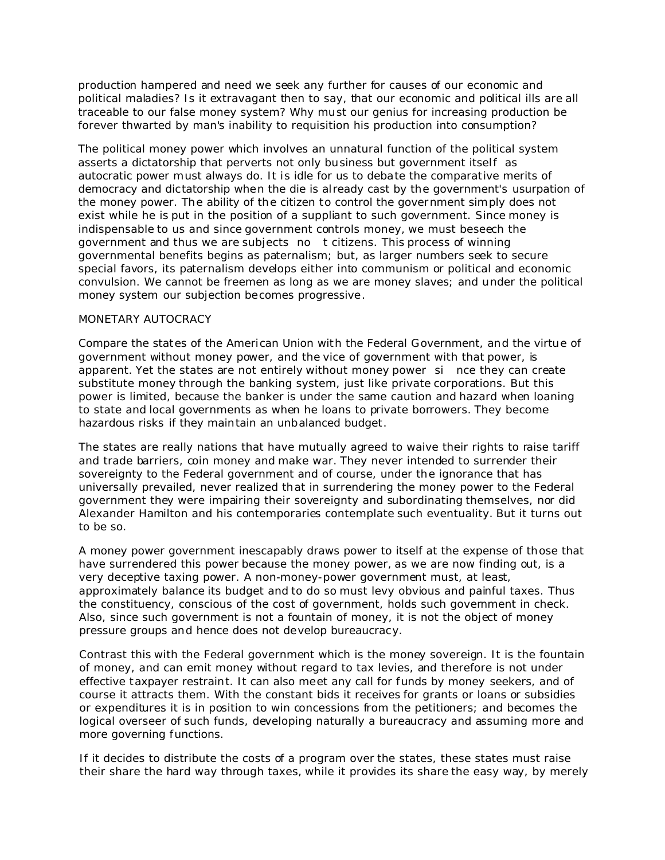production hampered and need we seek any further for causes of our economic and political maladies? Is it extravagant then to say, that our economic and political ills are all traceable to our false money system? Why must our genius for increasing production be forever thwarted by man's inability to requisition his production into consumption?

The political money power which involves an unnatural function of the political system asserts a dictatorship that perverts not only business but government itself as autocratic power must always do. It is idle for us to debate the comparative merits of democracy and dictatorship when the die is al ready cast by the government's usurpation of the money power. The ability of the citizen to control the government simply does not exist while he is put in the position of a suppliant to such government. Since money is indispensable to us and since government controls money, we must beseech the government and thus we are subjects no t citizens. This process of winning governmental benefits begins as paternalism; but, as larger numbers seek to secure special favors, its paternalism develops either into communism or political and economic convulsion. We cannot be freemen as long as we are money slaves; and under the political money system our subjection becomes progressive.

### MONETARY AUTOCRACY

Compare the states of the American Union with the Federal Government, and the virtue of government without money power, and the vice of government with that power, is apparent. Yet the states are not entirely without money power si nce they can create substitute money through the banking system, just like private corporations. But this power is limited, because the banker is under the same caution and hazard when loaning to state and local governments as when he loans to private borrowers. They become hazardous risks if they maintain an unbalanced budget.

The states are really nations that have mutually agreed to waive their rights to raise tariff and trade barriers, coin money and make war. They never intended to surrender their sovereignty to the Federal government and of course, under the ignorance that has universally prevailed, never realized that in surrendering the money power to the Federal government they were impairing their sovereignty and subordinating themselves, nor did Alexander Hamilton and his contemporaries contemplate such eventuality. But it turns out to be so.

A money power government inescapably draws power to itself at the expense of those that have surrendered this power because the money power, as we are now finding out, is a very deceptive taxing power. A non-money-power government must, at least, approximately balance its budget and to do so must levy obvious and painful taxes. Thus the constituency, conscious of the cost of government, holds such government in check. Also, since such government is not a fountain of money, it is not the object of money pressure groups and hence does not develop bureaucracy.

Contrast this with the Federal government which is the money sovereign. It is the fountain of money, and can emit money without regard to tax levies, and therefore is not under effective taxpayer restraint. It can also meet any call for funds by money seekers, and of course it attracts them. With the constant bids it receives for grants or loans or subsidies or expenditures it is in position to win concessions from the petitioners; and becomes the logical overseer of such funds, developing naturally a bureaucracy and assuming more and more governing functions.

If it decides to distribute the costs of a program over the states, these states must raise their share the hard way through taxes, while it provides its share the easy way, by merely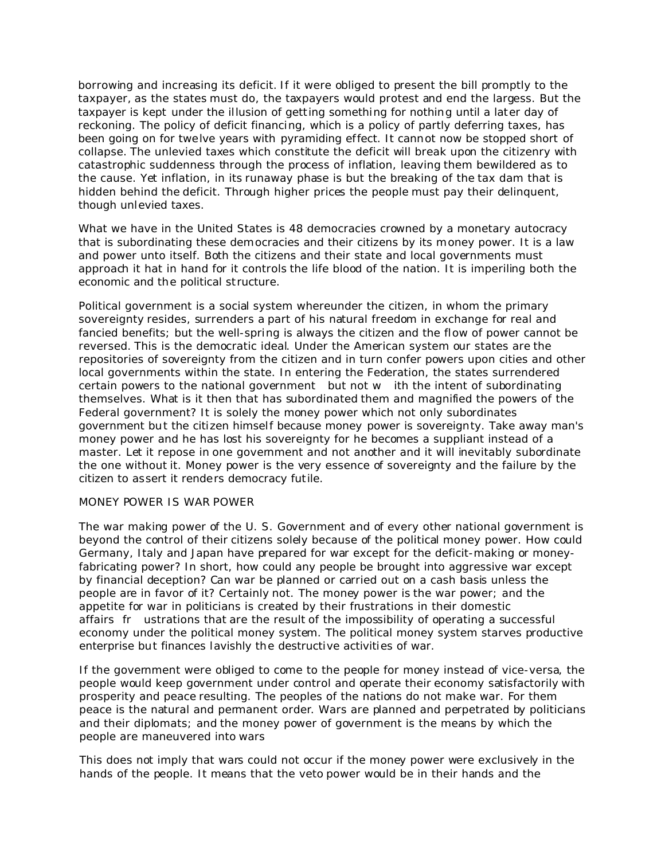borrowing and increasing its deficit. If it were obliged to present the bill promptly to the taxpayer, as the states must do, the taxpayers would protest and end the largess. But the taxpayer is kept under the illusion of getting something for nothing until a later day of reckoning. The policy of deficit financing, which is a policy of partly deferring taxes, has been going on for twelve years with pyramiding effect. It cannot now be stopped short of collapse. The unlevied taxes which constitute the deficit will break upon the citizenry with catastrophic suddenness through the process of inflation, leaving them bewildered as to the cause. Yet inflation, in its runaway phase is but the breaking of the tax dam that is hidden behind the deficit. Through higher prices the people must pay their delinquent, though unlevied taxes.

What we have in the United States is 48 democracies crowned by a monetary autocracy that is subordinating these democracies and their citizens by its money power. It is a law and power unto itself. Both the citizens and their state and local governments must approach it hat in hand for it controls the life blood of the nation. It is imperiling both the economic and the political structure.

Political government is a social system whereunder the citizen, in whom the primary sovereignty resides, surrenders a part of his natural freedom in exchange for real and fancied benefits; but the well-spring is always the citizen and the flow of power cannot be reversed. This is the democratic ideal. Under the American system our states are the repositories of sovereignty from the citizen and in turn confer powers upon cities and other local governments within the state. In entering the Federation, the states surrendered certain powers to the national government but not w ith the intent of subordinating themselves. What is it then that has subordinated them and magnified the powers of the Federal government? It is solely the money power which not only subordinates government but the citizen himself because money power is sovereignty. Take away man's money power and he has lost his sovereignty for he becomes a suppliant instead of a master. Let it repose in one government and not another and it will inevitably subordinate the one without it. Money power is the very essence of sovereignty and the failure by the citizen to assert it renders democracy futile.

## MONEY POWER IS WAR POWER

The war making power of the U. S. Government and of every other national government is beyond the control of their citizens solely because of the political money power. How could Germany, Italy and Japan have prepared for war except for the deficit-making or moneyfabricating power? In short, how could any people be brought into aggressive war except by financial deception? Can war be planned or carried out on a cash basis unless the people are in favor of it? Certainly not. The money power is the war power; and the appetite for war in politicians is created by their frustrations in their domestic affairs fr ustrations that are the result of the impossibility of operating a successful economy under the political money system. The political money system starves productive enterprise but finances lavishly the destructive activities of war.

If the government were obliged to come to the people for money instead of vice-versa, the people would keep government under control and operate their economy satisfactorily with prosperity and peace resulting. The peoples of the nations do not make war. For them peace is the natural and permanent order. Wars are planned and perpetrated by politicians and their diplomats; and the money power of government is the means by which the people are maneuvered into wars

This does not imply that wars could not occur if the money power were exclusively in the hands of the people. It means that the veto power would be in their hands and the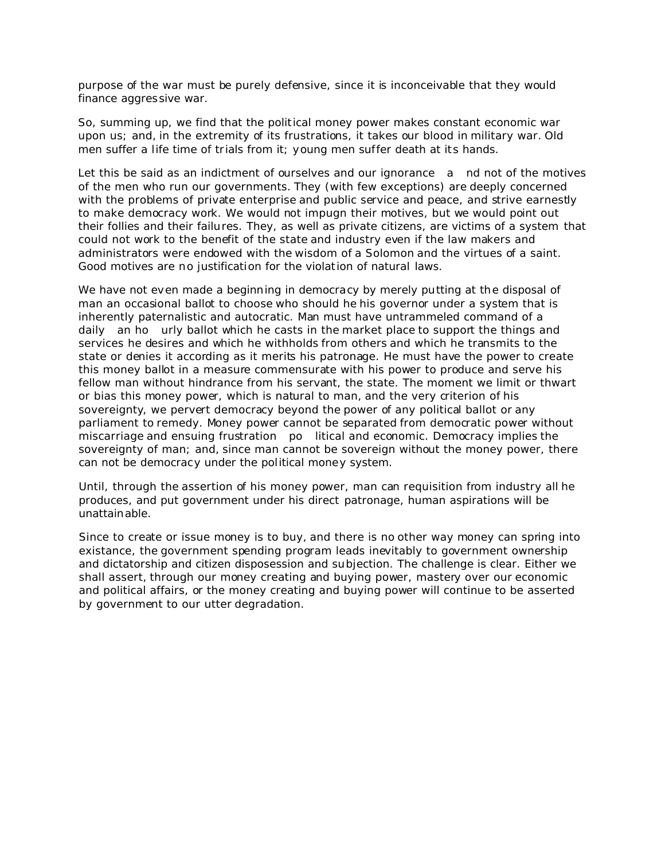purpose of the war must be purely defensive, since it is inconceivable that they would finance aggressive war.

So, summing up, we find that the political money power makes constant economic war upon us; and, in the extremity of its frustrations, it takes our blood in military war. Old men suffer a life time of trials from it; young men suffer death at its hands.

Let this be said as an indictment of ourselves and our ignorance a nd not of the motives of the men who run our governments. They (with few exceptions) are deeply concerned with the problems of private enterprise and public service and peace, and strive earnestly to make democracy work. We would not impugn their motives, but we would point out their follies and their failures. They, as well as private citizens, are victims of a system that could not work to the benefit of the state and industry even if the law makers and administrators were endowed with the wisdom of a Solomon and the virtues of a saint. Good motives are no justification for the violation of natural laws.

We have not even made a beginning in democracy by merely putting at the disposal of man an occasional ballot to choose who should he his governor under a system that is inherently paternalistic and autocratic. Man must have untrammeled command of a daily an ho urly ballot which he casts in the market place to support the things and services he desires and which he withholds from others and which he transmits to the state or denies it according as it merits his patronage. He must have the power to create this money ballot in a measure commensurate with his power to produce and serve his fellow man without hindrance from his servant, the state. The moment we limit or thwart or bias this money power, which is natural to man, and the very criterion of his sovereignty, we pervert democracy beyond the power of any political ballot or any parliament to remedy. Money power cannot be separated from democratic power without miscarriage and ensuing frustration po litical and economic. Democracy implies the sovereignty of man; and, since man cannot be sovereign without the money power, there can not be democracy under the political money system.

Until, through the assertion of his money power, man can requisition from industry all he produces, and put government under his direct patronage, human aspirations will be unattainable.

Since to create or issue money is to buy, and there is no other way money can spring into existance, the government spending program leads inevitably to government ownership and dictatorship and citizen disposession and subjection. The challenge is clear. Either we shall assert, through our money creating and buying power, mastery over our economic and political affairs, or the money creating and buying power will continue to be asserted by government to our utter degradation.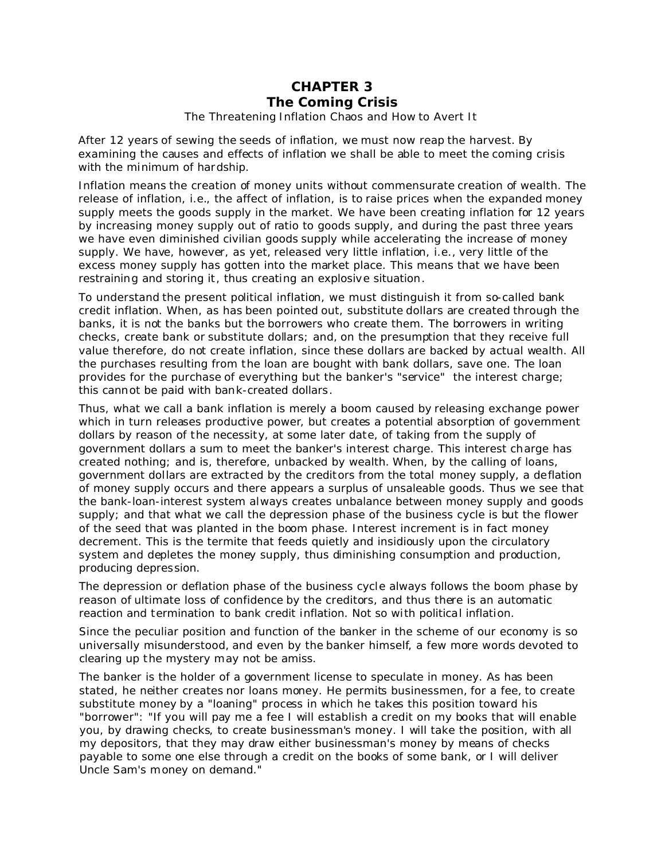## **CHAPTER 3** *The Coming Crisis* The Threatening Inflation Chaos and How to Avert It

After 12 years of sewing the seeds of inflation, we must now reap the harvest. By examining the causes and effects of inflation we shall be able to meet the coming crisis with the minimum of hardship.

Inflation means the creation of money units without commensurate creation of wealth. The release of inflation, i.e., the affect of inflation, is to raise prices when the expanded money supply meets the goods supply in the market. We have been creating inflation for 12 years by increasing money supply out of ratio to goods supply, and during the past three years we have even diminished civilian goods supply while accelerating the increase of money supply. We have, however, as yet, released very little inflation, i.e., very little of the excess money supply has gotten into the market place. This means that we have been restraining and storing it, thus creating an explosive situation.

To understand the present political inflation, we must distinguish it from so-called bank credit inflation. When, as has been pointed out, substitute dollars are created through the banks, it is not the banks but the borrowers who create them. The borrowers in writing checks, create bank or substitute dollars; and, on the presumption that they receive full value therefore, do not create inflation, since these dollars are backed by actual wealth. All the purchases resulting from the loan are bought with bank dollars, save one. The loan provides for the purchase of everything but the banker's "service" the interest charge; this cannot be paid with bank-created dollars.

Thus, what we call a bank inflation is merely a boom caused by releasing exchange power which in turn releases productive power, but creates a potential absorption of government dollars by reason of the necessity, at some later date, of taking from the supply of government dollars a sum to meet the banker's interest charge. This interest charge has created nothing; and is, therefore, unbacked by wealth. When, by the calling of loans, government dollars are extracted by the creditors from the total money supply, a deflation of money supply occurs and there appears a surplus of unsaleable goods. Thus we see that the bank-loan-interest system always creates unbalance between money supply and goods supply; and that what we call the depression phase of the business cycle is but the flower of the seed that was planted in the boom phase. Interest increment is in fact money decrement. This is the termite that feeds quietly and insidiously upon the circulatory system and depletes the money supply, thus diminishing consumption and production, producing depression.

The depression or deflation phase of the business cycle always follows the boom phase by reason of ultimate loss of confidence by the creditors, and thus there is an automatic reaction and termination to bank credit inflation. Not so with political inflation.

Since the peculiar position and function of the banker in the scheme of our economy is so universally misunderstood, and even by the banker himself, a few more words devoted to clearing up the mystery may not be amiss.

The banker is the holder of a government license to speculate in money. As has been stated, he neither creates nor loans money. He permits businessmen, for a fee, to create substitute money by a "loaning" process in which he takes this position toward his "borrower": "If you will pay me a fee I will establish a credit on my books that will enable you, by drawing checks, to create businessman's money. I will take the position, with all my depositors, that they may draw either businessman's money by means of checks payable to some one else through a credit on the books of some bank, or I will deliver Uncle Sam's money on demand."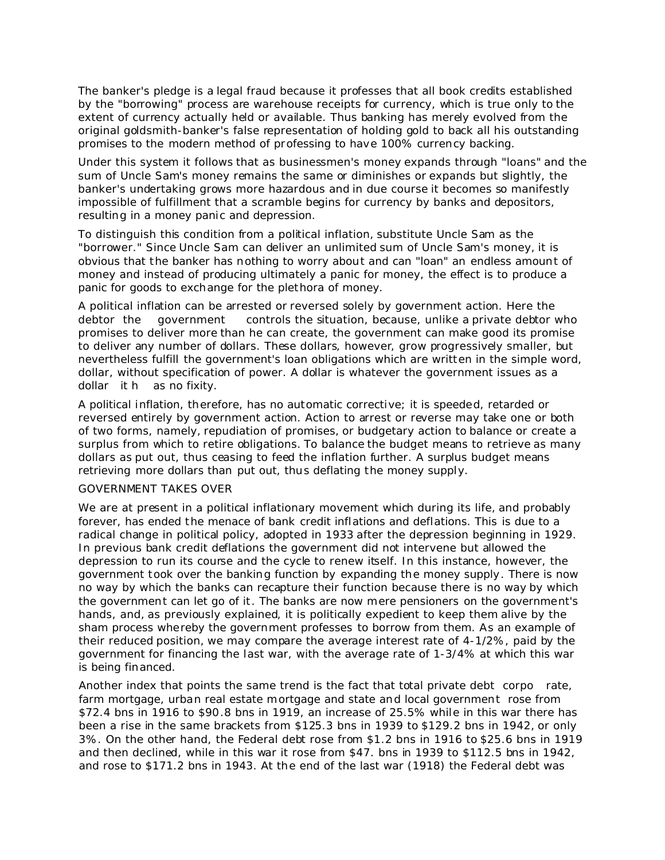The banker's pledge is a legal fraud because it professes that all book credits established by the "borrowing" process are warehouse receipts for currency, which is true only to the extent of currency actually held or available. Thus banking has merely evolved from the original goldsmith-banker's false representation of holding gold to back all his outstanding promises to the modern method of professing to have 100% currency backing.

Under this system it follows that as businessmen's money expands through "loans" and the sum of Uncle Sam's money remains the same or diminishes or expands but slightly, the banker's undertaking grows more hazardous and in due course it becomes so manifestly impossible of fulfillment that a scramble begins for currency by banks and depositors, resulting in a money panic and depression.

To distinguish this condition from a political inflation, substitute Uncle Sam as the "borrower." Since Uncle Sam can deliver an unlimited sum of Uncle Sam's money, it is obvious that the banker has nothing to worry about and can "loan" an endless amount of money and instead of producing ultimately a panic for money, the effect is to produce a panic for goods to exchange for the plethora of money.

A political inflation can be arrested or reversed solely by government action. Here the debtor the government controls the situation, because, unlike a private debtor who promises to deliver more than he can create, the government can make good its promise to deliver any number of dollars. These dollars, however, grow progressively smaller, but nevertheless fulfill the government's loan obligations which are written in the simple word, dollar, without specification of power. A dollar is whatever the government issues as a dollar it h as no fixity.

A political inflation, therefore, has no automatic corrective; it is speeded, retarded or reversed entirely by government action. Action to arrest or reverse may take one or both of two forms, namely, repudiation of promises, or budgetary action to balance or create a surplus from which to retire obligations. To balance the budget means to retrieve as many dollars as put out, thus ceasing to feed the inflation further. A surplus budget means retrieving more dollars than put out, thus deflating the money supply.

## GOVERNMENT TAKES OVER

We are at present in a political inflationary movement which during its life, and probably forever, has ended the menace of bank credit inflations and deflations. This is due to a radical change in political policy, adopted in 1933 after the depression beginning in 1929. In previous bank credit deflations the government did not intervene but allowed the depression to run its course and the cycle to renew itself. In this instance, however, the government took over the banking function by expanding the money supply. There is now no way by which the banks can recapture their function because there is no way by which the government can let go of it. The banks are now mere pensioners on the government's hands, and, as previously explained, it is politically expedient to keep them alive by the sham process whereby the government professes to borrow from them. As an example of their reduced position, we may compare the average interest rate of 4-1/2%, paid by the government for financing the last war, with the average rate of 1-3/4% at which this war is being financed.

Another index that points the same trend is the fact that total private debt corpo rate, farm mortgage, urban real estate mortgage and state and local government rose from \$72.4 bns in 1916 to \$90.8 bns in 1919, an increase of 25.5% while in this war there has been a rise in the same brackets from \$125.3 bns in 1939 to \$129.2 bns in 1942, or only 3%. On the other hand, the Federal debt rose from \$1.2 bns in 1916 to \$25.6 bns in 1919 and then declined, while in this war it rose from \$47. bns in 1939 to \$112.5 bns in 1942, and rose to \$171.2 bns in 1943. At the end of the last war (1918) the Federal debt was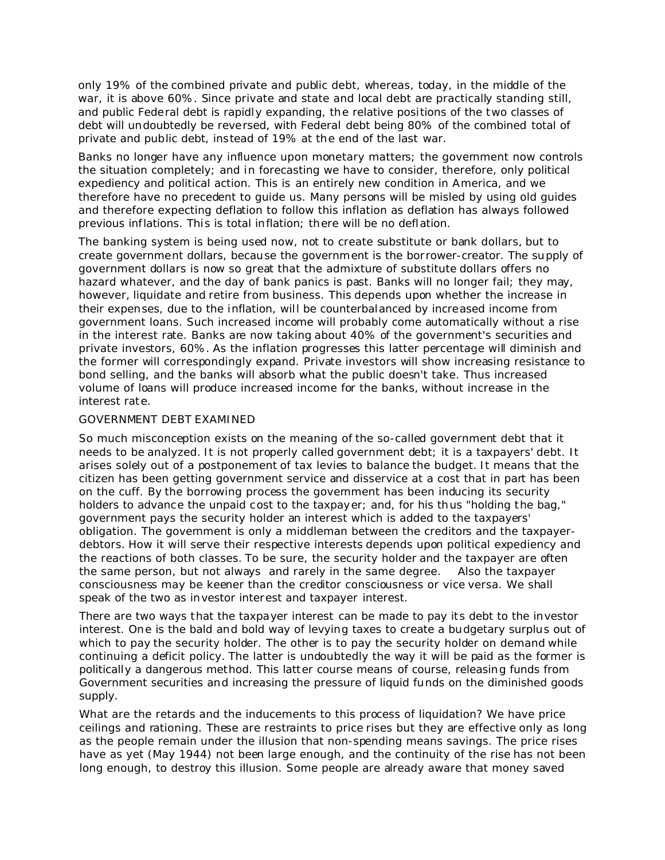only 19% of the combined private and public debt, whereas, today, in the middle of the war, it is above 60%. Since private and state and local debt are practically standing still, and public Federal debt is rapidly expanding, the relative positions of the two classes of debt will undoubtedly be reversed, with Federal debt being 80% of the combined total of private and public debt, instead of 19% at the end of the last war.

Banks no longer have any influence upon monetary matters; the government now controls the situation completely; and in forecasting we have to consider, therefore, only political expediency and political action. This is an entirely new condition in America, and we therefore have no precedent to guide us. Many persons will be misled by using old guides and therefore expecting deflation to follow this inflation as deflation has always followed previous inflations. This is total inflation; there will be no deflation.

The banking system is being used now, not to create substitute or bank dollars, but to create government dollars, because the government is the borrower-creator. The supply of government dollars is now so great that the admixture of substitute dollars offers no hazard whatever, and the day of bank panics is past. Banks will no longer fail; they may, however, liquidate and retire from business. This depends upon whether the increase in their expenses, due to the inflation, will be counterbalanced by increased income from government loans. Such increased income will probably come automatically without a rise in the interest rate. Banks are now taking about 40% of the government's securities and private investors, 60%. As the inflation progresses this latter percentage will diminish and the former will correspondingly expand. Private investors will show increasing resistance to bond selling, and the banks will absorb what the public doesn't take. Thus increased volume of loans will produce increased income for the banks, without increase in the interest rate.

#### GOVERNMENT DEBT EXAMINED

So much misconception exists on the meaning of the so-called government debt that it needs to be analyzed. It is not properly called government debt; it is a taxpayers' debt. It arises solely out of a postponement of tax levies to balance the budget. It means that the citizen has been getting government service and disservice at a cost that in part has been on the cuff. By the borrowing process the government has been inducing its security holders to advance the unpaid cost to the taxpayer; and, for his thus "holding the bag," government pays the security holder an interest which is added to the taxpayers' obligation. The government is only a middleman between the creditors and the taxpayerdebtors. How it will serve their respective interests depends upon political expediency and the reactions of both classes. To be sure, the security holder and the taxpayer are often the same person, but not always and rarely in the same degree. Also the taxpayer consciousness may be keener than the creditor consciousness or vice versa. We shall speak of the two as investor interest and taxpayer interest.

There are two ways that the taxpayer interest can be made to pay its debt to the investor interest. One is the bald and bold way of levying taxes to create a budgetary surplus out of which to pay the security holder. The other is to pay the security holder on demand while continuing a deficit policy. The latter is undoubtedly the way it will be paid as the former is politically a dangerous method. This latter course means of course, releasing funds from Government securities and increasing the pressure of liquid funds on the diminished goods supply.

What are the retards and the inducements to this process of liquidation? We have price ceilings and rationing. These are restraints to price rises but they are effective only as long as the people remain under the illusion that non-spending means savings. The price rises have as yet (May 1944) not been large enough, and the continuity of the rise has not been long enough, to destroy this illusion. Some people are already aware that money saved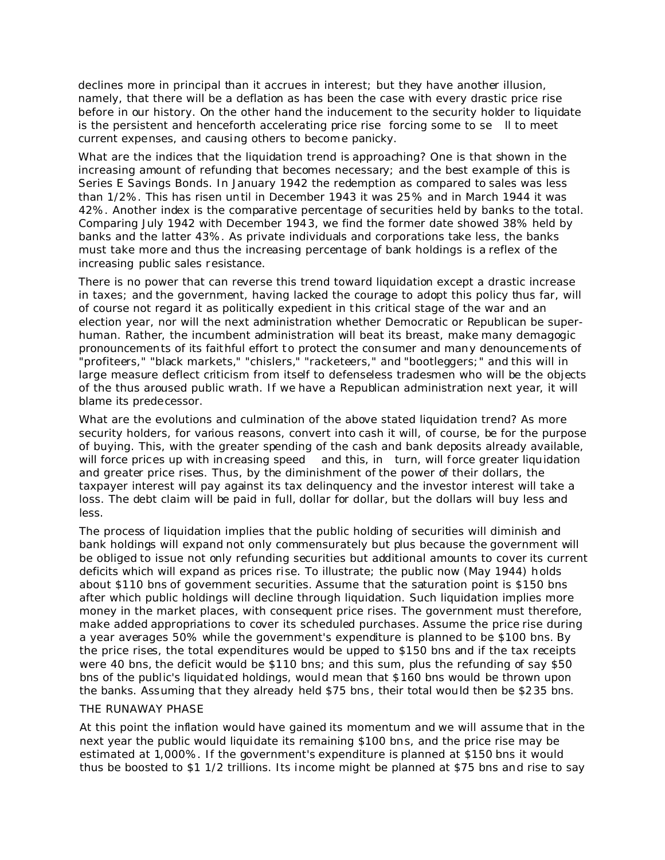declines more in principal than it accrues in interest; but they have another illusion, namely, that there will be a deflation as has been the case with every drastic price rise before in our history. On the other hand the inducement to the security holder to liquidate is the persistent and henceforth accelerating price rise forcing some to se ll to meet current expenses, and causing others to become panicky.

What are the indices that the liquidation trend is approaching? One is that shown in the increasing amount of refunding that becomes necessary; and the best example of this is Series E Savings Bonds. In January 1942 the redemption as compared to sales was less than 1/2%. This has risen until in December 1943 it was 25% and in March 1944 it was 42%. Another index is the comparative percentage of securities held by banks to the total. Comparing July 1942 with December 1943, we find the former date showed 38% held by banks and the latter 43%. As private individuals and corporations take less, the banks must take more and thus the increasing percentage of bank holdings is a reflex of the increasing public sales resistance.

There is no power that can reverse this trend toward liquidation except a drastic increase in taxes; and the government, having lacked the courage to adopt this policy thus far, will of course not regard it as politically expedient in this critical stage of the war and an election year, nor will the next administration whether Democratic or Republican be superhuman. Rather, the incumbent administration will beat its breast, make many demagogic pronouncements of its faithful effort to protect the consumer and many denouncements of "profiteers," "black markets," "chislers," "racketeers," and "bootleggers;" and this will in large measure deflect criticism from itself to defenseless tradesmen who will be the objects of the thus aroused public wrath. If we have a Republican administration next year, it will blame its predecessor.

What are the evolutions and culmination of the above stated liquidation trend? As more security holders, for various reasons, convert into cash it will, of course, be for the purpose of buying. This, with the greater spending of the cash and bank deposits already available, will force prices up with increasing speed and this, in turn, will force greater liquidation and greater price rises. Thus, by the diminishment of the power of their dollars, the taxpayer interest will pay against its tax delinquency and the investor interest will take a loss. The debt claim will be paid in full, dollar for dollar, but the dollars will buy less and less.

The process of liquidation implies that the public holding of securities will diminish and bank holdings will expand not only commensurately but plus because the government will be obliged to issue not only refunding securities but additional amounts to cover its current deficits which will expand as prices rise. To illustrate; the public now (May 1944) holds about \$110 bns of government securities. Assume that the saturation point is \$150 bns after which public holdings will decline through liquidation. Such liquidation implies more money in the market places, with consequent price rises. The government must therefore, make added appropriations to cover its scheduled purchases. Assume the price rise during a year averages 50% while the government's expenditure is planned to be \$100 bns. By the price rises, the total expenditures would be upped to \$150 bns and if the tax receipts were 40 bns, the deficit would be \$110 bns; and this sum, plus the refunding of say \$50 bns of the public's liquidated holdings, would mean that \$160 bns would be thrown upon the banks. Assuming that they already held \$75 bns, their total would then be \$235 bns.

#### THE RUNAWAY PHASE

At this point the inflation would have gained its momentum and we will assume that in the next year the public would liquidate its remaining \$100 bns, and the price rise may be estimated at 1,000%. If the government's expenditure is planned at \$150 bns it would thus be boosted to \$1 1/2 trillions. Its income might be planned at \$75 bns and rise to say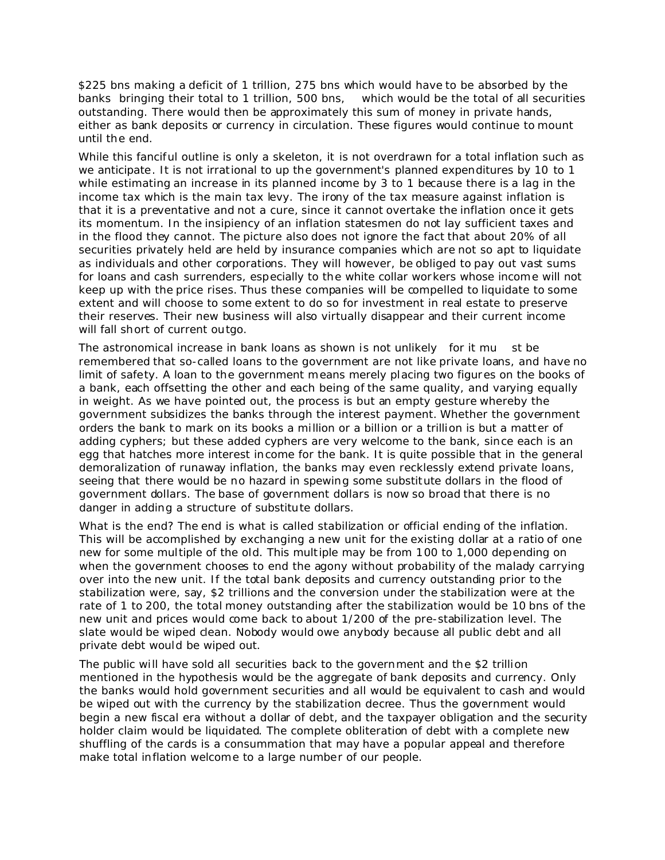\$225 bns making a deficit of 1 trillion, 275 bns which would have to be absorbed by the banks bringing their total to 1 trillion, 500 bns, which would be the total of all securities outstanding. There would then be approximately this sum of money in private hands, either as bank deposits or currency in circulation. These figures would continue to mount until the end.

While this fanciful outline is only a skeleton, it is not overdrawn for a total inflation such as we anticipate. It is not irrational to up the government's planned expenditures by 10 to 1 while estimating an increase in its planned income by 3 to 1 because there is a lag in the income tax which is the main tax levy. The irony of the tax measure against inflation is that it is a preventative and not a cure, since it cannot overtake the inflation once it gets its momentum. In the insipiency of an inflation statesmen do not lay sufficient taxes and in the flood they cannot. The picture also does not ignore the fact that about 20% of all securities privately held are held by insurance companies which are not so apt to liquidate as individuals and other corporations. They will however, be obliged to pay out vast sums for loans and cash surrenders, especially to the white collar workers whose income will not keep up with the price rises. Thus these companies will be compelled to liquidate to some extent and will choose to some extent to do so for investment in real estate to preserve their reserves. Their new business will also virtually disappear and their current income will fall short of current outgo.

The astronomical increase in bank loans as shown is not unlikely for it mu st be remembered that so-called loans to the government are not like private loans, and have no limit of safety. A loan to the government means merely placing two figures on the books of a bank, each offsetting the other and each being of the same quality, and varying equally in weight. As we have pointed out, the process is but an empty gesture whereby the government subsidizes the banks through the interest payment. Whether the government orders the bank to mark on its books a million or a billion or a trillion is but a matter of adding cyphers; but these added cyphers are very welcome to the bank, since each is an egg that hatches more interest income for the bank. It is quite possible that in the general demoralization of runaway inflation, the banks may even recklessly extend private loans, seeing that there would be no hazard in spewing some substitute dollars in the flood of government dollars. The base of government dollars is now so broad that there is no danger in adding a structure of substitute dollars.

What is the end? The end is what is called stabilization or official ending of the inflation. This will be accomplished by exchanging a new unit for the existing dollar at a ratio of one new for some multiple of the old. This multiple may be from 100 to 1,000 depending on when the government chooses to end the agony without probability of the malady carrying over into the new unit. If the total bank deposits and currency outstanding prior to the stabilization were, say, \$2 trillions and the conversion under the stabilization were at the rate of 1 to 200, the total money outstanding after the stabilization would be 10 bns of the new unit and prices would come back to about 1/200 of the pre-stabilization level. The slate would be wiped clean. Nobody would owe anybody because all public debt and all private debt would be wiped out.

The public will have sold all securities back to the government and the \$2 trillion mentioned in the hypothesis would be the aggregate of bank deposits and currency. Only the banks would hold government securities and all would be equivalent to cash and would be wiped out with the currency by the stabilization decree. Thus the government would begin a new fiscal era without a dollar of debt, and the taxpayer obligation and the security holder claim would be liquidated. The complete obliteration of debt with a complete new shuffling of the cards is a consummation that may have a popular appeal and therefore make total inflation welcome to a large number of our people.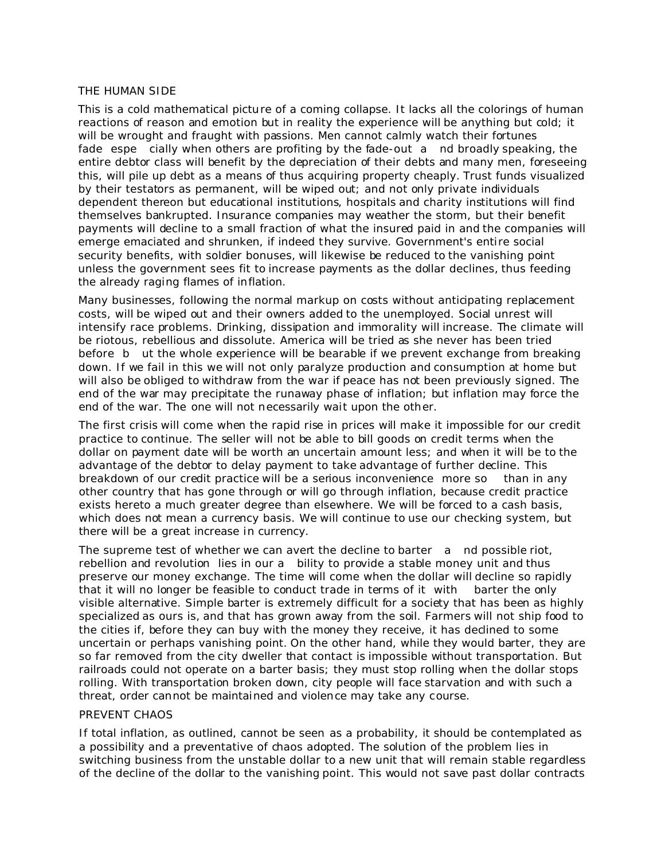## THE HUMAN SIDE

This is a cold mathematical picture of a coming collapse. It lacks all the colorings of human reactions of reason and emotion but in reality the experience will be anything but cold; it will be wrought and fraught with passions. Men cannot calmly watch their fortunes fade espe cially when others are profiting by the fade-out a nd broadly speaking, the entire debtor class will benefit by the depreciation of their debts and many men, foreseeing this, will pile up debt as a means of thus acquiring property cheaply. Trust funds visualized by their testators as permanent, will be wiped out; and not only private individuals dependent thereon but educational institutions, hospitals and charity institutions will find themselves bankrupted. Insurance companies may weather the storm, but their benefit payments will decline to a small fraction of what the insured paid in and the companies will emerge emaciated and shrunken, if indeed they survive. Government's entire social security benefits, with soldier bonuses, will likewise be reduced to the vanishing point unless the government sees fit to increase payments as the dollar declines, thus feeding the already raging flames of inflation.

Many businesses, following the normal markup on costs without anticipating replacement costs, will be wiped out and their owners added to the unemployed. Social unrest will intensify race problems. Drinking, dissipation and immorality will increase. The climate will be riotous, rebellious and dissolute. America will be tried as she never has been tried before b ut the whole experience will be bearable if we prevent exchange from breaking down. If we fail in this we will not only paralyze production and consumption at home but will also be obliged to withdraw from the war if peace has not been previously signed. The end of the war may precipitate the runaway phase of inflation; but inflation may force the end of the war. The one will not necessarily wait upon the other.

The first crisis will come when the rapid rise in prices will make it impossible for our credit practice to continue. The seller will not be able to bill goods on credit terms when the dollar on payment date will be worth an uncertain amount less; and when it will be to the advantage of the debtor to delay payment to take advantage of further decline. This breakdown of our credit practice will be a serious inconvenience more so than in any other country that has gone through or will go through inflation, because credit practice exists hereto a much greater degree than elsewhere. We will be forced to a cash basis, which does not mean a currency basis. We will continue to use our checking system, but there will be a great increase in currency.

The supreme test of whether we can avert the decline to barter a nd possible riot, rebellion and revolution lies in our a bility to provide a stable money unit and thus preserve our money exchange. The time will come when the dollar will decline so rapidly that it will no longer be feasible to conduct trade in terms of it with barter the only visible alternative. Simple barter is extremely difficult for a society that has been as highly specialized as ours is, and that has grown away from the soil. Farmers will not ship food to the cities if, before they can buy with the money they receive, it has declined to some uncertain or perhaps vanishing point. On the other hand, while they would barter, they are so far removed from the city dweller that contact is impossible without transportation. But railroads could not operate on a barter basis; they must stop rolling when the dollar stops rolling. With transportation broken down, city people will face starvation and with such a threat, order cannot be maintained and violence may take any course.

#### PREVENT CHAOS

If total inflation, as outlined, cannot be seen as a probability, it should be contemplated as a possibility and a preventative of chaos adopted. The solution of the problem lies in switching business from the unstable dollar to a new unit that will remain stable regardless of the decline of the dollar to the vanishing point. This would not save past dollar contracts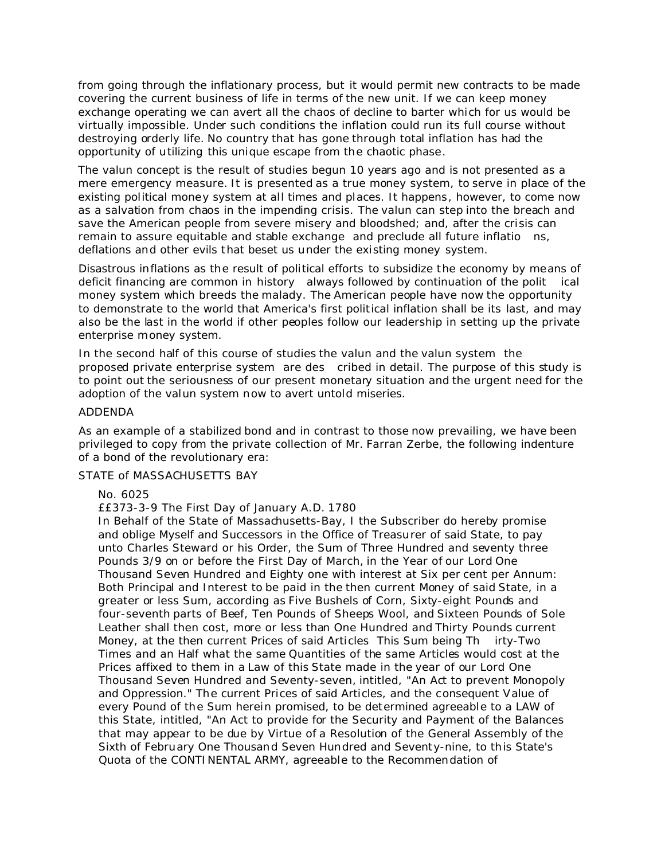from going through the inflationary process, but it would permit new contracts to be made covering the current business of life in terms of the new unit. If we can keep money exchange operating we can avert all the chaos of decline to barter which for us would be virtually impossible. Under such conditions the inflation could run its full course without destroying orderly life. No country that has gone through total inflation has had the opportunity of utilizing this unique escape from the chaotic phase.

The valun concept is the result of studies begun 10 years ago and is not presented as a mere emergency measure. It is presented as a true money system, to serve in place of the existing political money system at all times and places. It happens, however, to come now as a salvation from chaos in the impending crisis. The valun can step into the breach and save the American people from severe misery and bloodshed; and, after the crisis can remain to assure equitable and stable exchange and preclude all future inflatio ns, deflations and other evils that beset us under the existing money system.

Disastrous inflations as the result of political efforts to subsidize the economy by means of deficit financing are common in history always followed by continuation of the polit ical money system which breeds the malady. The American people have now the opportunity to demonstrate to the world that America's first political inflation shall be its last, and may also be the last in the world if other peoples follow our leadership in setting up the private enterprise money system.

In the second half of this course of studies the valun and the valun system the proposed private enterprise system are des cribed in detail. The purpose of this study is to point out the seriousness of our present monetary situation and the urgent need for the adoption of the valun system now to avert untold miseries.

#### ADDENDA

As an example of a stabilized bond and in contrast to those now prevailing, we have been privileged to copy from the private collection of Mr. Farran Zerbe, the following indenture of a bond of the revolutionary era:

#### STATE of MASSACHUSETTS BAY

#### No. 6025

££373-3-9 The First Day of January A.D. 1780

In Behalf of the State of Massachusetts-Bay, I the Subscriber do hereby promise and oblige Myself and Successors in the Office of Treasurer of said State, to pay unto Charles Steward or his Order, the Sum of Three Hundred and seventy three Pounds 3/9 on or before the First Day of March, in the Year of our Lord One Thousand Seven Hundred and Eighty one with interest at Six per cent per Annum: Both Principal and Interest to be paid in the then current Money of said State, in a greater or less Sum, according as Five Bushels of Corn, Sixty-eight Pounds and four-seventh parts of Beef, Ten Pounds of Sheeps Wool, and Sixteen Pounds of Sole Leather shall then cost, more or less than One Hundred and Thirty Pounds current Money, at the then current Prices of said Articles This Sum being Th irty-Two Times and an Half what the same Quantities of the same Articles would cost at the Prices affixed to them in a Law of this State made in the year of our Lord One Thousand Seven Hundred and Seventy-seven, intitled, "An Act to prevent Monopoly and Oppression." The current Prices of said Articles, and the consequent Value of every Pound of the Sum herein promised, to be determined agreeable to a LAW of this State, intitled, "An Act to provide for the Security and Payment of the Balances that may appear to be due by Virtue of a Resolution of the General Assembly of the Sixth of February One Thousand Seven Hundred and Seventy-nine, to this State's Quota of the CONTINENTAL ARMY, agreeable to the Recommendation of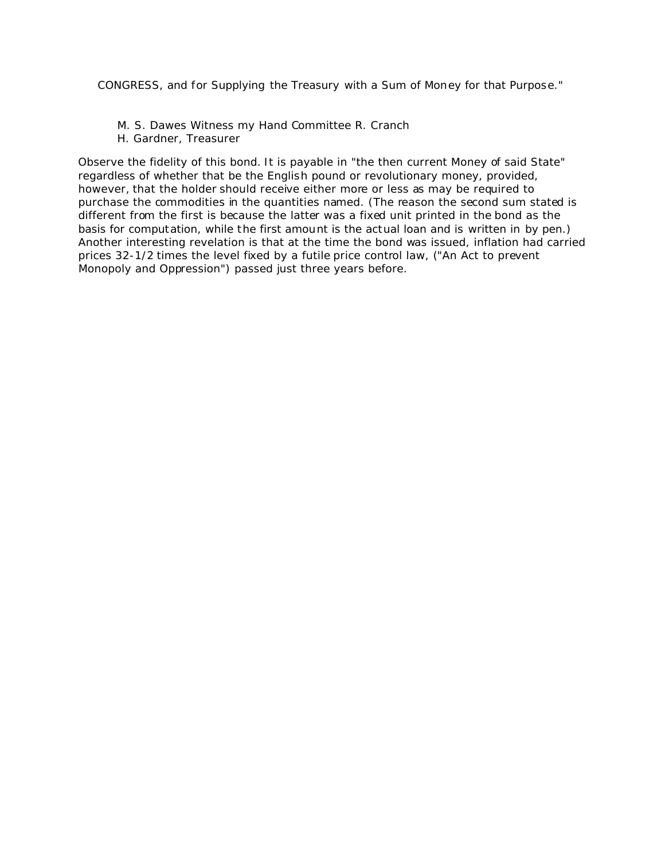CONGRESS, and for Supplying the Treasury with a Sum of Money for that Purpose."

- M. S. Dawes Witness my Hand Committee R. Cranch
- H. Gardner, Treasurer

Observe the fidelity of this bond. It is payable in "the then current Money of said State" regardless of whether that be the English pound or revolutionary money, provided, however, that the holder should receive either more or less as may be required to purchase the commodities in the quantities named. (The reason the second sum stated is different from the first is because the latter was a fixed unit printed in the bond as the basis for computation, while the first amount is the actual loan and is written in by pen.) Another interesting revelation is that at the time the bond was issued, inflation had carried prices 32-1/2 times the level fixed by a futile price control law, ("An Act to prevent Monopoly and Oppression") passed just three years before.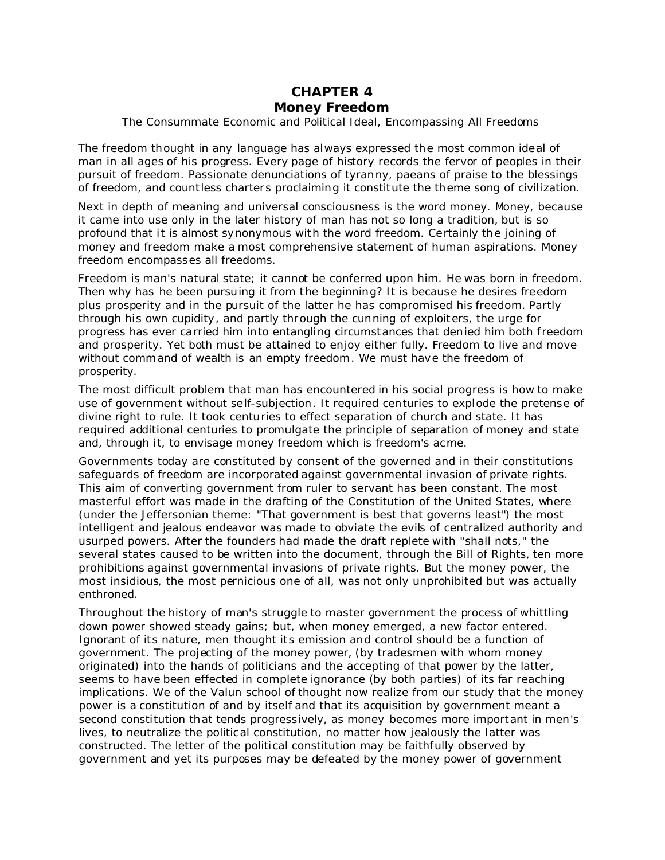# **CHAPTER 4**

## *Money Freedom*

### The Consummate Economic and Political Ideal, Encompassing All Freedoms

The freedom thought in any language has always expressed the most common ideal of man in all ages of his progress. Every page of history records the fervor of peoples in their pursuit of freedom. Passionate denunciations of tyranny, paeans of praise to the blessings of freedom, and countless charters proclaiming it constitute the theme song of civilization.

Next in depth of meaning and universal consciousness is the word money. Money, because it came into use only in the later history of man has not so long a tradition, but is so profound that it is almost synonymous with the word freedom. Certainly the joining of money and freedom make a most comprehensive statement of human aspirations. Money freedom encompasses all freedoms.

Freedom is man's natural state; it cannot be conferred upon him. He was born in freedom. Then why has he been pursuing it from the beginning? It is because he desires freedom plus prosperity and in the pursuit of the latter he has compromised his freedom. Partly through his own cupidity, and partly through the cunning of exploiters, the urge for progress has ever carried him into entangling circumstances that denied him both freedom and prosperity. Yet both must be attained to enjoy either fully. Freedom to live and move without command of wealth is an empty freedom. We must have the freedom of prosperity.

The most difficult problem that man has encountered in his social progress is how to make use of government without self-subjection. It required centuries to explode the pretense of divine right to rule. It took centuries to effect separation of church and state. It has required additional centuries to promulgate the principle of separation of money and state and, through it, to envisage money freedom which is freedom's acme.

Governments today are constituted by consent of the governed and in their constitutions safeguards of freedom are incorporated against governmental invasion of private rights. This aim of converting government from ruler to servant has been constant. The most masterful effort was made in the drafting of the Constitution of the United States, where (under the Jeffersonian theme: "That government is best that governs least") the most intelligent and jealous endeavor was made to obviate the evils of centralized authority and usurped powers. After the founders had made the draft replete with "shall nots," the several states caused to be written into the document, through the Bill of Rights, ten more prohibitions against governmental invasions of private rights. But the money power, the most insidious, the most pernicious one of all, was not only unprohibited but was actually enthroned.

Throughout the history of man's struggle to master government the process of whittling down power showed steady gains; but, when money emerged, a new factor entered. Ignorant of its nature, men thought its emission and control should be a function of government. The projecting of the money power, (by tradesmen with whom money originated) into the hands of politicians and the accepting of that power by the latter, seems to have been effected in complete ignorance (by both parties) of its far reaching implications. We of the Valun school of thought now realize from our study that the money power is a constitution of and by itself and that its acquisition by government meant a second constitution that tends progressively, as money becomes more important in men's lives, to neutralize the political constitution, no matter how jealously the latter was constructed. The letter of the political constitution may be faithfully observed by government and yet its purposes may be defeated by the money power of government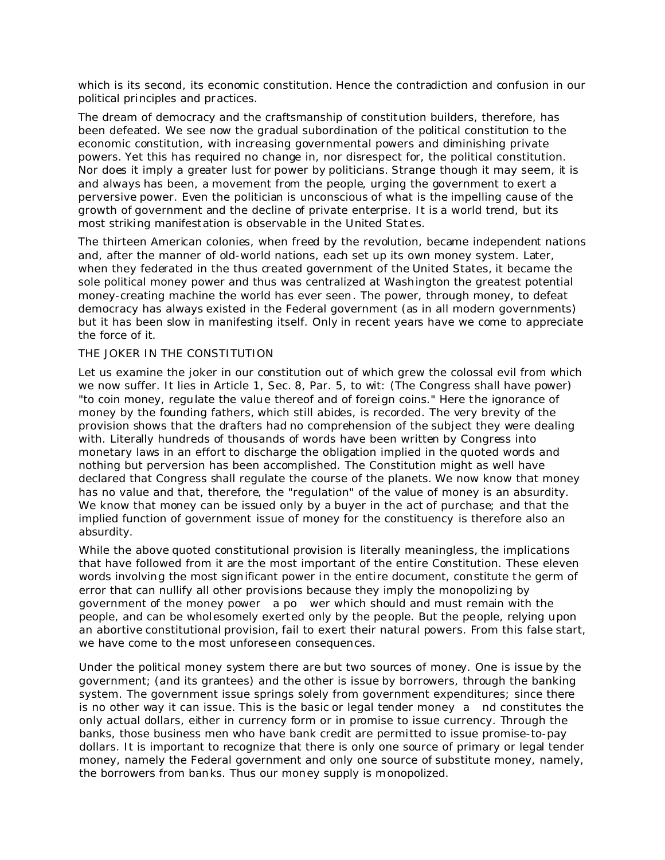which is its second, its economic constitution. Hence the contradiction and confusion in our political principles and practices.

The dream of democracy and the craftsmanship of constitution builders, therefore, has been defeated. We see now the gradual subordination of the political constitution to the economic constitution, with increasing governmental powers and diminishing private powers. Yet this has required no change in, nor disrespect for, the political constitution. Nor does it imply a greater lust for power by politicians. Strange though it may seem, it is and always has been, a movement from the people, urging the government to exert a perversive power. Even the politician is unconscious of what is the impelling cause of the growth of government and the decline of private enterprise. It is a world trend, but its most striking manifestation is observable in the United States.

The thirteen American colonies, when freed by the revolution, became independent nations and, after the manner of old-world nations, each set up its own money system. Later, when they federated in the thus created government of the United States, it became the sole political money power and thus was centralized at Washington the greatest potential money-creating machine the world has ever seen. The power, through money, to defeat democracy has always existed in the Federal government (as in all modern governments) but it has been slow in manifesting itself. Only in recent years have we come to appreciate the force of it.

### THE JOKER IN THE CONSTITUTION

Let us examine the joker in our constitution out of which grew the colossal evil from which we now suffer. It lies in Article 1, Sec. 8, Par. 5, to wit: (The Congress shall have power) "to coin money, regulate the value thereof and of foreign coins." Here the ignorance of money by the founding fathers, which still abides, is recorded. The very brevity of the provision shows that the drafters had no comprehension of the subject they were dealing with. Literally hundreds of thousands of words have been written by Congress into monetary laws in an effort to discharge the obligation implied in the quoted words and nothing but perversion has been accomplished. The Constitution might as well have declared that Congress shall regulate the course of the planets. We now know that money has no value and that, therefore, the "regulation" of the value of money is an absurdity. We know that money can be issued only by a buyer in the act of purchase; and that the implied function of government issue of money for the constituency is therefore also an absurdity.

While the above quoted constitutional provision is literally meaningless, the implications that have followed from it are the most important of the entire Constitution. These eleven words involving the most significant power in the entire document, constitute the germ of error that can nullify all other provisions because they imply the monopolizing by government of the money power a po wer which should and must remain with the people, and can be wholesomely exerted only by the people. But the people, relying upon an abortive constitutional provision, fail to exert their natural powers. From this false start, we have come to the most unforeseen consequences.

Under the political money system there are but two sources of money. One is issue by the government; (and its grantees) and the other is issue by borrowers, through the banking system. The government issue springs solely from government expenditures; since there is no other way it can issue. This is the basic or legal tender money a nd constitutes the only actual dollars, either in currency form or in promise to issue currency. Through the banks, those business men who have bank credit are permitted to issue promise-to-pay dollars. It is important to recognize that there is only one source of primary or legal tender money, namely the Federal government and only one source of substitute money, namely, the borrowers from banks. Thus our money supply is monopolized.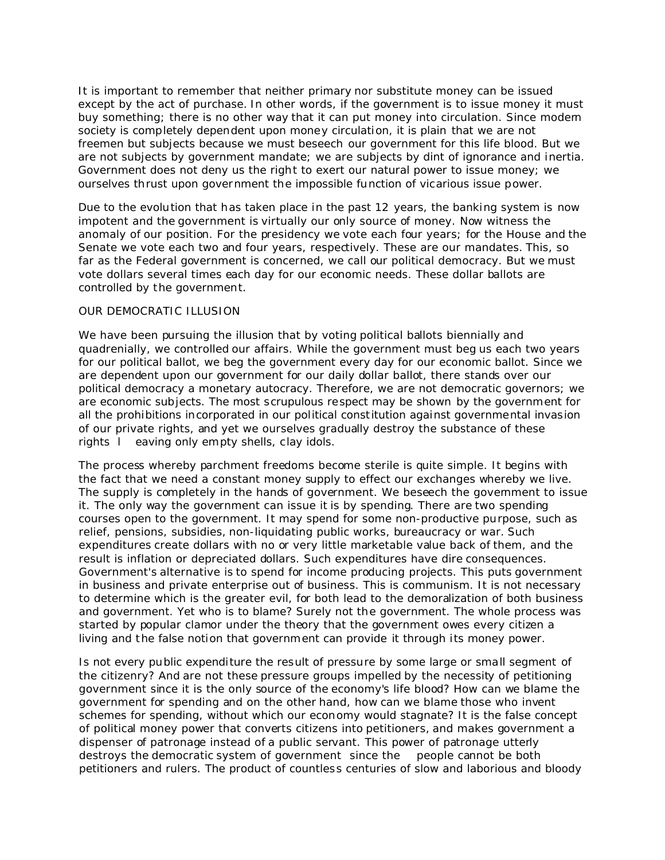It is important to remember that neither primary nor substitute money can be issued except by the act of purchase. In other words, if the government is to issue money it must buy something; there is no other way that it can put money into circulation. Since modern society is completely dependent upon money circulation, it is plain that we are not freemen but subjects because we must beseech our government for this life blood. But we are not subjects by government mandate; we are subjects by dint of ignorance and inertia. Government does not deny us the right to exert our natural power to issue money; we ourselves thrust upon government the impossible function of vicarious issue power.

Due to the evolution that has taken place in the past 12 years, the banking system is now impotent and the government is virtually our only source of money. Now witness the anomaly of our position. For the presidency we vote each four years; for the House and the Senate we vote each two and four years, respectively. These are our mandates. This, so far as the Federal government is concerned, we call our political democracy. But we must vote dollars several times each day for our economic needs. These dollar ballots are controlled by the government.

### OUR DEMOCRATIC ILLUSION

We have been pursuing the illusion that by voting political ballots biennially and quadrenially, we controlled our affairs. While the government must beg us each two years for our political ballot, we beg the government every day for our economic ballot. Since we are dependent upon our government for our daily dollar ballot, there stands over our political democracy a monetary autocracy. Therefore, we are not democratic governors; we are economic subjects. The most scrupulous respect may be shown by the government for all the prohibitions incorporated in our political constitution against governmental invasion of our private rights, and yet we ourselves gradually destroy the substance of these rights l eaving only empty shells, clay idols.

The process whereby parchment freedoms become sterile is quite simple. It begins with the fact that we need a constant money supply to effect our exchanges whereby we live. The supply is completely in the hands of government. We beseech the government to issue it. The only way the government can issue it is by spending. There are two spending courses open to the government. It may spend for some non-productive purpose, such as relief, pensions, subsidies, non-liquidating public works, bureaucracy or war. Such expenditures create dollars with no or very little marketable value back of them, and the result is inflation or depreciated dollars. Such expenditures have dire consequences. Government's alternative is to spend for income producing projects. This puts government in business and private enterprise out of business. This is communism. It is not necessary to determine which is the greater evil, for both lead to the demoralization of both business and government. Yet who is to blame? Surely not the government. The whole process was started by popular clamor under the theory that the government owes every citizen a living and the false notion that government can provide it through its money power.

Is not every public expenditure the result of pressure by some large or small segment of the citizenry? And are not these pressure groups impelled by the necessity of petitioning government since it is the only source of the economy's life blood? How can we blame the government for spending and on the other hand, how can we blame those who invent schemes for spending, without which our economy would stagnate? It is the false concept of political money power that converts citizens into petitioners, and makes government a dispenser of patronage instead of a public servant. This power of patronage utterly destroys the democratic system of government since the people cannot be both petitioners and rulers. The product of countless centuries of slow and laborious and bloody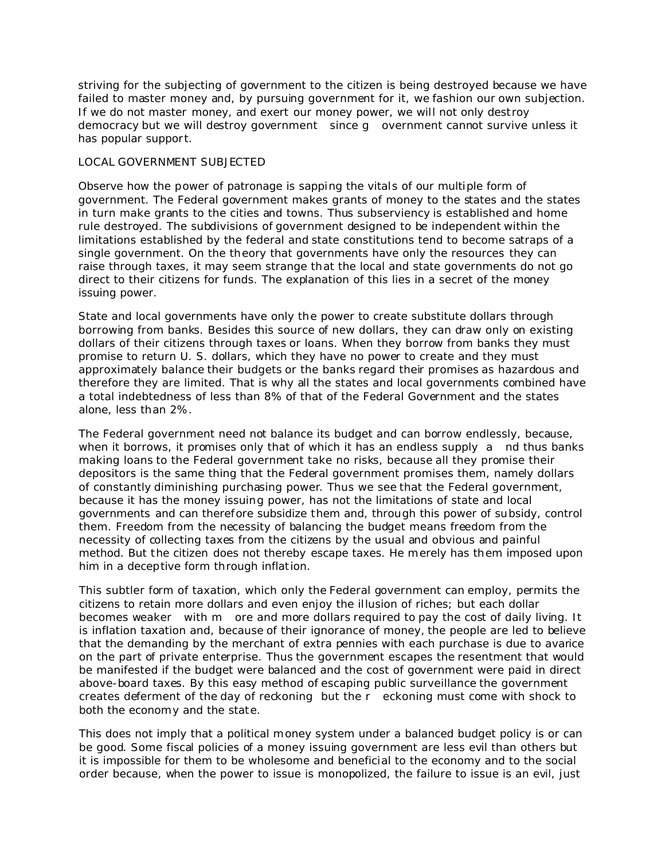striving for the subjecting of government to the citizen is being destroyed because we have failed to master money and, by pursuing government for it, we fashion our own subjection. If we do not master money, and exert our money power, we will not only destroy democracy but we will destroy government since g overnment cannot survive unless it has popular support.

### LOCAL GOVERNMENT SUBJECTED

Observe how the power of patronage is sapping the vitals of our multiple form of government. The Federal government makes grants of money to the states and the states in turn make grants to the cities and towns. Thus subserviency is established and home rule destroyed. The subdivisions of government designed to be independent within the limitations established by the federal and state constitutions tend to become satraps of a single government. On the theory that governments have only the resources they can raise through taxes, it may seem strange that the local and state governments do not go direct to their citizens for funds. The explanation of this lies in a secret of the money issuing power.

State and local governments have only the power to create substitute dollars through borrowing from banks. Besides this source of new dollars, they can draw only on existing dollars of their citizens through taxes or loans. When they borrow from banks they must promise to return U. S. dollars, which they have no power to create and they must approximately balance their budgets or the banks regard their promises as hazardous and therefore they are limited. That is why all the states and local governments combined have a total indebtedness of less than 8% of that of the Federal Government and the states alone, less than 2%.

The Federal government need not balance its budget and can borrow endlessly, because, when it borrows, it promises only that of which it has an endless supply a nd thus banks making loans to the Federal government take no risks, because all they promise their depositors is the same thing that the Federal government promises them, namely dollars of constantly diminishing purchasing power. Thus we see that the Federal government, because it has the money issuing power, has not the limitations of state and local governments and can therefore subsidize them and, through this power of subsidy, control them. Freedom from the necessity of balancing the budget means freedom from the necessity of collecting taxes from the citizens by the usual and obvious and painful method. But the citizen does not thereby escape taxes. He merely has them imposed upon him in a deceptive form through inflation.

This subtler form of taxation, which only the Federal government can employ, permits the citizens to retain more dollars and even enjoy the illusion of riches; but each dollar becomes weaker with m ore and more dollars required to pay the cost of daily living. It is inflation taxation and, because of their ignorance of money, the people are led to believe that the demanding by the merchant of extra pennies with each purchase is due to avarice on the part of private enterprise. Thus the government escapes the resentment that would be manifested if the budget were balanced and the cost of government were paid in direct above-board taxes. By this easy method of escaping public surveillance the government creates deferment of the day of reckoning but the r eckoning must come with shock to both the economy and the state.

This does not imply that a political money system under a balanced budget policy is or can be good. Some fiscal policies of a money issuing government are less evil than others but it is impossible for them to be wholesome and beneficial to the economy and to the social order because, when the power to issue is monopolized, the failure to issue is an evil, just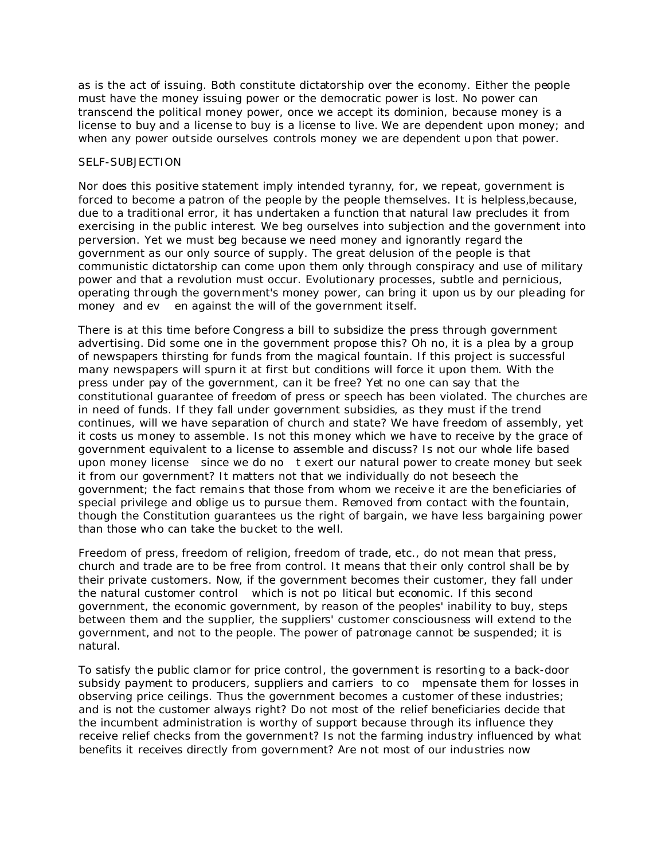as is the act of issuing. Both constitute dictatorship over the economy. Either the people must have the money issuing power or the democratic power is lost. No power can transcend the political money power, once we accept its dominion, because money is a license to buy and a license to buy is a license to live. We are dependent upon money; and when any power outside ourselves controls money we are dependent upon that power.

### SELF-SUBJECTION

Nor does this positive statement imply intended tyranny, for, we repeat, government is forced to become a patron of the people by the people themselves. It is helpless,because, due to a traditional error, it has undertaken a function that natural law precludes it from exercising in the public interest. We beg ourselves into subjection and the government into perversion. Yet we must beg because we need money and ignorantly regard the government as our only source of supply. The great delusion of the people is that communistic dictatorship can come upon them only through conspiracy and use of military power and that a revolution must occur. Evolutionary processes, subtle and pernicious, operating through the government's money power, can bring it upon us by our pleading for money and ev en against the will of the government itself.

There is at this time before Congress a bill to subsidize the press through government advertising. Did some one in the government propose this? Oh no, it is a plea by a group of newspapers thirsting for funds from the magical fountain. If this project is successful many newspapers will spurn it at first but conditions will force it upon them. With the press under pay of the government, can it be free? Yet no one can say that the constitutional guarantee of freedom of press or speech has been violated. The churches are in need of funds. If they fall under government subsidies, as they must if the trend continues, will we have separation of church and state? We have freedom of assembly, yet it costs us money to assemble. Is not this money which we have to receive by the grace of government equivalent to a license to assemble and discuss? Is not our whole life based upon money license since we do no t exert our natural power to create money but seek it from our government? It matters not that we individually do not beseech the government; the fact remains that those from whom we receive it are the beneficiaries of special privilege and oblige us to pursue them. Removed from contact with the fountain, though the Constitution guarantees us the right of bargain, we have less bargaining power than those who can take the bucket to the well.

Freedom of press, freedom of religion, freedom of trade, etc., do not mean that press, church and trade are to be free from control. It means that their only control shall be by their private customers. Now, if the government becomes their customer, they fall under the natural customer control which is not po litical but economic. If this second government, the economic government, by reason of the peoples' inability to buy, steps between them and the supplier, the suppliers' customer consciousness will extend to the government, and not to the people. The power of patronage cannot be suspended; it is natural.

To satisfy the public clamor for price control, the government is resorting to a back-door subsidy payment to producers, suppliers and carriers to co mpensate them for losses in observing price ceilings. Thus the government becomes a customer of these industries; and is not the customer always right? Do not most of the relief beneficiaries decide that the incumbent administration is worthy of support because through its influence they receive relief checks from the government? Is not the farming industry influenced by what benefits it receives directly from government? Are not most of our industries now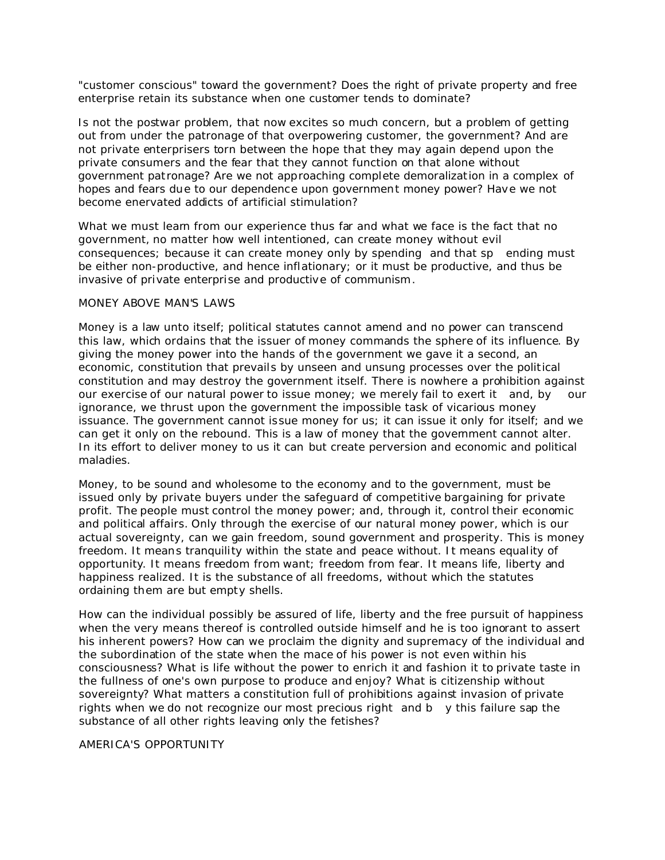"customer conscious" toward the government? Does the right of private property and free enterprise retain its substance when one customer tends to dominate?

Is not the postwar problem, that now excites so much concern, but a problem of getting out from under the patronage of that overpowering customer, the government? And are not private enterprisers torn between the hope that they may again depend upon the private consumers and the fear that they cannot function on that alone without government pat ronage? Are we not approaching complete demoralization in a complex of hopes and fears due to our dependence upon government money power? Have we not become enervated addicts of artificial stimulation?

What we must learn from our experience thus far and what we face is the fact that no government, no matter how well intentioned, can create money without evil consequences; because it can create money only by spending and that sp ending must be either non-productive, and hence inflationary; or it must be productive, and thus be invasive of private enterprise and productive of communism.

### MONEY ABOVE MAN'S LAWS

Money is a law unto itself; political statutes cannot amend and no power can transcend this law, which ordains that the issuer of money commands the sphere of its influence. By giving the money power into the hands of the government we gave it a second, an economic, constitution that prevails by unseen and unsung processes over the political constitution and may destroy the government itself. There is nowhere a prohibition against our exercise of our natural power to issue money; we merely fail to exert it and, by our ignorance, we thrust upon the government the impossible task of vicarious money issuance. The government cannot issue money for us; it can issue it only for itself; and we can get it only on the rebound. This is a law of money that the government cannot alter. In its effort to deliver money to us it can but create perversion and economic and political maladies.

Money, to be sound and wholesome to the economy and to the government, must be issued only by private buyers under the safeguard of competitive bargaining for private profit. The people must control the money power; and, through it, control their economic and political affairs. Only through the exercise of our natural money power, which is our actual sovereignty, can we gain freedom, sound government and prosperity. This is money freedom. It means tranquility within the state and peace without. It means equality of opportunity. It means freedom from want; freedom from fear. It means life, liberty and happiness realized. It is the substance of all freedoms, without which the statutes ordaining them are but empty shells.

How can the individual possibly be assured of life, liberty and the free pursuit of happiness when the very means thereof is controlled outside himself and he is too ignorant to assert his inherent powers? How can we proclaim the dignity and supremacy of the individual and the subordination of the state when the mace of his power is not even within his consciousness? What is life without the power to enrich it and fashion it to private taste in the fullness of one's own purpose to produce and enjoy? What is citizenship without sovereignty? What matters a constitution full of prohibitions against invasion of private rights when we do not recognize our most precious right and b y this failure sap the substance of all other rights leaving only the fetishes?

### AMERICA'S OPPORTUNITY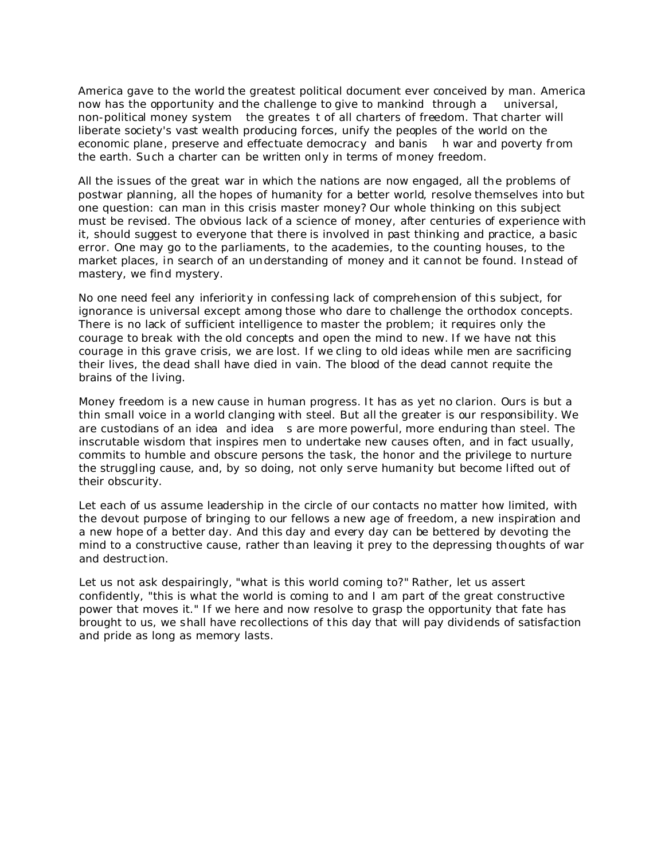America gave to the world the greatest political document ever conceived by man. America now has the opportunity and the challenge to give to mankind through a universal, non-political money system the greates t of all charters of freedom. That charter will liberate society's vast wealth producing forces, unify the peoples of the world on the economic plane, preserve and effectuate democracy and banis h war and poverty from the earth. Such a charter can be written only in terms of money freedom.

All the issues of the great war in which the nations are now engaged, all the problems of postwar planning, all the hopes of humanity for a better world, resolve themselves into but one question: can man in this crisis master money? Our whole thinking on this subject must be revised. The obvious lack of a science of money, after centuries of experience with it, should suggest to everyone that there is involved in past thinking and practice, a basic error. One may go to the parliaments, to the academies, to the counting houses, to the market places, in search of an understanding of money and it cannot be found. Instead of mastery, we find mystery.

No one need feel any inferiority in confessing lack of comprehension of this subject, for ignorance is universal except among those who dare to challenge the orthodox concepts. There is no lack of sufficient intelligence to master the problem; it requires only the courage to break with the old concepts and open the mind to new. If we have not this courage in this grave crisis, we are lost. If we cling to old ideas while men are sacrificing their lives, the dead shall have died in vain. The blood of the dead cannot requite the brains of the living.

Money freedom is a new cause in human progress. It has as yet no clarion. Ours is but a thin small voice in a world clanging with steel. But all the greater is our responsibility. We are custodians of an idea and idea s are more powerful, more enduring than steel. The inscrutable wisdom that inspires men to undertake new causes often, and in fact usually, commits to humble and obscure persons the task, the honor and the privilege to nurture the struggling cause, and, by so doing, not only serve humanity but become lifted out of their obscurity.

Let each of us assume leadership in the circle of our contacts no matter how limited, with the devout purpose of bringing to our fellows a new age of freedom, a new inspiration and a new hope of a better day. And this day and every day can be bettered by devoting the mind to a constructive cause, rather than leaving it prey to the depressing thoughts of war and destruction.

Let us not ask despairingly, "what is this world coming to?" Rather, let us assert confidently, "this is what the world is coming to and I am part of the great constructive power that moves it." If we here and now resolve to grasp the opportunity that fate has brought to us, we shall have recollections of this day that will pay dividends of satisfaction and pride as long as memory lasts.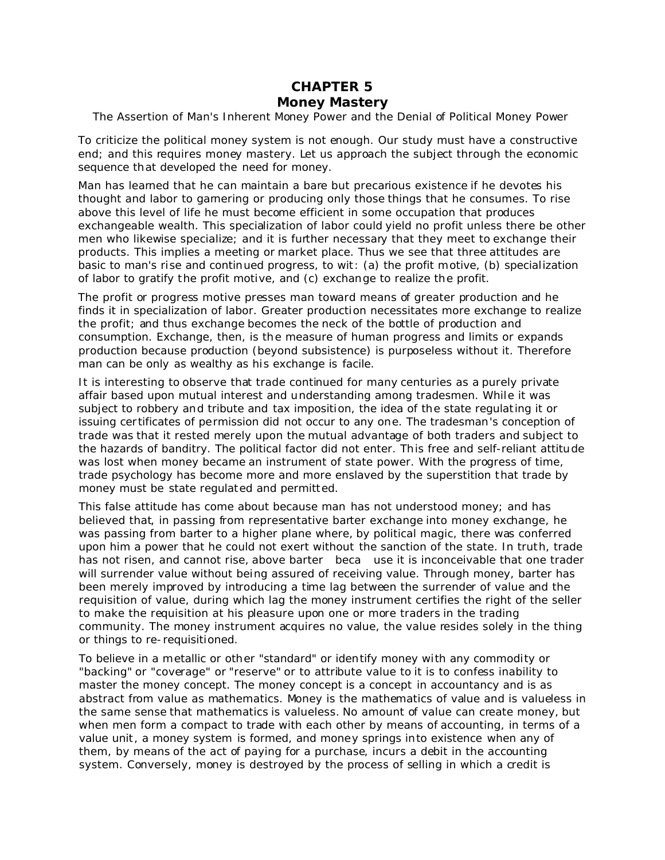# **CHAPTER 5**

## *Money Mastery*

The Assertion of Man's Inherent Money Power and the Denial of Political Money Power

To criticize the political money system is not enough. Our study must have a constructive end; and this requires money mastery. Let us approach the subject through the economic sequence that developed the need for money.

Man has learned that he can maintain a bare but precarious existence if he devotes his thought and labor to garnering or producing only those things that he consumes. To rise above this level of life he must become efficient in some occupation that produces exchangeable wealth. This specialization of labor could yield no profit unless there be other men who likewise specialize; and it is further necessary that they meet to exchange their products. This implies a meeting or market place. Thus we see that three attitudes are basic to man's rise and continued progress, to wit: (a) the profit motive, (b) specialization of labor to gratify the profit motive, and (c) exchange to realize the profit.

The profit or progress motive presses man toward means of greater production and he finds it in specialization of labor. Greater production necessitates more exchange to realize the profit; and thus exchange becomes the neck of the bottle of production and consumption. Exchange, then, is the measure of human progress and limits or expands production because production (beyond subsistence) is purposeless without it. Therefore man can be only as wealthy as his exchange is facile.

It is interesting to observe that trade continued for many centuries as a purely private affair based upon mutual interest and understanding among tradesmen. While it was subject to robbery and tribute and tax imposition, the idea of the state regulating it or issuing cer tificates of permission did not occur to any one. The tradesman's conception of trade was that it rested merely upon the mutual advantage of both traders and subject to the hazards of banditry. The political factor did not enter. This free and self-reliant attitude was lost when money became an instrument of state power. With the progress of time, trade psychology has become more and more enslaved by the superstition that trade by money must be state regulated and permitted.

This false attitude has come about because man has not understood money; and has believed that, in passing from representative barter exchange into money exchange, he was passing from barter to a higher plane where, by political magic, there was conferred upon him a power that he could not exert without the sanction of the state. In truth, trade has not risen, and cannot rise, above barter beca use it is inconceivable that one trader will surrender value without being assured of receiving value. Through money, barter has been merely improved by introducing a time lag between the surrender of value and the requisition of value, during which lag the money instrument certifies the right of the seller to make the requisition at his pleasure upon one or more traders in the trading community. The money instrument acquires no value, the value resides solely in the thing or things to re-requisitioned.

To believe in a metallic or other "standard" or identify money with any commodity or "backing" or "coverage" or "reserve" or to attribute value to it is to confess inability to master the money concept. The money concept is a concept in accountancy and is as abstract from value as mathematics. Money is the mathematics of value and is valueless in the same sense that mathematics is valueless. No amount of value can create money, but when men form a compact to trade with each other by means of accounting, in terms of a value unit, a money system is formed, and money springs into existence when any of them, by means of the act of paying for a purchase, incurs a debit in the accounting system. Conversely, money is destroyed by the process of selling in which a credit is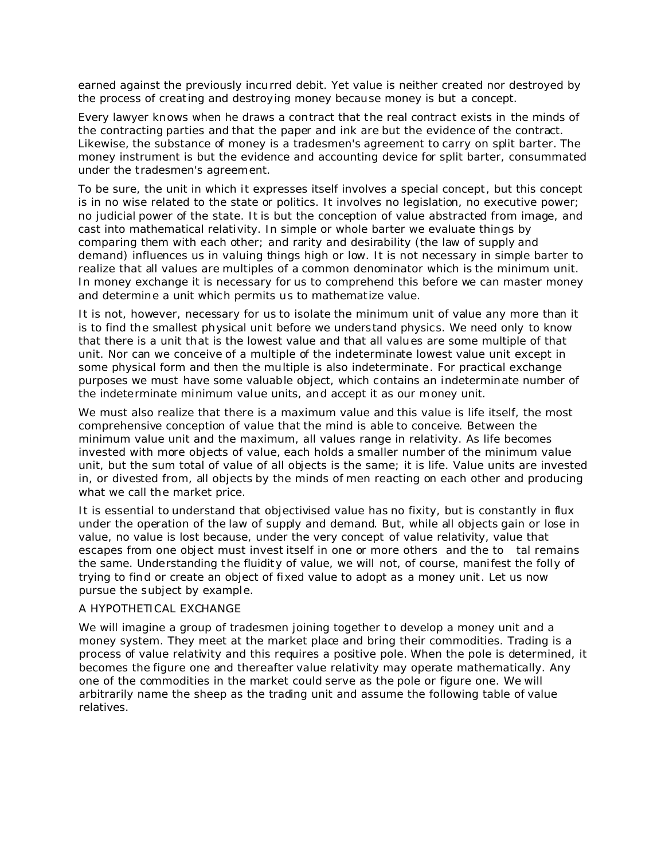earned against the previously incurred debit. Yet value is neither created nor destroyed by the process of creating and destroying money because money is but a concept.

Every lawyer knows when he draws a contract that the real contract exists in the minds of the contracting parties and that the paper and ink are but the evidence of the contract. Likewise, the substance of money is a tradesmen's agreement to carry on split barter. The money instrument is but the evidence and accounting device for split barter, consummated under the tradesmen's agreement.

To be sure, the unit in which it expresses itself involves a special concept, but this concept is in no wise related to the state or politics. It involves no legislation, no executive power; no judicial power of the state. It is but the conception of value abstracted from image, and cast into mathematical relativity. In simple or whole barter we evaluate things by comparing them with each other; and rarity and desirability (the law of supply and demand) influences us in valuing things high or low. It is not necessary in simple barter to realize that all values are multiples of a common denominator which is the minimum unit. In money exchange it is necessary for us to comprehend this before we can master money and determine a unit which permits us to mathematize value.

It is not, however, necessary for us to isolate the minimum unit of value any more than it is to find the smallest physical unit before we understand physics. We need only to know that there is a unit that is the lowest value and that all values are some multiple of that unit. Nor can we conceive of a multiple of the indeterminate lowest value unit except in some physical form and then the multiple is also indeterminate. For practical exchange purposes we must have some valuable object, which contains an indeterminate number of the indeterminate minimum value units, and accept it as our money unit.

We must also realize that there is a maximum value and this value is life itself, the most comprehensive conception of value that the mind is able to conceive. Between the minimum value unit and the maximum, all values range in relativity. As life becomes invested with more objects of value, each holds a smaller number of the minimum value unit, but the sum total of value of all objects is the same; it is life. Value units are invested in, or divested from, all objects by the minds of men reacting on each other and producing what we call the market price.

It is essential to understand that objectivised value has no fixity, but is constantly in flux under the operation of the law of supply and demand. But, while all objects gain or lose in value, no value is lost because, under the very concept of value relativity, value that escapes from one object must invest itself in one or more others and the to tal remains the same. Understanding the fluidity of value, we will not, of course, manifest the folly of trying to find or create an object of fixed value to adopt as a money unit. Let us now pursue the subject by example.

### A HYPOTHETICAL EXCHANGE

We will imagine a group of tradesmen joining together to develop a money unit and a money system. They meet at the market place and bring their commodities. Trading is a process of value relativity and this requires a positive pole. When the pole is determined, it becomes the figure one and thereafter value relativity may operate mathematically. Any one of the commodities in the market could serve as the pole or figure one. We will arbitrarily name the sheep as the trading unit and assume the following table of value relatives.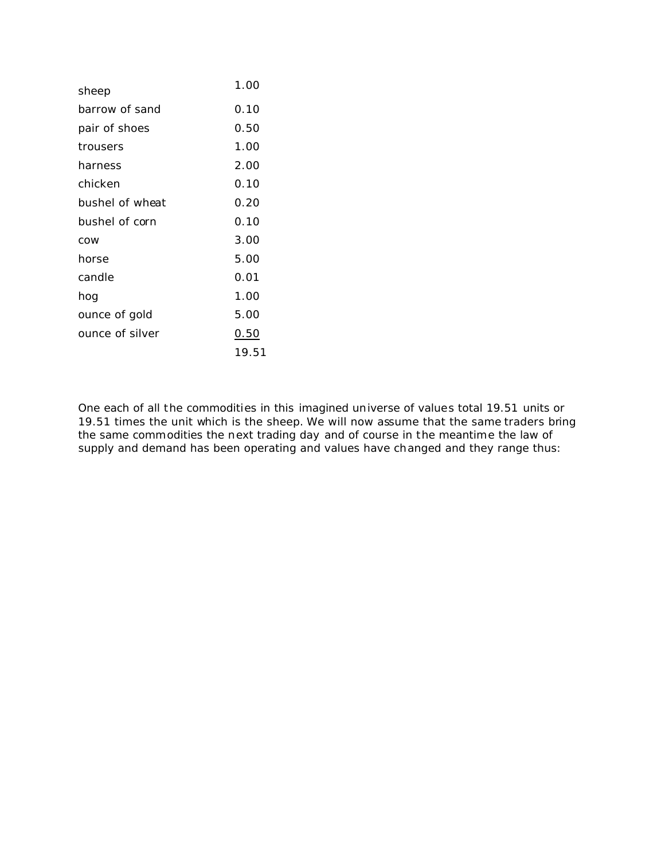| sheep           | 1.00  |
|-----------------|-------|
| barrow of sand  | 0.10  |
| pair of shoes   | 0.50  |
| trousers        | 1.00  |
| harness         | 2.00  |
| chicken         | 0.10  |
| bushel of wheat | 0.20  |
| bushel of corn  | 0.10  |
| COW             | 3.00  |
| horse           | 5.00  |
| candle          | 0.01  |
| hog             | 1.00  |
| ounce of gold   | 5.00  |
| ounce of silver | 0.50  |
|                 | 19.51 |

One each of all the commodities in this imagined universe of values total 19.51 units or 19.51 times the unit which is the sheep. We will now assume that the same traders bring the same commodities the next trading day and of course in the meantime the law of supply and demand has been operating and values have changed and they range thus: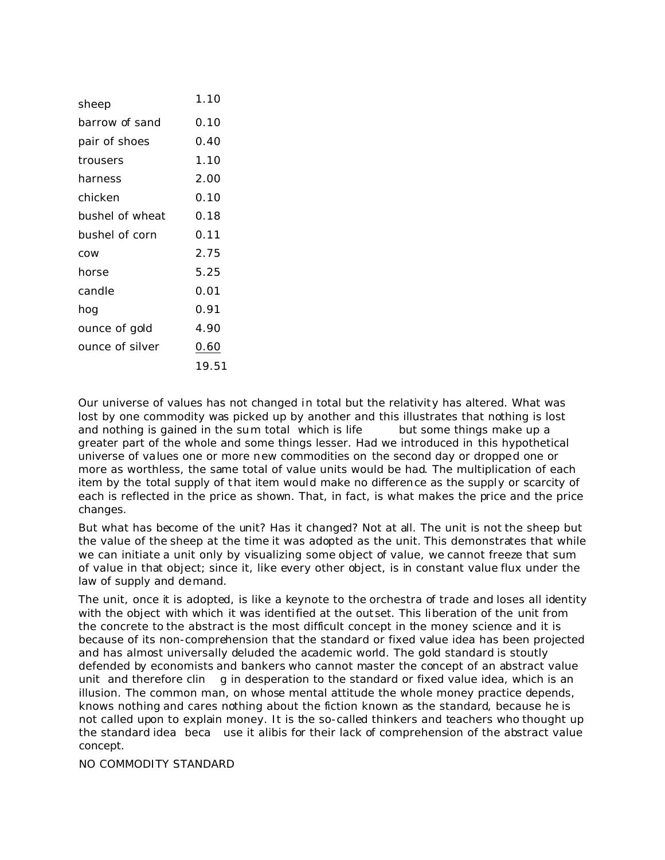| sheep           | 1.10  |
|-----------------|-------|
|                 |       |
| barrow of sand  | 0.10  |
| pair of shoes   | 0.40  |
| trousers        | 1.10  |
| harness         | 2.00  |
| chicken         | 0.10  |
| bushel of wheat | 0.18  |
| bushel of corn  | 0.11  |
| COW             | 2.75  |
| horse           | 5.25  |
| candle          | 0.01  |
| hog             | 0.91  |
| ounce of gold   | 4.90  |
| ounce of silver | 0.60  |
|                 | 19.51 |

Our universe of values has not changed in total but the relativity has altered. What was lost by one commodity was picked up by another and this illustrates that nothing is lost and nothing is gained in the sum total which is life but some things make up a greater part of the whole and some things lesser. Had we introduced in this hypothetical universe of values one or more new commodities on the second day or dropped one or more as worthless, the same total of value units would be had. The multiplication of each item by the total supply of that item would make no difference as the supply or scarcity of each is reflected in the price as shown. That, in fact, is what makes the price and the price changes.

But what has become of the unit? Has it changed? Not at all. The unit is not the sheep but the value of the sheep at the time it was adopted as the unit. This demonstrates that while we can initiate a unit only by visualizing some object of value, we cannot freeze that sum of value in that object; since it, like every other object, is in constant value flux under the law of supply and demand.

The unit, once it is adopted, is like a keynote to the orchestra of trade and loses all identity with the object with which it was identified at the outset. This liberation of the unit from the concrete to the abstract is the most difficult concept in the money science and it is because of its non-comprehension that the standard or fixed value idea has been projected and has almost universally deluded the academic world. The gold standard is stoutly defended by economists and bankers who cannot master the concept of an abstract value unit and therefore clin g in desperation to the standard or fixed value idea, which is an illusion. The common man, on whose mental attitude the whole money practice depends, knows nothing and cares nothing about the fiction known as the standard, because he is not called upon to explain money. It is the so-called thinkers and teachers who thought up the standard idea beca use it alibis for their lack of comprehension of the abstract value concept.

NO COMMODITY STANDARD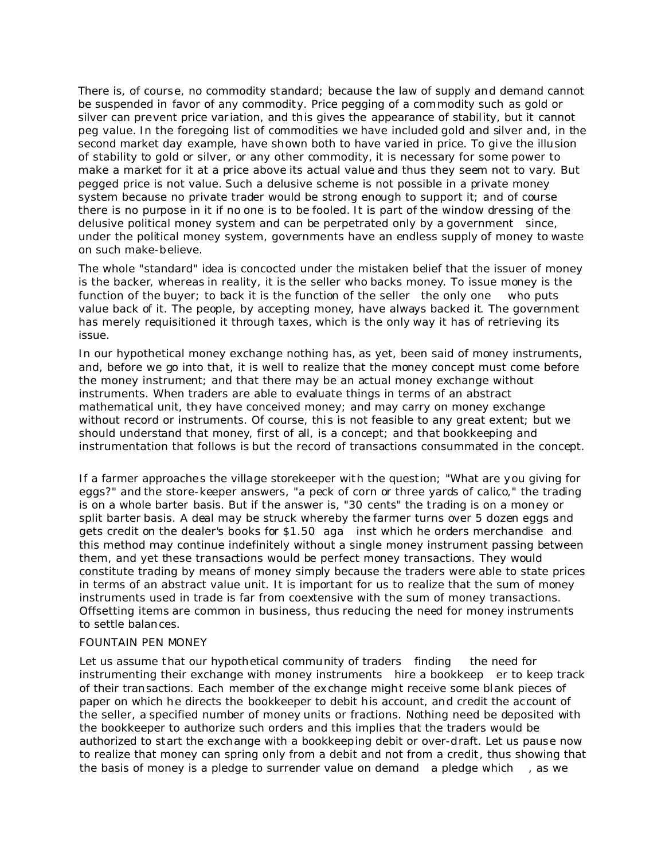There is, of course, no commodity standard; because the law of supply and demand cannot be suspended in favor of any commodity. Price pegging of a commodity such as gold or silver can prevent price variation, and this gives the appearance of stability, but it cannot peg value. In the foregoing list of commodities we have included gold and silver and, in the second market day example, have shown both to have varied in price. To give the illusion of stability to gold or silver, or any other commodity, it is necessary for some power to make a market for it at a price above its actual value and thus they seem not to vary. But pegged price is not value. Such a delusive scheme is not possible in a private money system because no private trader would be strong enough to support it; and of course there is no purpose in it if no one is to be fooled. It is part of the window dressing of the delusive political money system and can be perpetrated only by a government since, under the political money system, governments have an endless supply of money to waste on such make-believe.

The whole "standard" idea is concocted under the mistaken belief that the issuer of money is the backer, whereas in reality, it is the seller who backs money. To issue money is the function of the buyer; to back it is the function of the seller the only one who puts value back of it. The people, by accepting money, have always backed it. The government has merely requisitioned it through taxes, which is the only way it has of retrieving its issue.

In our hypothetical money exchange nothing has, as yet, been said of money instruments, and, before we go into that, it is well to realize that the money concept must come before the money instrument; and that there may be an actual money exchange without instruments. When traders are able to evaluate things in terms of an abstract mathematical unit, they have conceived money; and may carry on money exchange without record or instruments. Of course, this is not feasible to any great extent; but we should understand that money, first of all, is a concept; and that bookkeeping and instrumentation that follows is but the record of transactions consummated in the concept.

If a farmer approaches the village storekeeper with the question; "What are you giving for eggs?" and the store-keeper answers, "a peck of corn or three yards of calico," the trading is on a whole barter basis. But if the answer is, "30 cents" the trading is on a money or split barter basis. A deal may be struck whereby the farmer turns over 5 dozen eggs and gets credit on the dealer's books for \$1.50 aga inst which he orders merchandise and this method may continue indefinitely without a single money instrument passing between them, and yet these transactions would be perfect money transactions. They would constitute trading by means of money simply because the traders were able to state prices in terms of an abstract value unit. It is important for us to realize that the sum of money instruments used in trade is far from coextensive with the sum of money transactions. Offsetting items are common in business, thus reducing the need for money instruments to settle balances.

### FOUNTAIN PEN MONEY

Let us assume that our hypothetical community of traders finding the need for instrumenting their exchange with money instruments hire a bookkeep er to keep track of their transactions. Each member of the exchange might receive some blank pieces of paper on which he directs the bookkeeper to debit his account, and credit the account of the seller, a specified number of money units or fractions. Nothing need be deposited with the bookkeeper to authorize such orders and this implies that the traders would be authorized to start the exchange with a bookkeeping debit or over-draft. Let us pause now to realize that money can spring only from a debit and not from a credit, thus showing that the basis of money is a pledge to surrender value on demand a pledge which , as we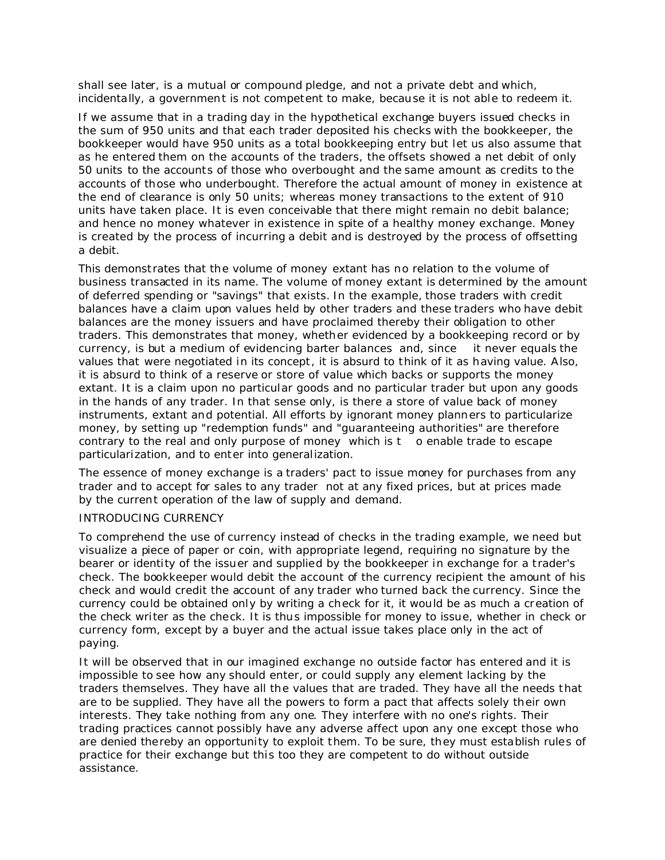shall see later, is a mutual or compound pledge, and not a private debt and which, incidentally, a government is not competent to make, because it is not able to redeem it.

If we assume that in a trading day in the hypothetical exchange buyers issued checks in the sum of 950 units and that each trader deposited his checks with the bookkeeper, the bookkeeper would have 950 units as a total bookkeeping entry but let us also assume that as he entered them on the accounts of the traders, the offsets showed a net debit of only 50 units to the accounts of those who *over*bought and the same amount as credits to the accounts of those who *under*bought. Therefore the actual amount of money in existence at the end of clearance is only 50 units; whereas money transactions to the extent of 910 units have taken place. It is even conceivable that there might remain no debit balance; and hence no money whatever in existence in spite of a healthy money exchange. Money is created by the process of incurring a debit and is destroyed by the process of offsetting a debit.

This demonstrates that the volume of money extant has no relation to the volume of business transacted in its name. The volume of money extant is determined by the amount of *deferred spending* or "*savings*" that exists. In the example, those traders with credit balances have a claim upon values held by other traders and these traders who have debit balances are the money issuers and have proclaimed thereby their obligation to other traders. This demonstrates that money, whether evidenced by a bookkeeping record or by currency, is but a medium of evidencing barter balances and, since it never equals the values that were negotiated in its concept, it is absurd to think of it as having value. Also, it is absurd to think of a reserve or store of value which backs or supports the money extant. It is a claim upon no particular goods and no particular trader but upon any goods in the hands of any trader. In that sense only, is there a store of value back of money instruments, extant and potential. All efforts by ignorant money planners to particularize money, by setting up "redemption funds" and "guaranteeing authorities" are therefore contrary to the real and only purpose of money which is t o enable trade to escape particularization, and to enter into generalization.

The essence of money exchange is a traders' pact to issue money for purchases *from* any trader and to accept for sales *to* any trader not at any fixed prices, but at prices made by the current operation of the law of supply and demand.

### INTRODUCING CURRENCY

To comprehend the use of currency instead of checks in the trading example, we need but visualize a piece of paper or coin, with appropriate legend, requiring no signature by the bearer or identity of the issuer and supplied by the bookkeeper in exchange for a t rader's check. The bookkeeper would debit the account of the currency recipient the amount of his check and would credit the account of any trader who turned back the currency. Since the currency could be obtained only by writing a check for it, it would be as much a creation of the check writer as the check. It is thus impossible for money to issue, whether in check or currency form, except *by a buyer* and the actual issue takes place only *in the act of paying*.

It will be observed that in our imagined exchange no outside factor has entered and it is impossible to see how any should enter, or could supply any element lacking by the traders themselves. They have all the values that are traded. They have all the needs that are to be supplied. They have all the powers to form a pact that affects solely their own interests. They take nothing from any one. They interfere with no one's rights. Their trading practices cannot possibly have any adverse affect upon any one except those who are denied thereby an opportunity to exploit them. To be sure, they must establish rules of practice for their exchange but this too they are competent to do without outside assistance.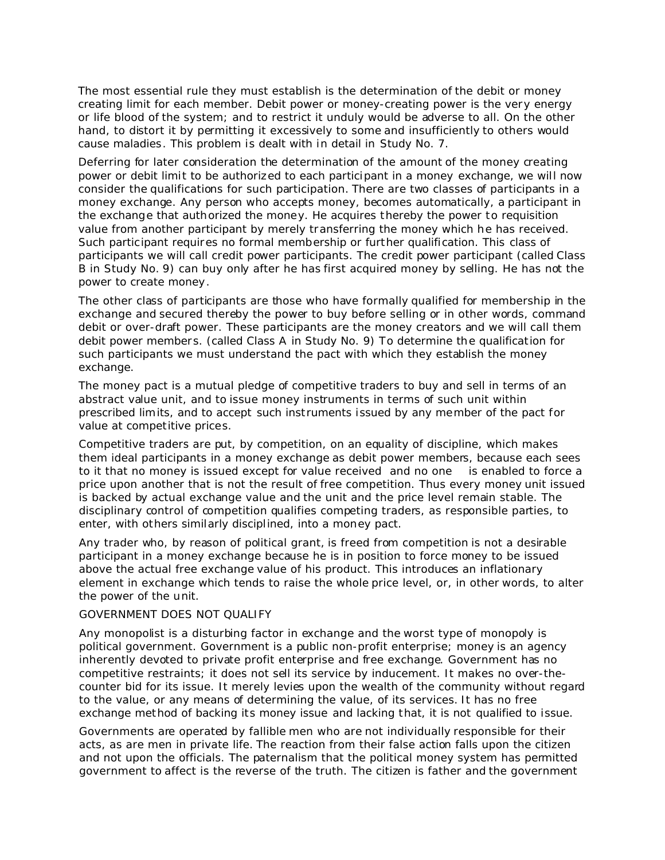The most essential rule they must establish is the determination of the debit or money creating limit for each member. Debit power or money-creating power is the very energy or life blood of the system; and to restrict it unduly would be adverse to all. On the other hand, to distort it by permitting it excessively to some and insufficiently to others would cause maladies. This problem is dealt with in detail in Study No. 7.

Deferring for later consideration the determination of the amount of the money creating power or debit limit to be authorized to each participant in a money exchange, we will now consider the qualifications for such participation. There are two classes of participants in a money exchange. Any person who accepts money, becomes automatically, a participant in the exchange that authorized the money. He acquires thereby the power to requisition value from another participant by merely transferring the money which he has received. Such participant requires no formal membership or further qualification. This class of participants we will call credit power participants. The credit power participant (called Class B in Study No. 9) can buy only after he has first acquired money by selling. He has not the power to create money.

The other class of participants are those who have formally qualified for membership in the exchange and secured thereby the power to buy before selling or in other words, command debit or over-draft power. These participants are the money creators and we will call them debit power members. (called Class A in Study No. 9) To determine the qualification for such participants we must understand the pact with which they establish the money exchange.

The money pact is a mutual pledge of *competitive* traders to buy and sell in terms of an abstract value unit, and to issue money instruments in terms of such unit within prescribed limits, and to accept such instruments issued by any member of the pact for value at competitive prices.

Competitive traders are put, by competition, on an equality of discipline, which makes them ideal participants in a money exchange as debit power members, because each sees to it that no money is issued except for value received and no one is enabled to force a price upon another that is not the result of free competition. Thus every money unit issued is backed by actual exchange value and the unit and the price level remain stable. The disciplinary control of competition qualifies competing traders, as responsible parties, to enter, with others similarly disciplined, into a money pact.

Any trader who, by reason of political grant, is freed from competition is not a desirable participant in a money exchange because he is in position to force money to be issued above the actual free exchange value of his product. This introduces an inflationary element in exchange which tends to raise the whole price level, or, in other words, to alter the power of the unit.

### GOVERNMENT DOES NOT QUALIFY

Any monopolist is a disturbing factor in exchange and the worst type of monopoly is political government. Government is a public non-profit enterprise; money is an agency inherently devoted to private profit enterprise and free exchange. Government has no competitive restraints; it does not sell its service by inducement. It makes no over-thecounter bid for its issue. It merely levies upon the wealth of the community without regard to the value, or any means of determining the value, of its services. It has no free exchange method of backing its money issue and lacking that, it is not qualified to issue.

Governments are operated by fallible men who are not individually responsible for their acts, as are men in private life. The reaction from their false action falls upon the citizen and not upon the officials. The paternalism that the political money system has permitted government to affect is the reverse of the truth. The citizen is father and the government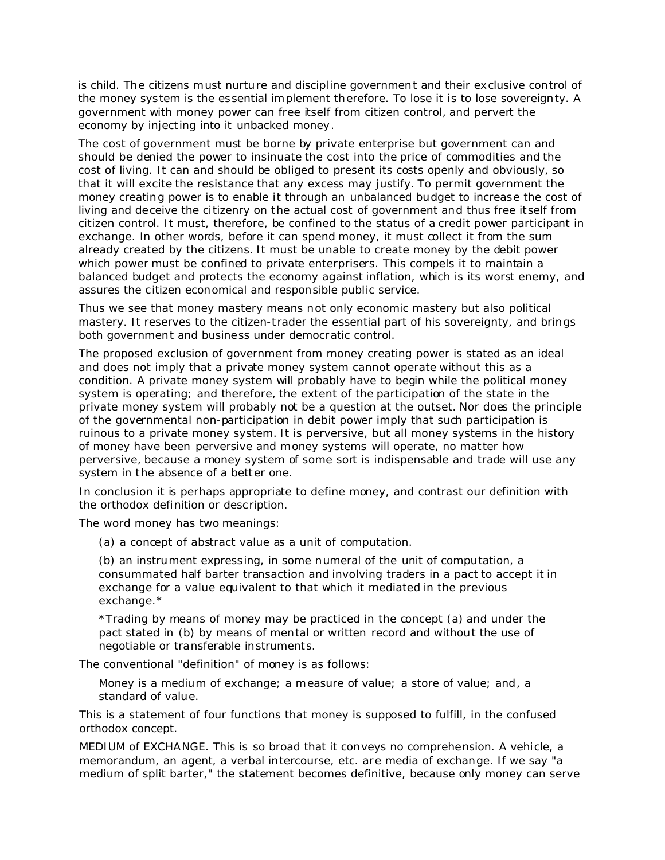is child. The citizens must nurture and discipline government and their exclusive control of the money system is the essential implement therefore. To lose it is to lose sovereignty. A government with money power can free itself from citizen control, and pervert the economy by injecting into it unbacked money.

The cost of government must be borne by private enterprise but government can and should be denied the power to insinuate the cost into the price of commodities and the cost of living. It can and should be obliged to present its costs openly and obviously, so that it will excite the resistance that any excess may justify. To permit government the money creating power is to enable it through an unbalanced budget to increase the cost of living and deceive the citizenry on the actual cost of government and thus free itself from citizen control. It must, therefore, be confined to the status of a credit power participant in exchange. In other words, before it can spend money, it must collect it from the sum already created by the citizens. It must be unable to create money by the debit power which power must be confined to private enterprisers. This compels it to maintain a balanced budget and protects the economy against inflation, which is its worst enemy, and assures the citizen economical and responsible public service.

Thus we see that money mastery means not only economic mastery but also political mastery. It reserves to the citizen-trader the essential part of his sovereignty, and brings both government and business under democratic control.

The proposed exclusion of government from money creating power is stated as an ideal and does not imply that a private money system cannot operate without this as a condition. A private money system will probably have to begin while the political money system is operating; and therefore, the extent of the participation of the state in the private money system will probably not be a question at the outset. Nor does the principle of the governmental non-participation in debit power imply that such participation is ruinous to a private money system. It is perversive, but all money systems in the history of money have been perversive and money systems will operate, no matter how perversive, because a money system of some sort is indispensable and trade will use any system in the absence of a better one.

In conclusion it is perhaps appropriate to define money, and contrast our definition with the orthodox definition or description.

The word money has two meanings:

(a) a concept of abstract value as a unit of computation.

(b) an instrument expressing, in some numeral of the unit of computation, a consummated half barter transaction and involving traders in a pact to accept it in exchange for a value equivalent to that which it mediated in the previous exchange.\*

\*Trading by means of money may be practiced in the concept (a) and under the pact stated in (b) by means of mental or written record and without the use of negotiable or transferable instruments.

The conventional "definition" of money is as follows:

Money is a medium of exchange; a measure of value; a store of value; and, a standard of value.

This is a statement of four functions that money is supposed to fulfill, in the confused orthodox concept.

MEDIUM of EXCHANGE. This is so broad that it conveys no comprehension. A vehicle, a memorandum, an agent, a verbal intercourse, etc. are media of exchange. If we say "a medium of split barter," the statement becomes definitive, because only money can serve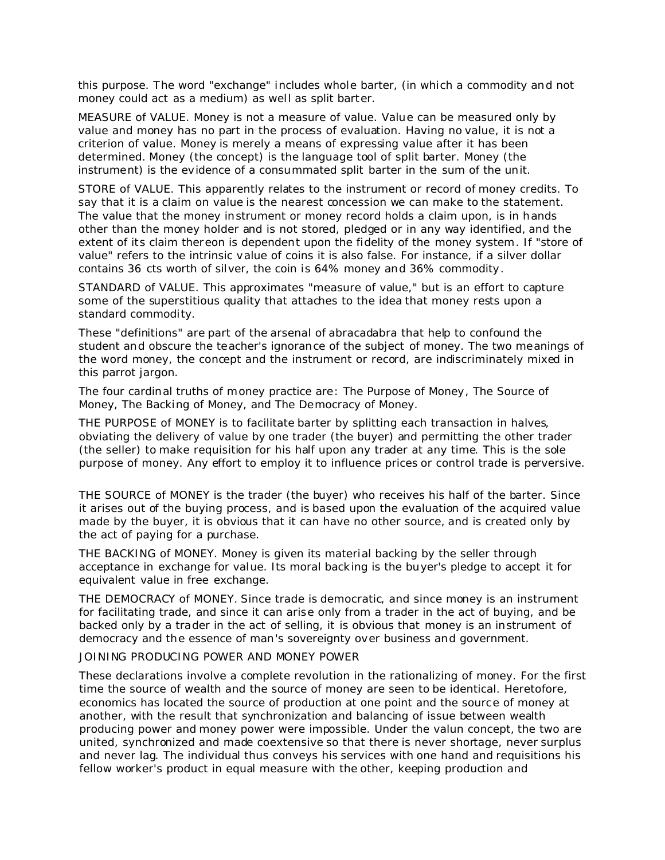this purpose. The word "exchange" includes whole barter, (in which a commodity and not money could act as a medium) as well as split barter.

MEASURE of VALUE. Money is not a measure of value. Value can be measured only by value and money has no part in the process of evaluation. Having no value, it is not a criterion of value. Money is merely a means of expressing value after it has been determined. Money (the concept) is the language tool of split barter. Money (the instrument) is the evidence of a consummated split barter in the sum of the unit.

STORE of VALUE. This apparently relates to the instrument or record of money credits. To say that it is a claim on value is the nearest concession we can make to the statement. The value that the money instrument or money record holds a claim upon, is in hands other than the money holder and is not stored, pledged or in any way identified, and the extent of its claim thereon is dependent upon the fidelity of the money system. If "store of value" refers to the intrinsic value of coins it is also false. For instance, if a silver dollar contains 36 cts worth of silver, the coin is 64% money and 36% commodity.

STANDARD of VALUE. This approximates "measure of value," but is an effort to capture some of the superstitious quality that attaches to the idea that money rests upon a standard commodity.

These "definitions" are part of the arsenal of abracadabra that help to confound the student and obscure the teacher's ignorance of the subject of money. The two meanings of the word money, the concept and the instrument or record, are indiscriminately mixed in this parrot jargon.

The four cardinal truths of money practice are: The Purpose of Money, The Source of Money, The Backing of Money, and The Democracy of Money.

THE PURPOSE of MONEY is to facilitate barter by splitting each transaction in halves, obviating the delivery of value by one trader (the buyer) and permitting the other trader (the seller) to make requisition for his half upon any trader at any time. This is the sole purpose of money. Any effort to employ it to influence prices or control trade is perversive.

THE SOURCE of MONEY is the trader (the buyer) who receives his half of the barter. Since it arises out of the buying process, and is based upon the evaluation of the acquired value made by the buyer, it is obvious that it can have no other source, and is *created only by the act of paying for a purchase*.

THE BACKING of MONEY. Money is given its material backing by the seller through acceptance in exchange for value. Its moral backing is the buyer's pledge to accept it for equivalent value in free exchange.

THE DEMOCRACY of MONEY. Since trade is democratic, and since money is an instrument for facilitating trade, and since it can arise only from a trader in the act of buying, and be backed only by a trader in the act of selling, it is obvious that money is an instrument of democracy and the essence of man's sovereignty over business and government.

### JOINING PRODUCING POWER AND MONEY POWER

These declarations involve a complete revolution in the rationalizing of money. For the first time the source of wealth and the source of money are seen to be identical. Heretofore, economics has located the source of production at one point and the source of money at another, with the result that synchronization and balancing of issue between wealth producing power and money power were impossible. Under the valun concept, the two are united, synchronized and made coextensive so that there is never shortage, never surplus and never lag. The individual thus conveys his services with one hand and requisitions his fellow worker's product in equal measure with the other, keeping production and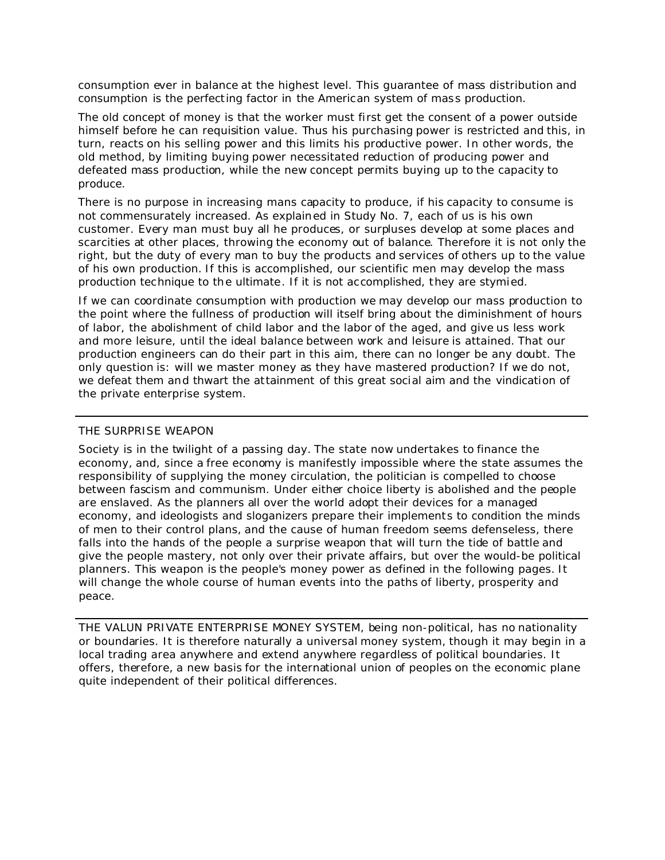consumption ever in balance at the highest level. This guarantee of mass distribution and consumption is the perfecting factor in the American system of mass production.

The old concept of money is that the worker must first get the consent of a power outside himself before he can requisition value. Thus his purchasing power is restricted and this, in turn, reacts on his selling power and this limits his productive power. In other words, the old method, by limiting buying power necessitated reduction of producing power and defeated mass production, while the new concept permits buying up to the capacity to produce.

There is no purpose in increasing mans capacity to produce, if his capacity to consume is not commensurately increased. As explained in Study No. 7, each of us is his own customer. Every man must buy all he produces, or surpluses develop at some places and scarcities at other places, throwing the economy out of balance. Therefore it is not only the right, but the duty of every man to buy the products and services of others up to the value of his own production. If this is accomplished, our scientific men may develop the mass production technique to the ultimate. If it is not accomplished, they are stymied.

If we can coordinate consumption with production we may develop our mass production to the point where the fullness of production will itself bring about the diminishment of hours of labor, the abolishment of child labor and the labor of the aged, and give us less work and more leisure, until the ideal balance between work and leisure is attained. That our production engineers can do their part in this aim, there can no longer be any doubt. The only question is: will we master money as they have mastered production? If we do not, we defeat them and thwart the attainment of this great social aim and the vindication of the private enterprise system.

### THE SURPRISE WEAPON

Society is in the twilight of a passing day. The state now undertakes to finance the economy, and, since a free economy is manifestly impossible where the state assumes the responsibility of supplying the money circulation, the politician is compelled to choose between fascism and communism. Under either choice liberty is abolished and the people are enslaved. As the planners all over the world adopt their devices for a managed economy, and ideologists and sloganizers prepare their implements to condition the minds of men to their control plans, and the cause of human freedom seems defenseless, there falls into the hands of the people a surprise weapon that will turn the tide of battle and give the people mastery, not only over their private affairs, but over the would-be political planners. This weapon is the people's money power as defined in the following pages. It will change the whole course of human events into the paths of liberty, prosperity and peace.

THE VALUN PRIVATE ENTERPRISE MONEY SYSTEM, being non-political, has no nationality or boundaries. It is therefore naturally a universal money system, though it may begin in a local trading area anywhere and extend anywhere regardless of political boundaries. It offers, therefore, a new basis for the international union of peoples on the economic plane quite independent of their political differences.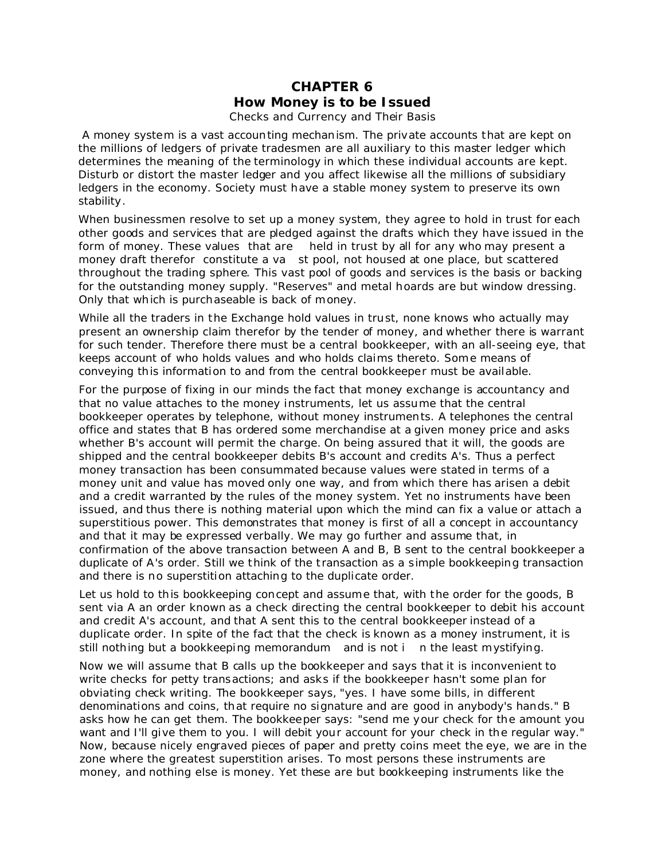## **CHAPTER 6** *How Money is to be Issued* Checks and Currency and Their Basis

A money system is a vast accounting mechanism. The private accounts that are kept on the millions of ledgers of private tradesmen are all auxiliary to this master ledger which determines the meaning of the terminology in which these individual accounts are kept. Disturb or distort the master ledger and you affect likewise all the millions of subsidiary ledgers in the economy. Society must have a stable money system to preserve its own stability.

When businessmen resolve to set up a money system, they agree to hold in trust for each other goods and services that are pledged against the drafts which they have issued in the form of money. These values that are held in trust by all for any who may present a money draft therefor constitute a va st pool, not housed at one place, but scattered throughout the trading sphere. This vast pool of goods and services is the basis or backing for the outstanding money supply. "Reserves" and metal hoards are but window dressing. Only that which is purchaseable is back of money.

While all the traders in the Exchange hold values in trust, none knows who actually may present an ownership claim therefor by the tender of money, and whether there is warrant for such tender. Therefore there must be a central bookkeeper, with an all-seeing eye, that keeps account of who holds values and who holds claims thereto. Some means of conveying this information to and from the central bookkeeper must be available.

For the purpose of fixing in our minds the fact that money exchange is accountancy and that no value attaches to the money instruments, let us assume that the central bookkeeper operates by telephone, without money instruments. A telephones the central office and states that B has ordered some merchandise at a given money price and asks whether B's account will permit the charge. On being assured that it will, the goods are shipped and the central bookkeeper debits B's account and credits A's. Thus a perfect money transaction has been consummated because values were stated in terms of a money unit and value has moved only one way, and from which there has arisen a debit and a credit warranted by the rules of the money system. Yet no instruments have been issued, and thus there is nothing material upon which the mind can fix a value or attach a superstitious power. This demonstrates that money is first of all a concept in accountancy and that it may be expressed verbally. We may go further and assume that, in confirmation of the above transaction between A and B, B sent to the central bookkeeper a duplicate of A's order. Still we think of the t ransaction as a simple bookkeeping transaction and there is no superstition attaching to the duplicate order.

Let us hold to this bookkeeping concept and assume that, with the order for the goods, B sent via A an order known as a check directing the central bookkeeper to debit his account and credit A's account, and that A sent this to the central bookkeeper instead of a duplicate order. In spite of the fact that the check is known as a money instrument, it is still nothing but a bookkeeping memorandum and is not i n the least mystifying.

Now we will assume that B calls up the bookkeeper and says that it is inconvenient to write checks for petty transactions; and asks if the bookkeeper hasn't some plan for obviating check writing. The bookkeeper says, "yes. I have some bills, in different denominations and coins, that require no signature and are good in anybody's hands." B asks how he can get them. The bookkeeper says: "send me your check for the amount you want and I'll give them to you. I will debit your account for your check in the regular way." Now, because nicely engraved pieces of paper and pretty coins meet the eye, we are in the zone where the greatest superstition arises. To most persons these instruments are money, and nothing else is money. Yet these are but bookkeeping instruments like the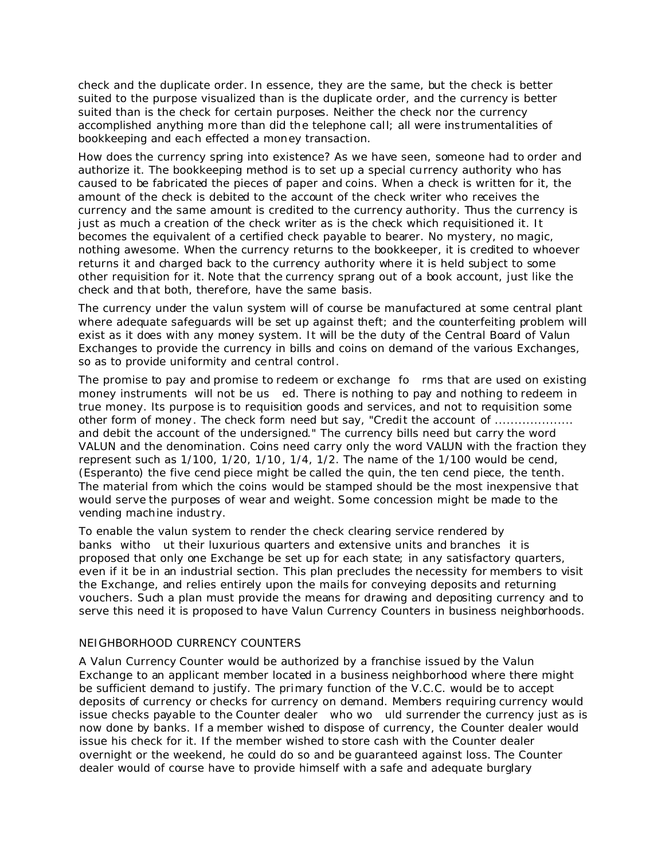check and the duplicate order. In essence, they are the same, but the check is better suited to the purpose visualized than is the duplicate order, and the currency is better suited than is the check for certain purposes. Neither the check nor the currency accomplished anything more than did the telephone call; all were instrumentalities of bookkeeping and each effected a money transaction.

How does the currency spring into existence? As we have seen, someone had to order and authorize it. The bookkeeping method is to set up a special currency authority who has caused to be fabricated the pieces of paper and coins. When a check is written for it, the amount of the check is debited to the account of the check writer who receives the currency and the same amount is credited to the currency authority. Thus the currency is just as much a creation of the check writer as is the check which requisitioned it. It becomes the equivalent of a certified check payable to bearer. No mystery, no magic, nothing awesome. When the currency returns to the bookkeeper, it is credited to whoever returns it and charged back to the currency authority where it is held subject to some other requisition for it. Note that the currency sprang out of a book account, just like the check and that both, therefore, have the same basis.

The currency under the valun system will of course be manufactured at some central plant where adequate safeguards will be set up against theft; and the counterfeiting problem will exist as it does with any money system. It will be the duty of the Central Board of Valun Exchanges to provide the currency in bills and coins on demand of the various Exchanges, so as to provide uniformity and central control.

The promise to pay and promise to redeem or exchange fo rms that are used on existing money instruments will not be us ed. There is nothing to pay and nothing to redeem in true money. Its purpose is to requisition goods and services, and not to requisition some other form of money. The check form need but say, "Credit the account of ................... and debit the account of the undersigned." The currency bills need but carry the word VALUN and the denomination. Coins need carry only the word VALUN with the fraction they represent such as 1/100, 1/20, 1/10, 1/4, 1/2. The name of the 1/100 would be cend, (Esperanto) the five cend piece might be called the quin, the ten cend piece, the tenth. The material from which the coins would be stamped should be the most inexpensive that would serve the purposes of wear and weight. Some concession might be made to the vending machine indust ry.

To enable the valun system to render the check clearing service rendered by banks witho ut their luxurious quarters and extensive units and branches it is proposed that only one Exchange be set up for each state; in any satisfactory quarters, even if it be in an industrial section. This plan precludes the necessity for members to visit the Exchange, and relies entirely upon the mails for conveying deposits and returning vouchers. Such a plan must provide the means for drawing and depositing currency and to serve this need it is proposed to have Valun Currency Counters in business neighborhoods.

### NEIGHBORHOOD CURRENCY COUNTERS

A Valun Currency Counter would be authorized by a franchise issued by the Valun Exchange to an applicant member located in a business neighborhood where there might be sufficient demand to justify. The primary function of the V.C.C. would be to accept deposits of currency or checks for currency on demand. Members requiring currency would issue checks payable to the Counter dealer who wo uld surrender the currency just as is now done by banks. If a member wished to dispose of currency, the Counter dealer would issue his check for it. If the member wished to store cash with the Counter dealer overnight or the weekend, he could do so and be guaranteed against loss. The Counter dealer would of course have to provide himself with a safe and adequate burglary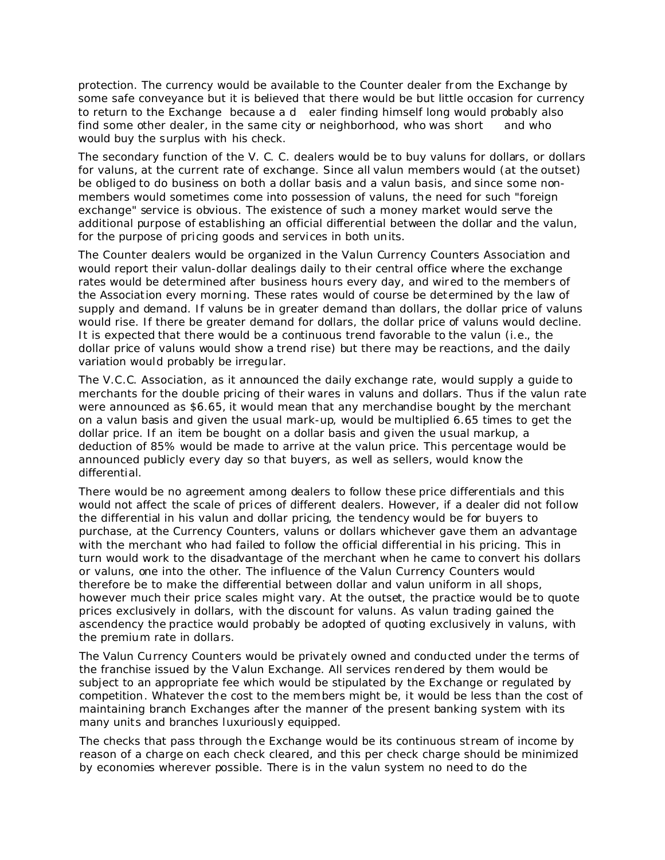protection. The currency would be available to the Counter dealer from the Exchange by some safe conveyance but it is believed that there would be but little occasion for currency to return to the Exchange because a d ealer finding himself long would probably also find some other dealer, in the same city or neighborhood, who was short and who would buy the surplus with his check.

The secondary function of the V. C. C. dealers would be to buy valuns for dollars, or dollars for valuns, at the current rate of exchange. Since all valun members would (at the outset) be obliged to do business on both a dollar basis and a valun basis, and since some nonmembers would sometimes come into possession of valuns, the need for such "foreign exchange" service is obvious. The existence of such a money market would serve the additional purpose of establishing an official differential between the dollar and the valun, for the purpose of pricing goods and services in both units.

The Counter dealers would be organized in the Valun Currency Counters Association and would report their valun-dollar dealings daily to their central office where the exchange rates would be determined after business hours every day, and wired to the members of the Association every morning. These rates would of course be determined by the law of supply and demand. If valuns be in greater demand than dollars, the dollar price of valuns would rise. If there be greater demand for dollars, the dollar price of valuns would decline. It is expected that there would be a continuous trend favorable to the valun (i.e., the dollar price of valuns would show a trend rise) but there may be reactions, and the daily variation would probably be irregular.

The V.C.C. Association, as it announced the daily exchange rate, would supply a guide to merchants for the double pricing of their wares in valuns and dollars. Thus if the valun rate were announced as \$6.65, it would mean that any merchandise bought by the merchant on a valun basis and given the usual mark-up, would be multiplied 6.65 times to get the dollar price. If an item be bought on a dollar basis and given the usual markup, a deduction of 85% would be made to arrive at the valun price. This percentage would be announced publicly every day so that buyers, as well as sellers, would know the differential.

There would be no agreement among dealers to follow these price differentials and this would not affect the scale of prices of different dealers. However, if a dealer did not follow the differential in his valun and dollar pricing, the tendency would be for buyers to purchase, at the Currency Counters, valuns or dollars whichever gave them an advantage with the merchant who had failed to follow the official differential in his pricing. This in turn would work to the disadvantage of the merchant when he came to convert his dollars or valuns, one into the other. The influence of the Valun Currency Counters would therefore be to make the differential between dollar and valun uniform in all shops, however much their price scales might vary. At the outset, the practice would be to quote prices exclusively in dollars, with the discount for valuns. As valun trading gained the ascendency the practice would probably be adopted of quoting exclusively in valuns, with the premium rate in dollars.

The Valun Currency Counters would be privately owned and conducted under the terms of the franchise issued by the Valun Exchange. All services rendered by them would be subject to an appropriate fee which would be stipulated by the Exchange or regulated by competition. Whatever the cost to the members might be, it would be less than the cost of maintaining branch Exchanges after the manner of the present banking system with its many units and branches luxuriously equipped.

The checks that pass through the Exchange would be its continuous stream of income by reason of a charge on each check cleared, and this per check charge should be minimized by economies wherever possible. There is in the valun system no need to do the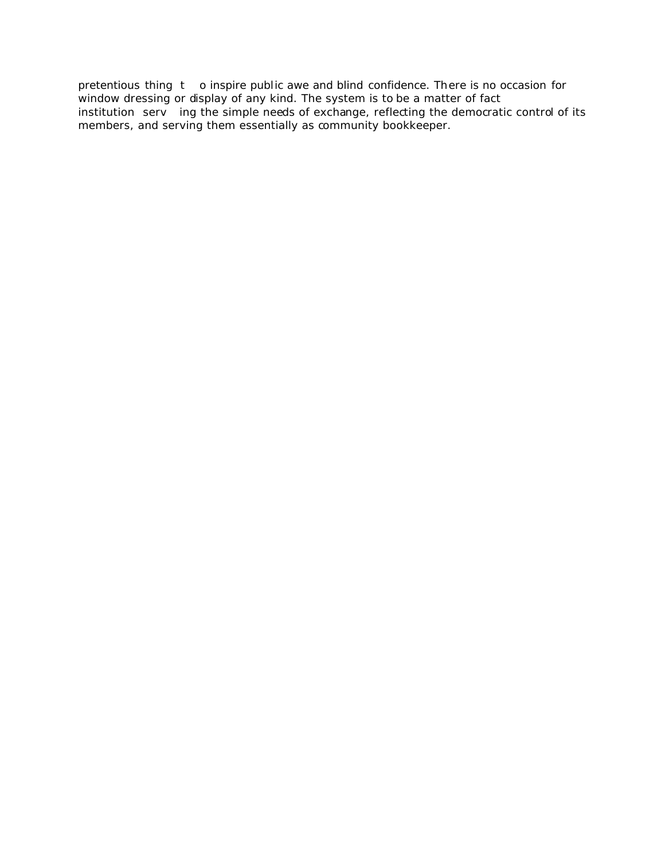pretentious thing t o inspire public awe and blind confidence. There is no occasion for window dressing or display of any kind. The system is to be a matter of fact institution serv ing the simple needs of exchange, reflecting the democratic control of its members, and serving them essentially as community bookkeeper.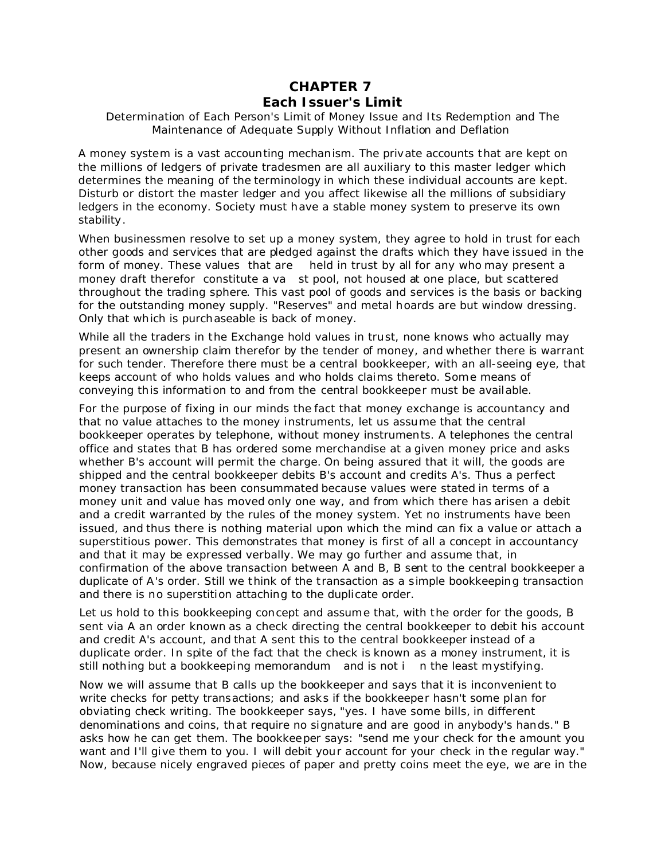# **CHAPTER 7**

## *Each Issuer's Limit*

### Determination of Each Person's Limit of Money Issue and Its Redemption and The Maintenance of Adequate Supply Without Inflation and Deflation

A money system is a vast accounting mechanism. The private accounts that are kept on the millions of ledgers of private tradesmen are all auxiliary to this master ledger which determines the meaning of the terminology in which these individual accounts are kept. Disturb or distort the master ledger and you affect likewise all the millions of subsidiary ledgers in the economy. Society must have a stable money system to preserve its own stability.

When businessmen resolve to set up a money system, they agree to hold in trust for each other goods and services that are pledged against the drafts which they have issued in the form of money. These values that are held in trust by all for any who may present a money draft therefor constitute a va st pool, not housed at one place, but scattered throughout the trading sphere. This vast pool of goods and services is the basis or backing for the outstanding money supply. "Reserves" and metal hoards are but window dressing. Only that which is purchaseable is back of money.

While all the traders in the Exchange hold values in trust, none knows who actually may present an ownership claim therefor by the tender of money, and whether there is warrant for such tender. Therefore there must be a central bookkeeper, with an all-seeing eye, that keeps account of who holds values and who holds claims thereto. Some means of conveying this information to and from the central bookkeeper must be available.

For the purpose of fixing in our minds the fact that money exchange is accountancy and that no value attaches to the money instruments, let us assume that the central bookkeeper operates by telephone, without money instruments. A telephones the central office and states that B has ordered some merchandise at a given money price and asks whether B's account will permit the charge. On being assured that it will, the goods are shipped and the central bookkeeper debits B's account and credits A's. Thus a perfect money transaction has been consummated because values were stated in terms of a money unit and value has moved only one way, and from which there has arisen a debit and a credit warranted by the rules of the money system. Yet no instruments have been issued, and thus there is nothing material upon which the mind can fix a value or attach a superstitious power. This demonstrates that money is first of all a concept in accountancy and that it may be expressed verbally. We may go further and assume that, in confirmation of the above transaction between A and B, B sent to the central bookkeeper a duplicate of A's order. Still we think of the t ransaction as a simple bookkeeping transaction and there is no superstition attaching to the duplicate order.

Let us hold to this bookkeeping concept and assume that, with the order for the goods, B sent via A an order known as a check directing the central bookkeeper to debit his account and credit A's account, and that A sent this to the central bookkeeper instead of a duplicate order. In spite of the fact that the check is known as a money instrument, it is still nothing but a bookkeeping memorandum and is not i n the least mystifying.

Now we will assume that B calls up the bookkeeper and says that it is inconvenient to write checks for petty transactions; and asks if the bookkeeper hasn't some plan for obviating check writing. The bookkeeper says, "yes. I have some bills, in different denominations and coins, that require no signature and are good in anybody's hands." B asks how he can get them. The bookkeeper says: "send me your check for the amount you want and I'll give them to you. I will debit your account for your check in the regular way." Now, because nicely engraved pieces of paper and pretty coins meet the eye, we are in the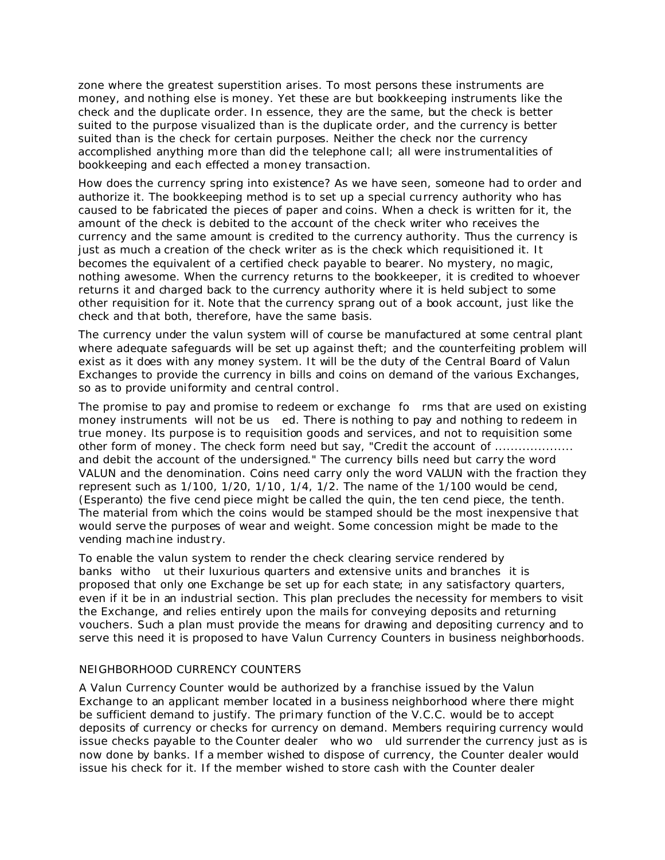zone where the greatest superstition arises. To most persons these instruments are money, and nothing else is money. Yet these are but bookkeeping instruments like the check and the duplicate order. In essence, they are the same, but the check is better suited to the purpose visualized than is the duplicate order, and the currency is better suited than is the check for certain purposes. Neither the check nor the currency accomplished anything more than did the telephone call; all were instrumentalities of bookkeeping and each effected a money transaction.

How does the currency spring into existence? As we have seen, someone had to order and authorize it. The bookkeeping method is to set up a special currency authority who has caused to be fabricated the pieces of paper and coins. When a check is written for it, the amount of the check is debited to the account of the check writer who receives the currency and the same amount is credited to the currency authority. Thus the currency is just as much a creation of the check writer as is the check which requisitioned it. It becomes the equivalent of a certified check payable to bearer. No mystery, no magic, nothing awesome. When the currency returns to the bookkeeper, it is credited to whoever returns it and charged back to the currency authority where it is held subject to some other requisition for it. Note that the currency sprang out of a book account, just like the check and that both, therefore, have the same basis.

The currency under the valun system will of course be manufactured at some central plant where adequate safeguards will be set up against theft; and the counterfeiting problem will exist as it does with any money system. It will be the duty of the Central Board of Valun Exchanges to provide the currency in bills and coins on demand of the various Exchanges, so as to provide uniformity and central control.

The promise to pay and promise to redeem or exchange fo rms that are used on existing money instruments will not be us ed. There is nothing to pay and nothing to redeem in true money. Its purpose is to requisition goods and services, and not to requisition some other form of money. The check form need but say, "Credit the account of ................... and debit the account of the undersigned." The currency bills need but carry the word VALUN and the denomination. Coins need carry only the word VALUN with the fraction they represent such as 1/100, 1/20, 1/10, 1/4, 1/2. The name of the 1/100 would be cend, (Esperanto) the five cend piece might be called the quin, the ten cend piece, the tenth. The material from which the coins would be stamped should be the most inexpensive that would serve the purposes of wear and weight. Some concession might be made to the vending machine industry.

To enable the valun system to render the check clearing service rendered by banks witho ut their luxurious quarters and extensive units and branches it is proposed that only one Exchange be set up for each state; in any satisfactory quarters, even if it be in an industrial section. This plan precludes the necessity for members to visit the Exchange, and relies entirely upon the mails for conveying deposits and returning vouchers. Such a plan must provide the means for drawing and depositing currency and to serve this need it is proposed to have Valun Currency Counters in business neighborhoods.

## NEIGHBORHOOD CURRENCY COUNTERS

A Valun Currency Counter would be authorized by a franchise issued by the Valun Exchange to an applicant member located in a business neighborhood where there might be sufficient demand to justify. The primary function of the V.C.C. would be to accept deposits of currency or checks for currency on demand. Members requiring currency would issue checks payable to the Counter dealer who wo uld surrender the currency just as is now done by banks. If a member wished to dispose of currency, the Counter dealer would issue his check for it. If the member wished to store cash with the Counter dealer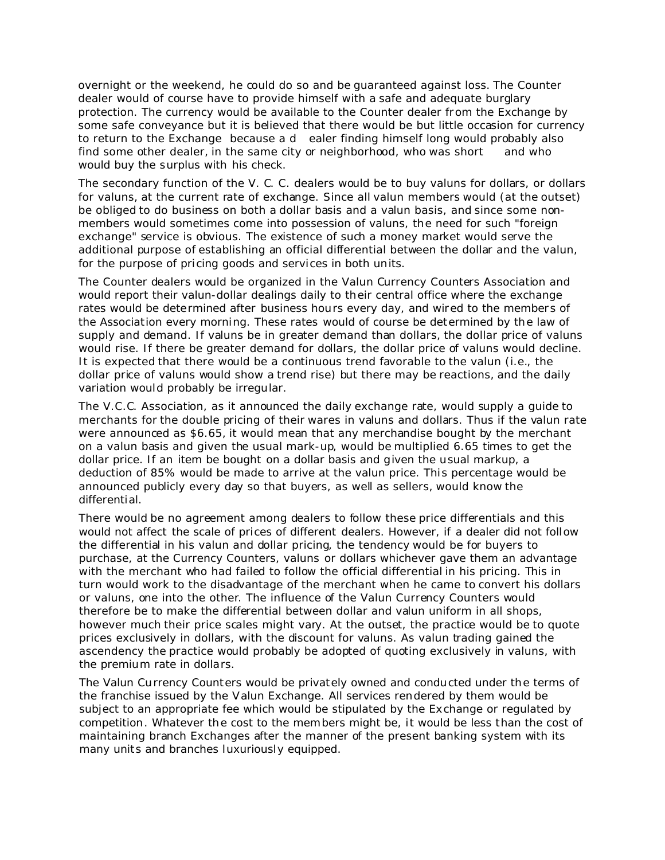overnight or the weekend, he could do so and be guaranteed against loss. The Counter dealer would of course have to provide himself with a safe and adequate burglary protection. The currency would be available to the Counter dealer from the Exchange by some safe conveyance but it is believed that there would be but little occasion for currency to return to the Exchange because a d ealer finding himself long would probably also find some other dealer, in the same city or neighborhood, who was short and who would buy the surplus with his check.

The secondary function of the V. C. C. dealers would be to buy valuns for dollars, or dollars for valuns, at the current rate of exchange. Since all valun members would (at the outset) be obliged to do business on both a dollar basis and a valun basis, and since some nonmembers would sometimes come into possession of valuns, the need for such "foreign exchange" service is obvious. The existence of such a money market would serve the additional purpose of establishing an official differential between the dollar and the valun, for the purpose of pricing goods and services in both units.

The Counter dealers would be organized in the Valun Currency Counters Association and would report their valun-dollar dealings daily to their central office where the exchange rates would be determined after business hours every day, and wired to the members of the Association every morning. These rates would of course be determined by the law of supply and demand. If valuns be in greater demand than dollars, the dollar price of valuns would rise. If there be greater demand for dollars, the dollar price of valuns would decline. It is expected that there would be a continuous trend favorable to the valun (i.e., the dollar price of valuns would show a trend rise) but there may be reactions, and the daily variation would probably be irregular.

The V.C.C. Association, as it announced the daily exchange rate, would supply a guide to merchants for the double pricing of their wares in valuns and dollars. Thus if the valun rate were announced as \$6.65, it would mean that any merchandise bought by the merchant on a valun basis and given the usual mark-up, would be multiplied 6.65 times to get the dollar price. If an item be bought on a dollar basis and given the usual markup, a deduction of 85% would be made to arrive at the valun price. This percentage would be announced publicly every day so that buyers, as well as sellers, would know the differential.

There would be no agreement among dealers to follow these price differentials and this would not affect the scale of prices of different dealers. However, if a dealer did not follow the differential in his valun and dollar pricing, the tendency would be for buyers to purchase, at the Currency Counters, valuns or dollars whichever gave them an advantage with the merchant who had failed to follow the official differential in his pricing. This in turn would work to the disadvantage of the merchant when he came to convert his dollars or valuns, one into the other. The influence of the Valun Currency Counters would therefore be to make the differential between dollar and valun uniform in all shops, however much their price scales might vary. At the outset, the practice would be to quote prices exclusively in dollars, with the discount for valuns. As valun trading gained the ascendency the practice would probably be adopted of quoting exclusively in valuns, with the premium rate in dollars.

The Valun Currency Counters would be privately owned and conducted under the terms of the franchise issued by the Valun Exchange. All services rendered by them would be subject to an appropriate fee which would be stipulated by the Exchange or regulated by competition. Whatever the cost to the members might be, it would be less than the cost of maintaining branch Exchanges after the manner of the present banking system with its many units and branches luxuriously equipped.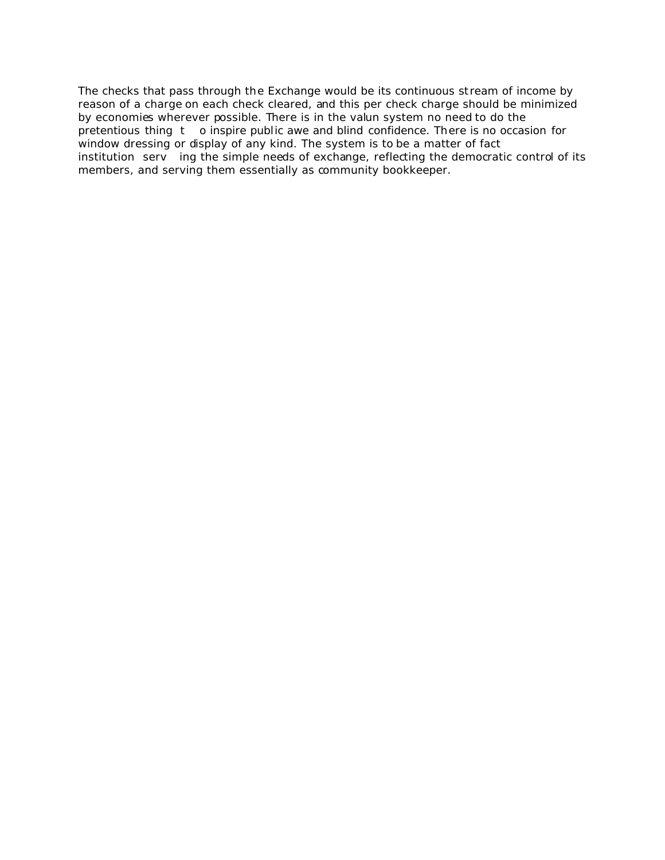The checks that pass through the Exchange would be its continuous stream of income by reason of a charge on each check cleared, and this per check charge should be minimized by economies wherever possible. There is in the valun system no need to do the pretentious thing t o inspire public awe and blind confidence. There is no occasion for window dressing or display of any kind. The system is to be a matter of fact institution serv ing the simple needs of exchange, reflecting the democratic control of its members, and serving them essentially as community bookkeeper.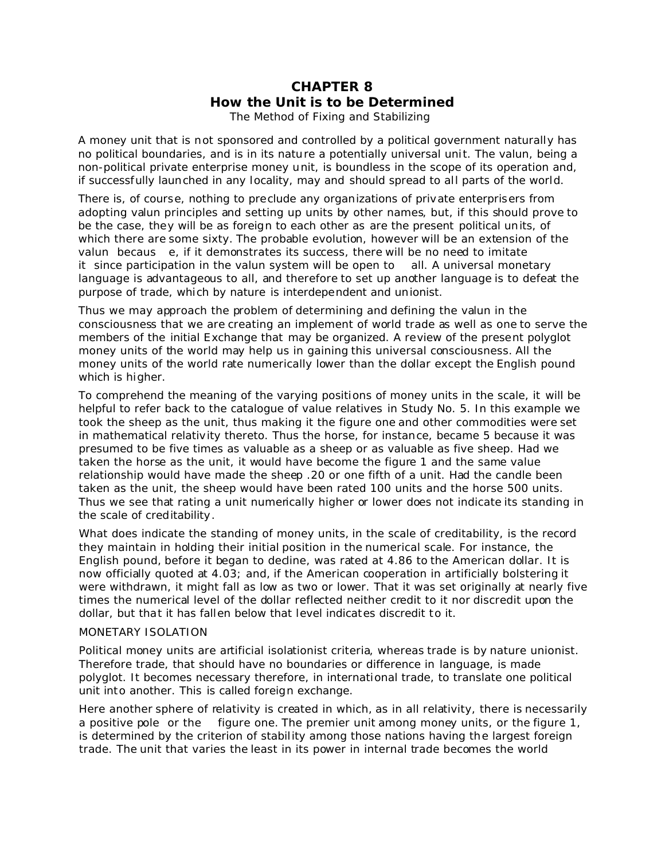# **CHAPTER 8** *How the Unit is to be Determined* The Method of Fixing and Stabilizing

A money unit that is not sponsored and controlled by a political government naturally has no political boundaries, and is in its nature a potentially universal unit. The valun, being a non-political private enterprise money unit, is boundless in the scope of its operation and, if successfully launched in any locality, may and should spread to all parts of the world.

There is, of course, nothing to preclude any organizations of private enterprisers from adopting valun principles and setting up units by other names, but, if this should prove to be the case, they will be as foreign to each other as are the present political units, of which there are some sixty. The probable evolution, however will be an extension of the valun becaus e, if it demonstrates its success, there will be no need to imitate it since participation in the valun system will be open to all. A universal monetary language is advantageous to all, and therefore to set up another language is to defeat the purpose of trade, which by nature is interdependent and unionist.

Thus we may approach the problem of determining and defining the valun in the consciousness that we are creating an implement of world trade as well as one to serve the members of the initial Exchange that may be organized. A review of the present polyglot money units of the world may help us in gaining this universal consciousness. All the money units of the world rate numerically lower than the dollar except the English pound which is higher.

To comprehend the meaning of the varying positions of money units in the scale, it will be helpful to refer back to the catalogue of value relatives in Study No. 5. In this example we took the sheep as the unit, thus making it the figure one and other commodities were set in mathematical relativity thereto. Thus the horse, for instance, became 5 because it was presumed to be five times as valuable as a sheep or as valuable as five sheep. Had we taken the horse as the unit, it would have become the figure 1 and the same value relationship would have made the sheep .20 or one fifth of a unit. Had the candle been taken as the unit, the sheep would have been rated 100 units and the horse 500 units. Thus we see that rating a unit numerically higher or lower does not indicate its standing in the scale of creditability.

What does indicate the standing of money units, in the scale of creditability, is the record they maintain in holding their initial position in the numerical scale. For instance, the English pound, before it began to decline, was rated at 4.86 to the American dollar. It is now officially quoted at 4.03; and, if the American cooperation in artificially bolstering it were withdrawn, it might fall as low as two or lower. That it was set originally at nearly five times the numerical level of the dollar reflected neither credit to it nor discredit upon the dollar, but that it has fallen below that level indicates discredit to it.

### MONETARY ISOLATION

Political money units are artificial isolationist criteria, whereas trade is by nature unionist. Therefore trade, that should have no boundaries or difference in language, is made polyglot. It becomes necessary therefore, in international trade, to translate one political unit into another. This is called foreign exchange.

Here another sphere of relativity is created in which, as in all relativity, there is necessarily a positive pole or the figure one. The premier unit among money units, or the figure 1, is determined by the criterion of stability among those nations having the largest foreign trade. The unit that varies the least in its power in internal trade becomes the world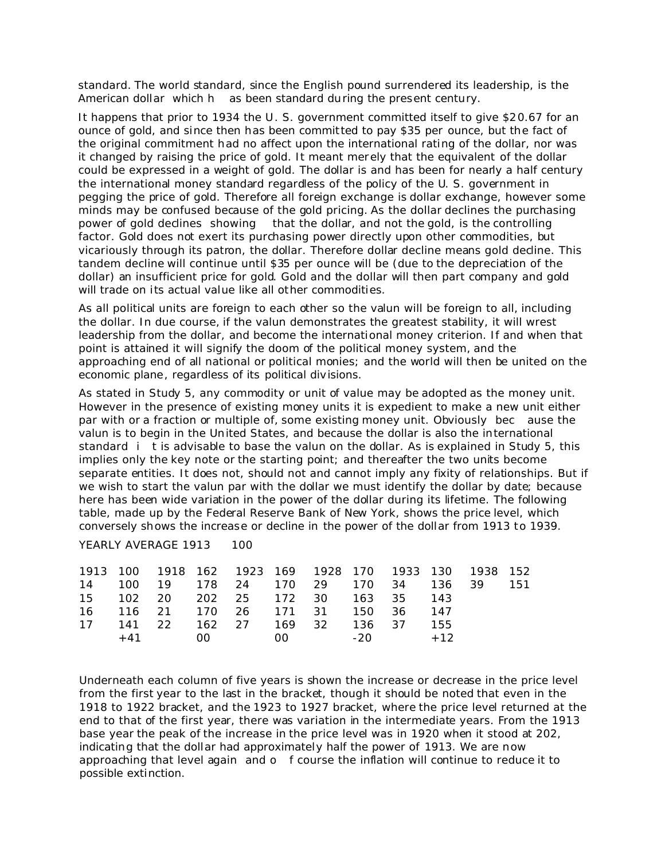standard. The world standard, since the English pound surrendered its leadership, is the American dollar which h as been standard during the present century.

It happens that prior to 1934 the U. S. government committed itself to give \$20.67 for an ounce of gold, and since then has been committed to pay \$35 per ounce, but the fact of the original commitment had no affect upon the international rating of the dollar, nor was it changed by raising the price of gold. It meant merely that the equivalent of the dollar could be expressed in a weight of gold. The dollar is and has been for nearly a half century the international money standard regardless of the policy of the U. S. government in pegging the price of gold. Therefore all foreign exchange is dollar exchange, however some minds may be confused because of the gold pricing. As the dollar declines the purchasing power of gold declines showing that the dollar, and not the gold, is the controlling factor. Gold does not exert its purchasing power directly upon other commodities, but vicariously through its patron, the dollar. Therefore dollar decline means gold decline. This tandem decline will continue until \$35 per ounce will be (due to the depreciation of the dollar) an insufficient price for gold. Gold and the dollar will then part company and gold will trade on its actual value like all other commodities.

As all political units are foreign to each other so the valun will be foreign to all, including the dollar. In due course, if the valun demonstrates the greatest stability, it will wrest leadership from the dollar, and become the international money criterion. If and when that point is attained it will signify the doom of the political money system, and the approaching end of all national or political monies; and the world will then be united on the economic plane, regardless of its political divisions.

As stated in Study 5, any commodity or unit of value may be adopted as the money unit. However in the presence of existing money units it is expedient to make a new unit either par with or a fraction or multiple of, some existing money unit. Obviously bec ause the valun is to begin in the United States, and because the dollar is also the international standard i t is advisable to base the valun on the dollar. As is explained in Study 5, this implies only the key note or the starting point; and thereafter the two units become separate entities. It does not, should not and cannot imply any fixity of relationships. But if we wish to start the valun par with the dollar we must identify the dollar by date; because here has been wide variation in the power of the dollar during its lifetime. The following table, made up by the Federal Reserve Bank of New York, shows the price level, which conversely shows the increase or decline in the power of the dollar from 1913 to 1939.

| 1913 100 1918 162 1923 169 1928 170 1933 130 1938 152 |                     |  |  |  |     |     |
|-------------------------------------------------------|---------------------|--|--|--|-----|-----|
| 14 100 19 178 24 170 29 170 34 136 39                 |                     |  |  |  |     | 151 |
| 15 102 20 202 25 172 30 163 35 143                    |                     |  |  |  |     |     |
| 16 116 21 170 26 171 31 150 36 147                    |                     |  |  |  |     |     |
| 17 141 22 162 27 169 32 136 37                        |                     |  |  |  | 155 |     |
|                                                       | $+41$ 00 00 -20 +12 |  |  |  |     |     |
|                                                       |                     |  |  |  |     |     |

YEARLY AVERAGE 1913 100

Underneath each column of five years is shown the increase or decrease in the price level from the first year to the last in the bracket, though it should be noted that even in the 1918 to 1922 bracket, and the 1923 to 1927 bracket, where the price level returned at the end to that of the first year, there was variation in the intermediate years. From the 1913 base year the peak of the increase in the price level was in 1920 when it stood at 202, indicating that the dollar had approximately half the power of 1913. We are now approaching that level again and o f course the inflation will continue to reduce it to possible extinction.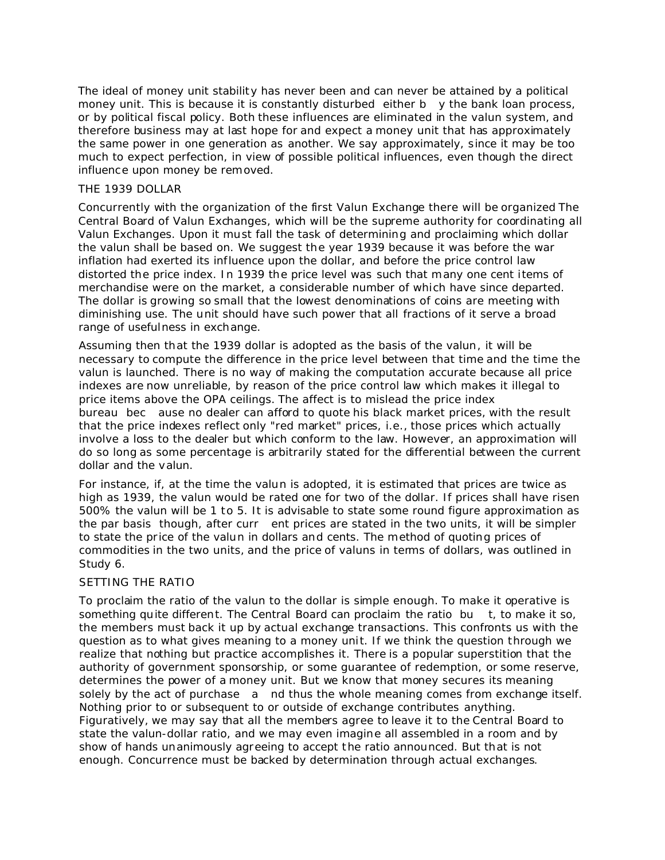The ideal of money unit stability has never been and can never be attained by a political money unit. This is because it is constantly disturbed either  $b - y$  the bank loan process, or by political fiscal policy. Both these influences are eliminated in the valun system, and therefore business may at last hope for and expect a money unit that has approximately the same power in one generation as another. We say approximately, since it may be too much to expect perfection, in view of possible political influences, even though the direct influence upon money be removed.

### THE 1939 DOLLAR

Concurrently with the organization of the first Valun Exchange there will be organized The Central Board of Valun Exchanges, which will be the supreme authority for coordinating all Valun Exchanges. Upon it must fall the task of determining and proclaiming which dollar the valun shall be based on. We suggest the year 1939 because it was before the war inflation had exerted its influence upon the dollar, and before the price control law distorted the price index. In 1939 the price level was such that many one cent items of merchandise were on the market, a considerable number of which have since departed. The dollar is growing so small that the lowest denominations of coins are meeting with diminishing use. The unit should have such power that all fractions of it serve a broad range of usefulness in exchange.

Assuming then that the 1939 dollar is adopted as the basis of the valun, it will be necessary to compute the difference in the price level between that time and the time the valun is launched. There is no way of making the computation accurate because all price indexes are now unreliable, by reason of the price control law which makes it illegal to price items above the OPA ceilings. The affect is to mislead the price index bureau bec ause no dealer can afford to quote his black market prices, with the result that the price indexes reflect only "red market" prices, i.e., those prices which actually involve a loss to the dealer but which conform to the law. However, an approximation will do so long as some percentage is arbitrarily stated for the differential between the current dollar and the valun.

For instance, if, at the time the valun is adopted, it is estimated that prices are twice as high as 1939, the valun would be rated one for two of the dollar. If prices shall have risen 500% the valun will be 1 to 5. It is advisable to state some round figure approximation as the par basis though, after curr ent prices are stated in the two units, it will be simpler to state the price of the valun in dollars and cents. The method of quoting prices of commodities in the two units, and the price of valuns in terms of dollars, was outlined in Study 6.

### SETTING THE RATIO

To proclaim the ratio of the valun to the dollar is simple enough. To make it operative is something quite different. The Central Board can proclaim the ratio bu t, to make it so, the members must back it up by actual exchange transactions. This confronts us with the question as to what gives meaning to a money unit. If we think the question through we realize that nothing but practice accomplishes it. There is a popular superstition that the authority of government sponsorship, or some guarantee of redemption, or some reserve, determines the power of a money unit. But we know that money secures its meaning solely by the act of purchase a nd thus the whole meaning comes from exchange itself. Nothing prior to or subsequent to or outside of exchange contributes anything. Figuratively, we may say that all the members agree to leave it to the Central Board to state the valun-dollar ratio, and we may even imagine all assembled in a room and by show of hands unanimously agreeing to accept the ratio announced. But that is not enough. Concurrence must be backed by *determination through actual exchanges*.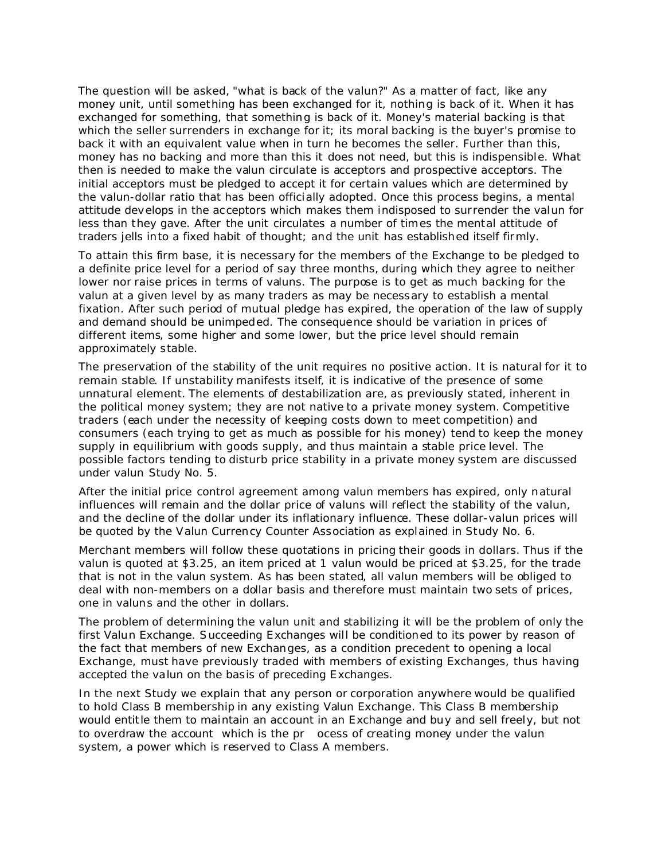The question will be asked, "what is back of the valun?" As a matter of fact, like any money unit, until something has been exchanged for it, nothing is back of it. When it has exchanged for something, that something is back of it. Money's material backing is that which the seller surrenders in exchange for it; its moral backing is the buyer's promise to back it with an equivalent value when in turn he becomes the seller. Further than this, money has no backing and more than this it does not need, but this is indispensible. What then is needed to make the valun circulate is acceptors and prospective acceptors. The initial acceptors must be pledged to accept it for certain values which are determined by the valun-dollar ratio that has been officially adopted. Once this process begins, a mental attitude develops in the acceptors which makes them indisposed to surrender the valun for less than they gave. After the unit circulates a number of times the mental attitude of traders jells into a fixed habit of thought; and the unit has established itself firmly.

To attain this firm base, it is necessary for the members of the Exchange to be pledged to a definite price level for a period of say three months, during which they agree to neither lower nor raise prices in terms of valuns. The purpose is to get as much backing for the valun at a given level by as many traders as may be necessary to establish a mental fixation. After such period of mutual pledge has expired, the operation of the law of supply and demand should be unimpeded. The consequence should be variation in prices of different items, some higher and some lower, but the price level should remain approximately stable.

The preservation of the stability of the unit requires no positive action. It is natural for it to remain stable. If unstability manifests itself, it is indicative of the presence of some unnatural element. The elements of destabilization are, as previously stated, inherent in the political money system; they are not native to a private money system. Competitive traders (each under the necessity of keeping costs down to meet competition) and consumers (each trying to get as much as possible for his money) tend to keep the money supply in equilibrium with goods supply, and thus maintain a stable price level. The possible factors tending to disturb price stability in a private money system are discussed under valun Study No. 5.

After the initial price control agreement among valun members has expired, only natural influences will remain and the dollar price of valuns will reflect the stability of the valun, and the decline of the dollar under its inflationary influence. These dollar-valun prices will be quoted by the Valun Currency Counter Association as explained in Study No. 6.

Merchant members will follow these quotations in pricing their goods in dollars. Thus if the valun is quoted at \$3.25, an item priced at 1 valun would be priced at \$3.25, for the trade that is not in the valun system. As has been stated, all valun members will be obliged to deal with non-members on a dollar basis and therefore must maintain two sets of prices, one in valuns and the other in dollars.

The problem of determining the valun unit and stabilizing it will be the problem of only the first Valun Exchange. Succeeding Exchanges will be conditioned to its power by reason of the fact that members of new Exchanges, as a condition precedent to opening a local Exchange, must have previously traded with members of existing Exchanges, thus having accepted the valun on the basis of preceding Exchanges.

In the next Study we explain that any person or corporation anywhere would be qualified to hold Class B membership in any existing Valun Exchange. This Class B membership would entitle them to maintain an account in an Exchange and buy and sell freely, but not to overdraw the account which is the pr ocess of creating money under the valun system, a power which is reserved to Class A members.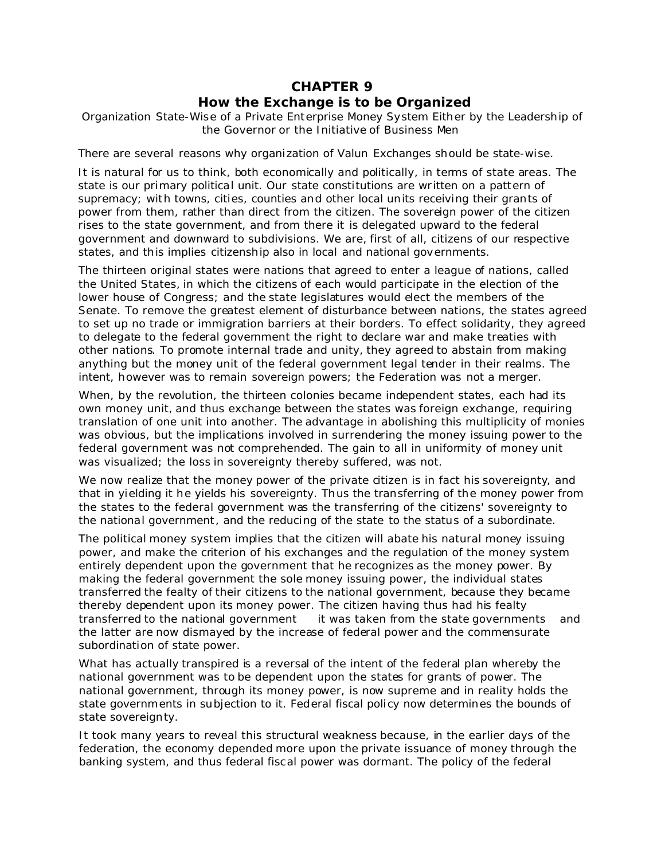# **CHAPTER 9**

## *How the Exchange is to be Organized*

Organization State-Wise of a Private Enterprise Money System Either by the Leadership of the Governor or the Initiative of Business Men

There are several reasons why organization of Valun Exchanges should be state-wise.

It is natural for us to think, both economically and politically, in terms of state areas. The state is our primary political unit. Our state constitutions are written on a pattern of supremacy; with towns, cities, counties and other local units receiving their grants of power from them, rather than direct from the citizen. The sovereign power of the citizen rises to the state government, and from there it is delegated upward to the federal government and downward to subdivisions. We are, first of all, citizens of our respective states, and this implies citizenship also in local and national governments.

The thirteen original states were nations that agreed to enter a league of nations, called the United States, in which the citizens of each would participate in the election of the lower house of Congress; and the state legislatures would elect the members of the Senate. To remove the greatest element of disturbance between nations, the states agreed to set up no trade or immigration barriers at their borders. To effect solidarity, they agreed to delegate to the federal government the right to declare war and make treaties with other nations. To promote internal trade and unity, they agreed to abstain from making anything but the money unit of the federal government legal tender in their realms. The intent, however was to remain sovereign powers; the Federation was not a merger.

When, by the revolution, the thirteen colonies became independent states, each had its own money unit, and thus exchange between the states was foreign exchange, requiring translation of one unit into another. The advantage in abolishing this multiplicity of monies was obvious, but the implications involved in surrendering the money issuing power to the federal government was not comprehended. The gain to all in uniformity of money unit was visualized; the loss in sovereignty thereby suffered, was not.

We now realize that the money power of the private citizen is in fact his sovereignty, and that in yielding it he yields his sovereignty. Thus the transferring of the money power from the states to the federal government was the transferring of the citizens' sovereignty to the national government, and the reducing of the state to the status of a subordinate.

The political money system implies that the citizen will abate his natural money issuing power, and make the criterion of his exchanges and the regulation of the money system entirely dependent upon the government that he recognizes as the money power. By making the federal government the sole money issuing power, the individual states transferred the fealty of their citizens to the national government, because they became thereby dependent upon its money power. The citizen having thus had his fealty transferred to the national government it was taken from the state governments and the latter are now dismayed by the increase of federal power and the commensurate subordination of state power.

What has actually transpired is a reversal of the intent of the federal plan whereby the national government was to be dependent upon the states for grants of power. The national government, through its money power, is now supreme and in reality holds the state governments in subjection to it. Federal fiscal policy now determines the bounds of state sovereignty.

It took many years to reveal this structural weakness because, in the earlier days of the federation, the economy depended more upon the private issuance of money through the banking system, and thus federal fiscal power was dormant. The policy of the federal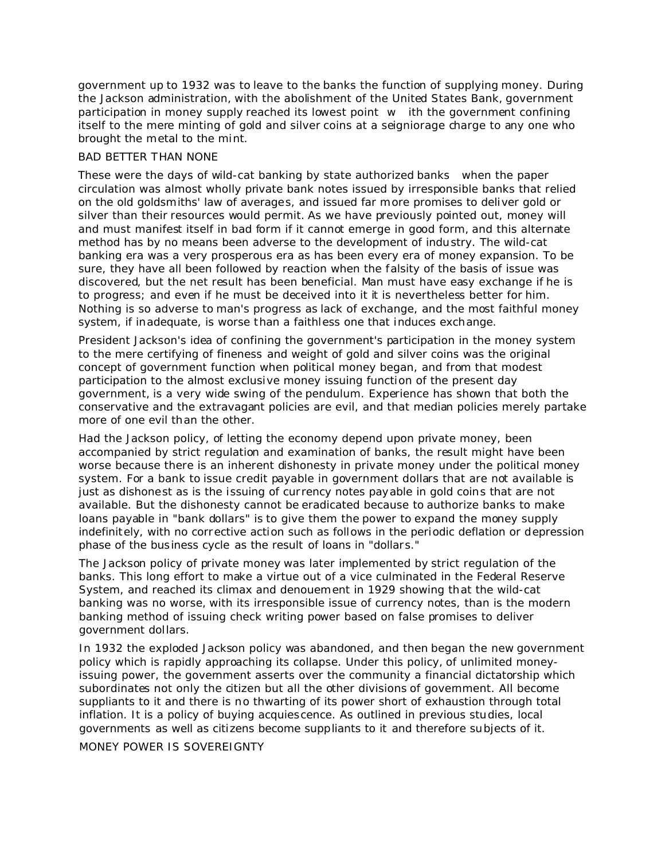government up to 1932 was to leave to the banks the function of supplying money. During the Jackson administration, with the abolishment of the United States Bank, government participation in money supply reached its lowest point w ith the government confining itself to the mere minting of gold and silver coins at a seigniorage charge to any one who brought the metal to the mint.

### BAD BETTER THAN NONE

These were the days of wild-cat banking by state authorized banks when the paper circulation was almost wholly private bank notes issued by irresponsible banks that relied on the old goldsmiths' law of averages, and issued far more promises to deliver gold or silver than their resources would permit. As we have previously pointed out, money will and must manifest itself in bad form if it cannot emerge in good form, and this alternate method has by no means been adverse to the development of industry. The wild-cat banking era was a very prosperous era as has been every era of money expansion. To be sure, they have all been followed by reaction when the falsity of the basis of issue was discovered, but the net result has been beneficial. Man must have easy exchange if he is to progress; and even if he must be deceived into it it is nevertheless better for him. Nothing is so adverse to man's progress as lack of exchange, and the most faithful money system, if inadequate, is worse than a faithless one that induces exchange.

President Jackson's idea of confining the government's participation in the money system to the mere certifying of fineness and weight of gold and silver coins was the original concept of government function when political money began, and from that modest participation to the almost exclusive money issuing function of the present day government, is a very wide swing of the pendulum. Experience has shown that both the conservative and the extravagant policies are evil, and that median policies merely partake more of one evil than the other.

Had the Jackson policy, of letting the economy depend upon private money, been accompanied by strict regulation and examination of banks, the result might have been worse because there is an inherent dishonesty in private money under the political money system. For a bank to issue credit payable in government dollars that are not available is just as dishonest as is the issuing of currency notes payable in gold coins that are not available. But the dishonesty cannot be eradicated because to authorize banks to make loans payable in "bank dollars" is to give them the power to expand the money supply indefinitely, with no corrective action such as follows in the periodic deflation or depression phase of the business cycle as the result of loans in "dollars."

The Jackson policy of private money was later implemented by strict regulation of the banks. This long effort to make a virtue out of a vice culminated in the Federal Reserve System, and reached its climax and denouement in 1929 showing that the wild-cat banking was no worse, with its irresponsible issue of currency notes, than is the modern banking method of issuing check writing power based on false promises to deliver government dollars.

In 1932 the exploded Jackson policy was abandoned, and then began the new government policy which is rapidly approaching its collapse. Under this policy, of unlimited moneyissuing power, the government asserts over the community a financial dictatorship which subordinates not only the citizen but all the other divisions of government. All become suppliants to it and there is no thwarting of its power short of exhaustion through total inflation. It is a policy of buying acquiescence. As outlined in previous studies, local governments as well as citizens become suppliants to it and therefore subjects of it.

MONEY POWER IS SOVEREIGNTY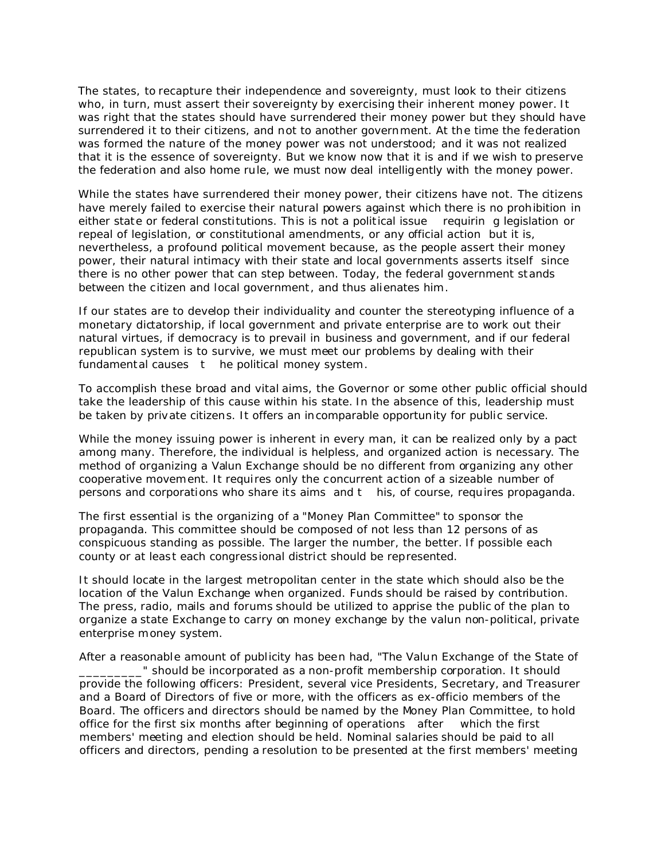The states, to recapture their independence and sovereignty, must look to their citizens who, in turn, must assert their sovereignty by exercising their inherent money power. It was right that the states should have surrendered their money power but they should have surrendered it to their citizens, and not to another government. At the time the federation was formed the nature of the money power was not understood; and it was not realized that it is the essence of sovereignty. But we know now that it is and if we wish to preserve the federation and also home rule, we must now deal intelligently with the money power.

While the states have surrendered their money power, their citizens have not. The citizens have merely *failed to exercise* their natural powers against which *there is no prohibition* in either state or federal constitutions. This is not a political issue requirin g legislation or repeal of legislation, or constitutional amendments, or any official action but it is, nevertheless, a profound political movement because, as the people assert their money power, their natural intimacy with their state and local governments asserts itself since there is no other power that can step between. Today, the federal government stands between the citizen and local government, and thus alienates him.

If our states are to develop their individuality and counter the stereotyping influence of a monetary dictatorship, if local government and private enterprise are to work out their natural virtues, if democracy is to prevail in business and government, and if our federal republican system is to survive, we must meet our problems by dealing with their fundamental causes t he political money system.

To accomplish these broad and vital aims, the Governor or some other public official should take the leadership of this cause within his state. In the absence of this, leadership must be taken by private citizens. It offers an incomparable opportunity for public service.

While the money issuing power is inherent in every man, it can be realized only by a pact among many. Therefore, the *individual* is helpless, and *organized action* is necessary. The method of organizing a Valun Exchange should be no different from organizing any other cooperative movement. It requires only the concurrent action of a sizeable number of persons and corporations who share its aims and t his, of course, requires propaganda.

The first essential is the organizing of a "Money Plan Committee" to sponsor the propaganda. This committee should be composed of not less than 12 persons of as conspicuous standing as possible. The larger the number, the better. If possible each county or at least each congressional district should be represented.

It should locate in the largest metropolitan center in the state which should also be the location of the Valun Exchange when organized. Funds should be raised by contribution. The press, radio, mails and forums should be utilized to apprise the public of the plan to organize a state Exchange to carry on money exchange by the valun non-political, private enterprise money system.

After a reasonable amount of publicity has been had, "The Valun Exchange of the State of \_\_\_\_\_\_\_\_\_" should be incorporated as a non-profit membership corporation. It should provide the following officers: President, several vice Presidents, Secretary, and Treasurer and a Board of Directors of five or more, with the officers as ex-officio members of the Board. The officers and directors should be named by the Money Plan Committee, to hold office for the first six months after beginning of operations after which the first members' meeting and election should be held. Nominal salaries should be paid to all officers and directors, pending a resolution to be presented at the first members' meeting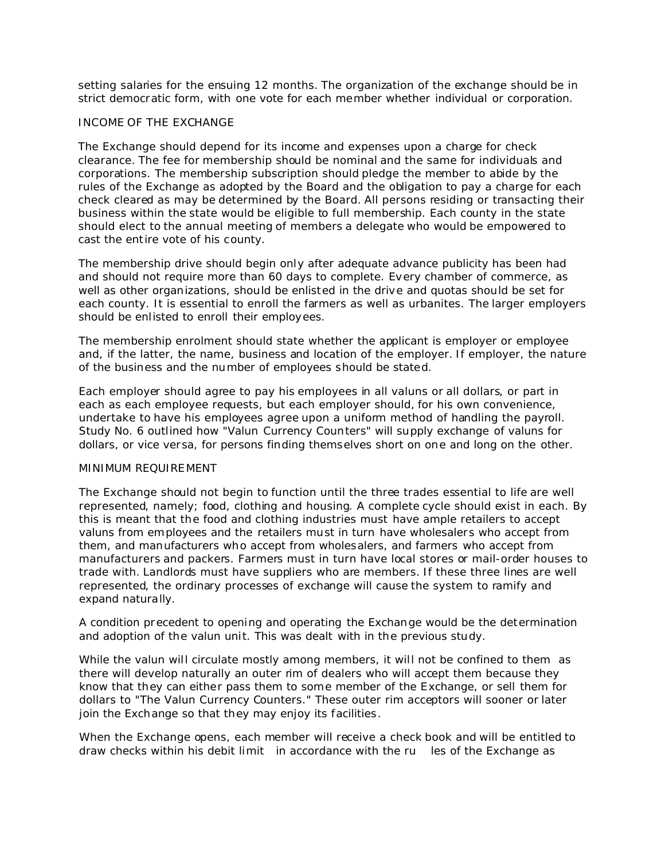setting salaries for the ensuing 12 months. The organization of the exchange should be in strict democratic form, with one vote for each member whether individual or corporation.

### INCOME OF THE EXCHANGE

The Exchange should depend for its income and expenses upon a charge for check clearance. The fee for membership should be nominal and the same for individuals and corporations. The membership subscription should pledge the member to abide by the rules of the Exchange as adopted by the Board and the obligation to pay a charge for each check cleared as may be determined by the Board. All persons residing or transacting their business within the state would be eligible to full membership. Each county in the state should elect to the annual meeting of members a delegate who would be empowered to cast the entire vote of his county.

The membership drive should begin only after adequate advance publicity has been had and should not require more than 60 days to complete. Every chamber of commerce, as well as other organizations, should be enlisted in the drive and quotas should be set for each county. It is essential to enroll the farmers as well as urbanites. The larger employers should be enlisted to enroll their employees.

The membership enrolment should state whether the applicant is employer or employee and, if the latter, the name, business and location of the employer. If employer, the nature of the business and the number of employees should be stated.

Each employer should agree to pay his employees in all valuns or all dollars, or part in each as each employee requests, but each employer should, for his own convenience, undertake to have his employees agree upon a uniform method of handling the payroll. Study No. 6 outlined how "Valun Currency Counters" will supply exchange of valuns for dollars, or vice versa, for persons finding themselves short on one and long on the other.

### MINIMUM REQUIREMENT

The Exchange should not begin to function until the three trades essential to life are well represented, namely; food, clothing and housing. A complete cycle should exist in each. By this is meant that the food and clothing industries must have ample retailers to accept valuns from employees and the retailers must in turn have wholesalers who accept from them, and manufacturers who accept from wholesalers, and farmers who accept from manufacturers and packers. Farmers must in turn have local stores or mail-order houses to trade with. Landlords must have suppliers who are members. If these three lines are well represented, the ordinary processes of exchange will cause the system to ramify and expand naturally.

A condition precedent to opening and operating the Exchange would be the determination and adoption of the valun unit. This was dealt with in the previous study.

While the valun will circulate mostly among members, it will not be confined to them as there will develop naturally an outer rim of dealers who will accept them because they know that they can either pass them to some member of the Exchange, or sell them for dollars to "The Valun Currency Counters." These outer rim acceptors will sooner or later join the Exchange so that they may enjoy its facilities.

When the Exchange opens, each member will receive a check book and will be entitled to draw checks within his debit limit in accordance with the ru les of the Exchange as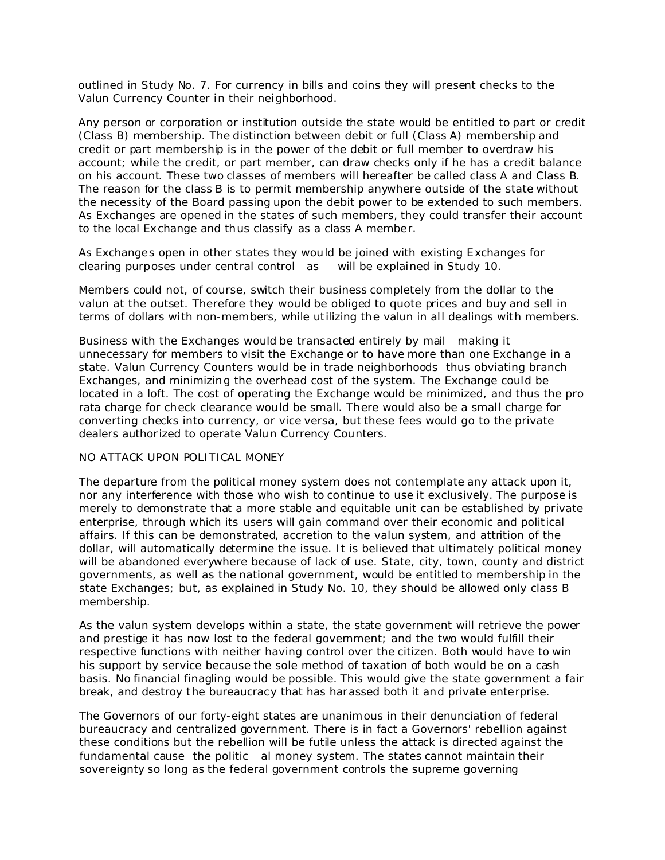outlined in Study No. 7. For currency in bills and coins they will present checks to the Valun Currency Counter in their neighborhood.

Any person or corporation or institution outside the state would be entitled to part or credit (Class B) membership. The distinction between debit or full (Class A) membership and credit or part membership is in the power of the debit or full member to overdraw his account; while the credit, or part member, can draw checks only if he has a credit balance on his account. These two classes of members will hereafter be called class A and Class B. The reason for the class B is to permit membership anywhere outside of the state without the necessity of the Board passing upon the debit power to be extended to such members. As Exchanges are opened in the states of such members, they could transfer their account to the local Exchange and thus classify as a class A member.

As Exchanges open in other states they would be joined with existing Exchanges for clearing purposes under cent ral control as will be explained in Study 10.

Members could not, of course, switch their business completely from the dollar to the valun at the outset. Therefore they would be obliged to quote prices and buy and sell in terms of dollars with non-members, while utilizing the valun in all dealings with members.

Business with the Exchanges would be transacted entirely by mail making it unnecessary for members to visit the Exchange or to have more than one Exchange in a state. Valun Currency Counters would be in trade neighborhoods thus obviating branch Exchanges, and minimizing the overhead cost of the system. The Exchange could be located in a loft. The cost of operating the Exchange would be minimized, and thus the pro rata charge for check clearance would be small. There would also be a small charge for converting checks into currency, or vice versa, but these fees would go to the private dealers authorized to operate Valun Currency Counters.

### NO ATTACK UPON POLITICAL MONEY

The departure from the political money system does not contemplate any attack upon it, nor any interference with those who wish to continue to use it exclusively. The purpose is merely to demonstrate that a more stable and equitable unit can be established by private enterprise, through which its users will gain command over their economic and political affairs. If this can be demonstrated, accretion to the valun system, and attrition of the dollar, will automatically determine the issue. It is believed that ultimately political money will be abandoned everywhere because of lack of use. State, city, town, county and district governments, as well as the national government, would be entitled to membership in the state Exchanges; but, as explained in Study No. 10, they should be allowed only class B membership.

As the valun system develops within a state, the state government will retrieve the power and prestige it has now lost to the federal government; and the two would fulfill their respective functions with neither having control over the citizen. Both would have to win his support by service because the sole method of taxation of both would be on a cash basis. No financial finagling would be possible. This would give the state government a fair break, and destroy the bureaucracy that has harassed both it and private enterprise.

The Governors of our forty-eight states are unanimous in their denunciation of federal bureaucracy and centralized government. There is in fact a Governors' rebellion against these conditions but the rebellion will be futile unless the attack is directed against the fundamental cause the politic al money system. The states cannot maintain their sovereignty so long as the federal government controls the supreme governing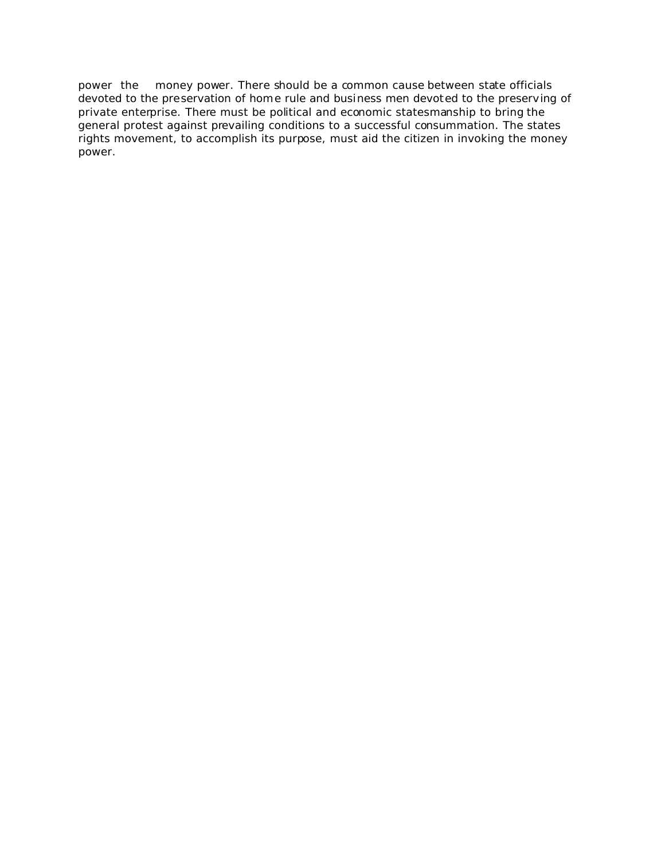power the money power. There should be a common cause between state officials devoted to the preservation of home rule and business men devoted to the preserving of private enterprise. There must be political and economic statesmanship to bring the general protest against prevailing conditions to a successful consummation. The states rights movement, to accomplish its purpose, must aid the citizen in invoking the money power.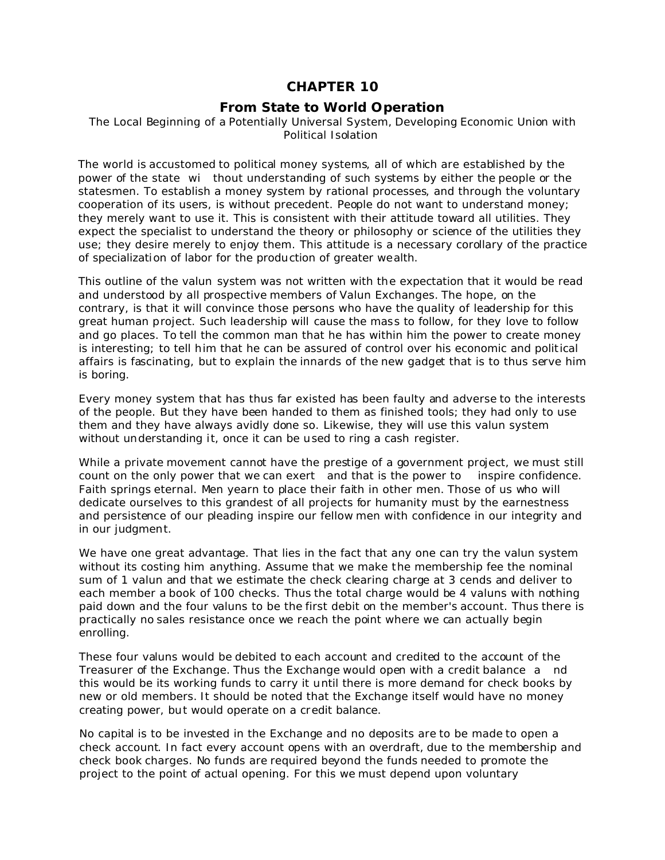# **CHAPTER 10**

## *From State to World Operation*

### The Local Beginning of a Potentially Universal System, Developing Economic Union with Political Isolation

The world is accustomed to political money systems, all of which are established by the power of the state wi thout understanding of such systems by either the people or the statesmen. To establish a money system by rational processes, and through the voluntary cooperation of its users, is without precedent. People do not want to understand money; they merely want to use it. This is consistent with their attitude toward all utilities. They expect the specialist to understand the theory or philosophy or science of the utilities they use; they desire merely to enjoy them. This attitude is a necessary corollary of the practice of specialization of labor for the production of greater wealth.

This outline of the valun system was not written with the expectation that it would be read and understood by all prospective members of Valun Exchanges. The hope, on the contrary, is that it will convince those persons who have the *quality of leadership* for this great human project. Such leadership will cause the mass to follow, for they love to follow and go places. To tell the common man that he has within him the power to create money is interesting; to tell him that he can be assured of control over his economic and political affairs is fascinating, but to explain the innards of the new gadget that is to thus serve him is boring.

Every money system that has thus far existed has been faulty and adverse to the interests of the people. But they have been handed to them as finished tools; they had only to use them and they have always avidly done so. Likewise, they will use this valun system without understanding it, once it can be used to ring a cash register.

While a private movement cannot have the prestige of a government project, we must still count on the only power that we can exert and that is the power to inspire confidence. Faith springs eternal. Men yearn to place their faith in other men. Those of us who will dedicate ourselves to this grandest of all projects for humanity must by the earnestness and persistence of our pleading inspire our fellow men with confidence in our integrity and in our judgment.

We have one great advantage. That lies in the fact that any one can try the valun system without its costing him anything. Assume that we make the membership fee the nominal sum of 1 valun and that we estimate the check clearing charge at 3 cends and deliver to each member a book of 100 checks. Thus the total charge would be 4 valuns with nothing paid down and the four valuns to be the first debit on the member's account. Thus there is practically no sales resistance once we reach the point where we can actually begin enrolling.

These four valuns would be debited to each account and credited to the account of the Treasurer of the Exchange. Thus the Exchange would open with a credit balance a nd this would be its working funds to carry it until there is more demand for check books by new or old members. It should be noted that the Exchange itself would have no money creating power, but would operate on a credit balance.

No capital is to be invested in the Exchange and no deposits are to be made to open a check account. In fact every account opens with an overdraft, due to the membership and check book charges. No funds are required beyond the funds needed to promote the project to the point of actual opening. For this we must depend upon voluntary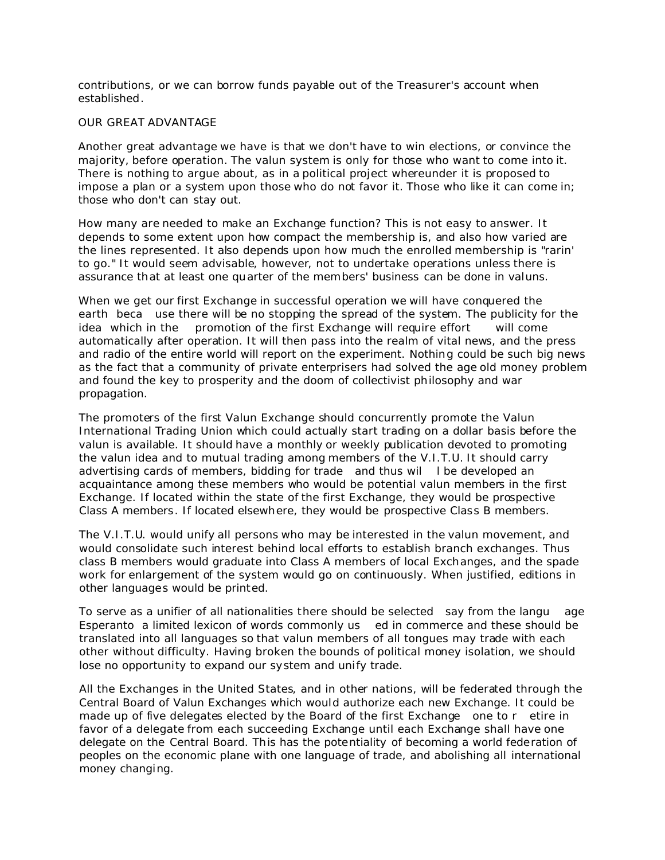contributions, or we can borrow funds payable out of the Treasurer's account when established.

# OUR GREAT ADVANTAGE

Another great advantage we have is that we don't have to win elections, or convince the majority, before operation. The valun system is only for those who want to come into it. There is nothing to argue about, as in a political project whereunder it is proposed to impose a plan or a system upon those who do not favor it. Those who like it can come in; those who don't can stay out.

How many are needed to make an Exchange function? This is not easy to answer. It depends to some extent upon how compact the membership is, and also how varied are the lines represented. It also depends upon how much the enrolled membership is "rarin' to go." It would seem advisable, however, not to undertake operations unless there is assurance that at least one quarter of the members' business can be done in valuns.

When we get our first Exchange in successful operation we will have conquered the earth beca use there will be no stopping the spread of the system. The publicity for the idea which in the promotion of the first Exchange will require effort will come automatically after operation. It will then pass into the realm of vital news, and the press and radio of the entire world will report on the experiment. Nothing could be such big news as the fact that a community of private enterprisers had solved the age old money problem and found the key to prosperity and the doom of collectivist philosophy and war propagation.

The promoters of the first Valun Exchange should concurrently promote the Valun International Trading Union which could actually start trading on a dollar basis before the valun is available. It should have a monthly or weekly publication devoted to promoting the valun idea and to mutual trading among members of the V.I.T.U. It should carry advertising cards of members, bidding for trade and thus wil l be developed an acquaintance among these members who would be potential valun members in the first Exchange. If located within the state of the first Exchange, they would be prospective Class A members. If located elsewhere, they would be prospective Class B members.

The V.I.T.U. would unify all persons who may be interested in the valun movement, and would consolidate such interest behind local efforts to establish branch exchanges. Thus class B members would graduate into Class A members of local Exchanges, and the spade work for enlargement of the system would go on continuously. When justified, editions in other languages would be printed.

To serve as a unifier of all nationalities there should be selected say from the langu age Esperanto a limited lexicon of words commonly us ed in commerce and these should be translated into all languages so that valun members of all tongues may trade with each other without difficulty. Having broken the bounds of political money isolation, we should lose no opportunity to expand our system and unify trade.

All the Exchanges in the United States, and in other nations, will be federated through the Central Board of Valun Exchanges which would authorize each new Exchange. It could be made up of five delegates elected by the Board of the first Exchange one to r etire in favor of a delegate from each succeeding Exchange until each Exchange shall have one delegate on the Central Board. This has the potentiality of becoming a world federation of peoples on the economic plane with one language of trade, and abolishing all international money changing.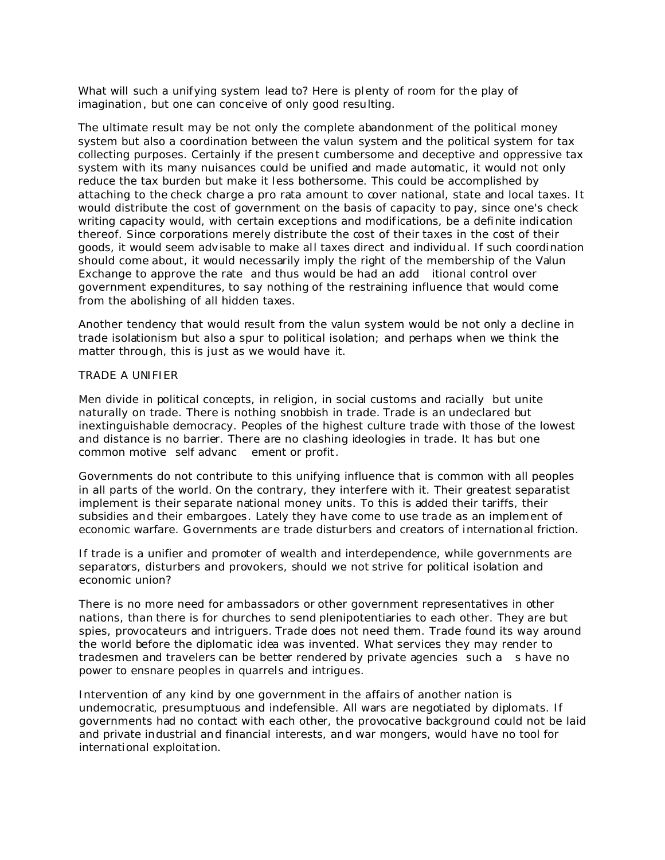What will such a unifying system lead to? Here is plenty of room for the play of imagination, but one can conceive of only good resulting.

The ultimate result may be not only the complete abandonment of the political money system but also a coordination between the valun system and the political system for tax collecting purposes. Certainly if the present cumbersome and deceptive and oppressive tax system with its many nuisances could be unified and made automatic, it would not only reduce the tax burden but make it less bothersome. This could be accomplished by attaching to the check charge a pro rata amount to cover national, state and local taxes. It would distribute the cost of government on the basis of capacity to pay, since one's check writing capacity would, with certain exceptions and modifications, be a definite indication thereof. Since corporations merely distribute the cost of their taxes in the cost of their goods, it would seem advisable to make all taxes direct and individual. If such coordination should come about, it would necessarily imply the right of the membership of the Valun Exchange to approve the rate and thus would be had an add itional control over government expenditures, to say nothing of the restraining influence that would come from the abolishing of all hidden taxes.

Another tendency that would result from the valun system would be not only a decline in trade isolationism but also a spur to political isolation; and perhaps when we think the matter through, this is just as we would have it.

#### TRADE A UNIFIER

Men divide in political concepts, in religion, in social customs and racially but unite naturally on trade. There is nothing snobbish in trade. Trade is an undeclared but inextinguishable democracy. Peoples of the highest culture trade with those of the lowest and distance is no barrier. There are no clashing ideologies in trade. It has but one common motive self advanc ement or profit.

Governments do not contribute to this unifying influence that is common with all peoples in all parts of the world. On the contrary, they interfere with it. Their greatest separatist implement is their separate national money units. To this is added their tariffs, their subsidies and their embargoes. Lately they have come to use trade as an implement of economic warfare. Governments are trade disturbers and creators of international friction.

If trade is a unifier and promoter of wealth and interdependence, while governments are separators, disturbers and provokers, should we not strive for political isolation and economic union?

There is no more need for ambassadors or other government representatives in other nations, than there is for churches to send plenipotentiaries to each other. They are but spies, provocateurs and intriguers. Trade does not need them. Trade found its way around the world before the diplomatic idea was invented. What services they may render to tradesmen and travelers can be better rendered by private agencies such a s have no power to ensnare peoples in quarrels and intrigues.

Intervention of any kind by one government in the affairs of another nation is undemocratic, presumptuous and indefensible. All wars are negotiated by diplomats. If governments had no contact with each other, the provocative background could not be laid and private industrial and financial interests, and war mongers, would have no tool for international exploitation.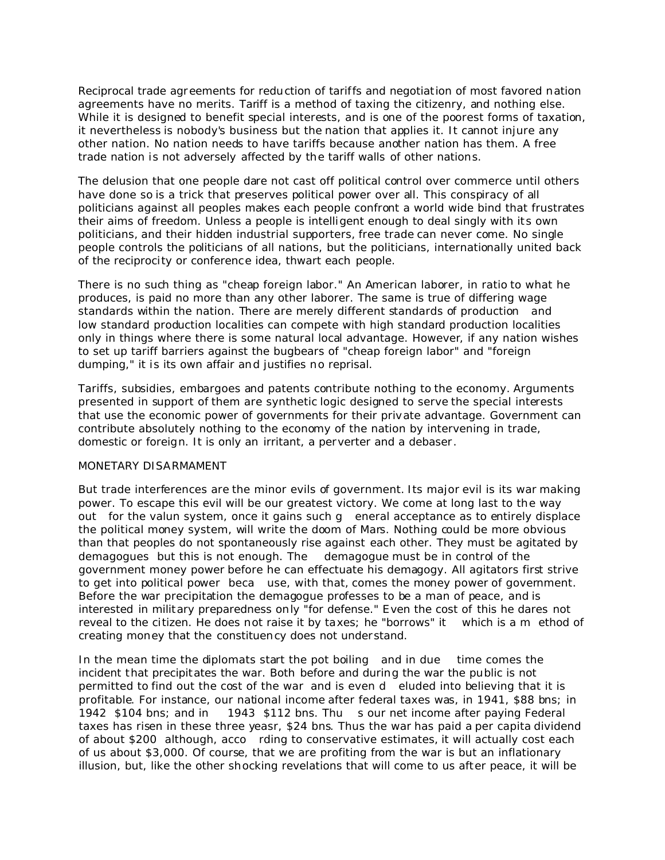Reciprocal trade agreements for reduction of tariffs and negotiation of most favored nation agreements have no merits. Tariff is a method of taxing the citizenry, and nothing else. While it is designed to benefit special interests, and is one of the poorest forms of taxation, it nevertheless is nobody's business but the nation that applies it. It cannot injure any other nation. No nation needs to have tariffs because another nation has them. A free trade nation is not adversely affected by the tariff walls of other nations.

The delusion that one people dare not cast off political control over commerce until others have done so is a trick that preserves political power over all. This conspiracy of all politicians against all peoples makes each people confront a world wide bind that frustrates their aims of freedom. Unless a people is intelligent enough to deal singly with its own politicians, and their hidden industrial supporters, free trade can never come. No single people controls the politicians of all nations, but the politicians, internationally united back of the reciprocity or conference idea, thwart each people.

There is no such thing as "cheap foreign labor." An American laborer, in ratio to what he produces, is paid no more than any other laborer. The same is true of differing wage standards within the nation. There are merely different standards of production and low standard production localities can compete with high standard production localities only in things where there is some natural local advantage. However, if any nation wishes to set up tariff barriers against the bugbears of "cheap foreign labor" and "foreign dumping," it is its own affair and justifies no reprisal.

Tariffs, subsidies, embargoes and patents contribute nothing to the economy. Arguments presented in support of them are synthetic logic designed to serve the special interests that use the economic power of governments for their private advantage. Government can contribute absolutely nothing to the economy of the nation by intervening in trade, domestic or foreign. It is only an irritant, a perverter and a debaser.

## MONETARY DISARMAMENT

But trade interferences are the minor evils of government. Its major evil is its war making power. To escape this evil will be our greatest victory. We come at long last to the way out for the valun system, once it gains such g eneral acceptance as to entirely displace the political money system, will write the doom of Mars. Nothing could be more obvious than that peoples do not spontaneously rise against each other. They must be agitated by demagogues but this is not enough. The demagogue *must be in control of the government money power* before he can effectuate his demagogy. All agitators first strive to get into political power beca use, with that, comes the money power of government. Before the war precipitation the demagogue professes to be a man of peace, and is interested in military preparedness only "for defense." Even the cost of this he dares not reveal to the citizen. He does not raise it by taxes; he "borrows" it which is a m ethod of creating money that the constituency does not understand.

In the mean time the diplomats start the pot boiling and in due time comes the incident that precipitates the war. Both before and during the war the public is not permitted to find out the cost of the war and is even d eluded into believing that it is profitable. For instance, our national income after federal taxes was, in 1941, \$88 bns; in 1942 \$104 bns; and in 1943 \$112 bns. Thu s our net income after paying Federal taxes has risen in these three yeasr, \$24 bns. Thus the war has paid a per capita dividend of about \$200 although, acco rding to conservative estimates, it will actually cost each of us about \$3,000. Of course, that we are profiting from the war is but an inflationary illusion, but, like the other shocking revelations that will come to us after peace, it will be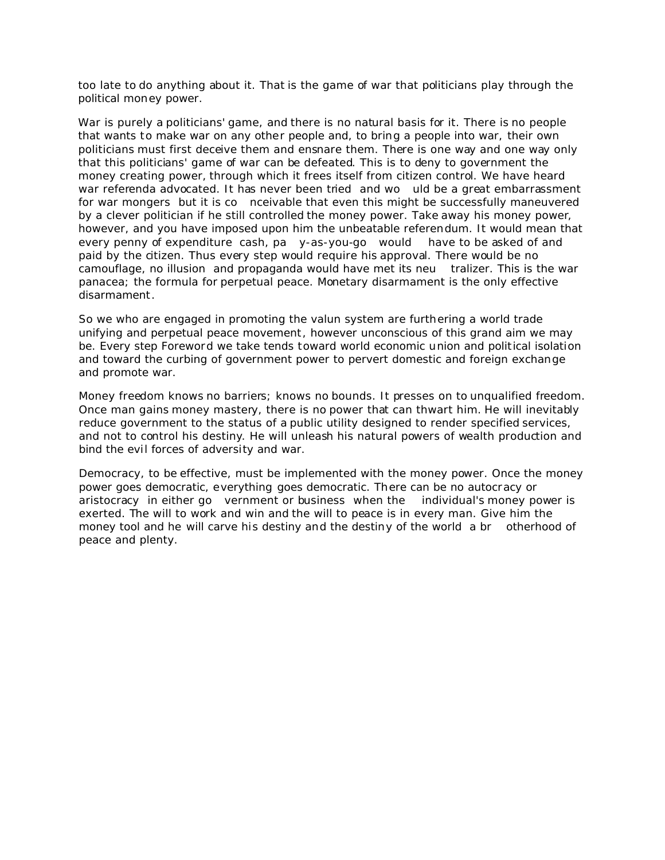too late to do anything about it. That is the game of war that politicians play through the political money power.

War is purely a politicians' game, and there is no natural basis for it. There is no people that wants to make war on any other people and, to bring a people into war, *their own politicians* must first deceive them and ensnare them. There is one way and one way only that this politicians' game of war can be defeated. This is to deny to government the money creating power, through which it frees itself from citizen control. We have heard war referenda advocated. It has never been tried and wo uld be a great embarrassment for war mongers but it is co nceivable that even this might be successfully maneuvered by a clever politician if he still controlled the money power. Take away his money power, however, and you have imposed upon him the unbeatable referendum. It would mean that every penny of expenditure cash, pa y-as-you-go would have to be asked of and paid by the citizen. Thus every step would require his approval. There would be no camouflage, no illusion and propaganda would have met its neu tralizer. This is the war panacea; the formula for perpetual peace. Monetary disarmament is the only effective disarmament.

So we who are engaged in promoting the valun system are furthering a world trade unifying and perpetual peace movement, however unconscious of this grand aim we may be. Every step Foreword we take tends toward world economic union and political isolation and toward the curbing of government power to pervert domestic and foreign exchange and promote war.

Money freedom knows no barriers; knows no bounds. It presses on to unqualified freedom. Once man gains money mastery, there is no power that can thwart him. He will inevitably reduce government to the status of a public utility designed to render specified services, and not to control his destiny. He will unleash his natural powers of wealth production and bind the evil forces of adversity and war.

Democracy, to be effective, must be implemented with the money power. Once the money power goes democratic, everything goes democratic. There can be no autocracy or aristocracy in either go vernment or business when the individual's money power is exerted. The will to work and win and the will to peace is in every man. Give him the money tool and he will carve his destiny and the destiny of the world a br otherhood of peace and plenty.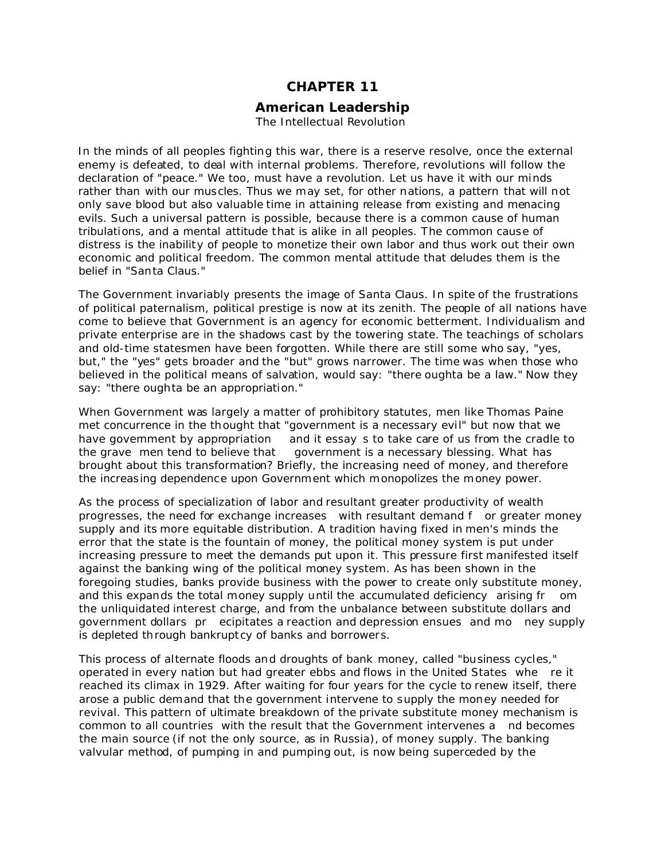# **CHAPTER 11**

#### *American Leadership* The Intellectual Revolution

In the minds of all peoples fighting this war, there is a reserve resolve, once the external enemy is defeated, to deal with internal problems. Therefore, revolutions will follow the declaration of "peace." We too, must have a revolution. Let us have it with our minds rather than with our muscles. Thus we may set, for other nations, a pattern that will not only save blood but also valuable time in attaining release from existing and menacing evils. Such a universal pattern is possible, because there is a common cause of human tribulations, and a mental attitude that is alike in all peoples. The common cause of distress is the inability of people to monetize their own labor and thus work out their own economic and political freedom. The common mental attitude that deludes them is the belief in "Santa Claus."

The Government invariably presents the image of Santa Claus. In spite of the frustrations of political paternalism, political prestige is now at its zenith. The people of all nations have come to believe that Government is an agency for economic betterment. Individualism and private enterprise are in the shadows cast by the towering state. The teachings of scholars and old-time statesmen have been forgotten. While there are still some who say, "yes, but," the "yes" gets broader and the "but" grows narrower. The time was when those who believed in the political means of salvation, would say: "there oughta be a law." Now they say: "there oughta be an appropriation."

When Government was largely a matter of prohibitory statutes, men like Thomas Paine met concurrence in the thought that "government is a necessary evil" but now that we have government by appropriation and it essay s to take care of us from the cradle to the grave men tend to believe that government is a necessary blessing. What has brought about this transformation? Briefly, the increasing need of money, and therefore the increasing dependence upon Government which monopolizes the money power.

As the process of specialization of labor and resultant greater productivity of wealth progresses, the need for exchange increases with resultant demand f or greater money supply and its more equitable distribution. A tradition having fixed in men's minds the error that the state is the fountain of money, the political money system is put under increasing pressure to meet the demands put upon it. This pressure first manifested itself against the banking wing of the political money system. As has been shown in the foregoing studies, banks provide business with the power to create only substitute money, and this expands the total money supply until the accumulated deficiency arising fr om the unliquidated interest charge, and from the unbalance between substitute dollars and government dollars pr ecipitates a reaction and depression ensues and mo ney supply is depleted through bankruptcy of banks and borrowers.

This process of alternate floods and droughts of bank money, called "business cycles," operated in every nation but had greater ebbs and flows in the United States whe re it reached its climax in 1929. After waiting for four years for the cycle to renew itself, there arose a public demand that the government intervene to supply the money needed for revival. This pattern of ultimate breakdown of the private substitute money mechanism is common to all countries with the result that the Government intervenes a nd becomes the main source (if not the only source, as in Russia), of money supply. The banking valvular method, of pumping in and pumping out, is now being superceded by the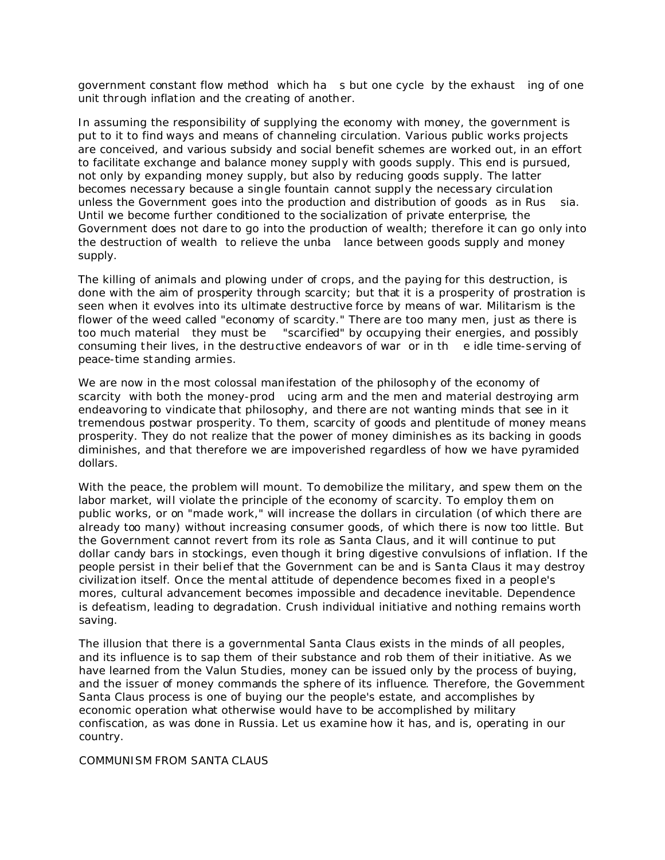government constant flow method which ha s but one cycle by the exhaust ing of one unit through inflation and the creating of another.

In assuming the responsibility of supplying the economy with money, the government is put to it to find ways and means of channeling circulation. Various public works projects are conceived, and various subsidy and social benefit schemes are worked out, in an effort to facilitate exchange and balance money supply with goods supply. This end is pursued, not only by expanding money supply, but also by reducing goods supply. The latter becomes necessary because a single fountain cannot supply the necessary circulation unless the Government goes into the production and distribution of goods as in Rus sia. Until we become further conditioned to the socialization of private enterprise, the Government does not dare to go into the production of wealth; therefore it can go only into the destruction of wealth to relieve the unba lance between goods supply and money supply.

The killing of animals and plowing under of crops, and the paying for this destruction, is done with the aim of prosperity through scarcity; but that it is a prosperity of prostration is seen when it evolves into its ultimate destructive force by means of war. Militarism is the flower of the weed called "economy of scarcity." There are too many men, just as there is too much material they must be "scarcified" by occupying their energies, and possibly consuming their lives, in the destructive endeavors of war or in th e idle time-serving of peace-time standing armies.

We are now in the most colossal manifestation of the philosophy of the economy of scarcity with both the money-prod ucing arm and the men and material destroying arm endeavoring to vindicate that philosophy, and there are not wanting minds that see in it tremendous postwar prosperity. To them, scarcity of goods and plentitude of money means prosperity. They do not realize that the power of money diminishes as its backing in goods diminishes, and that therefore we are impoverished regardless of how we have pyramided dollars.

With the peace, the problem will mount. To demobilize the military, and spew them on the labor market, will violate the principle of the economy of scarcity. To employ them on public works, or on "made work," will increase the dollars in circulation (of which there are already too many) without increasing consumer goods, of which there is now too little. But the Government cannot revert from its role as Santa Claus, and it will continue to put dollar candy bars in stockings, even though it bring digestive convulsions of inflation. If the people persist in their belief that the Government can be and is Santa Claus it may destroy civilization itself. Once the mental attitude of dependence becomes fixed in a people's mores, cultural advancement becomes impossible and decadence inevitable. Dependence is defeatism, leading to degradation. Crush individual initiative and nothing remains worth saving.

The illusion that there is a governmental Santa Claus exists in the minds of all peoples, and its influence is to sap them of their substance and rob them of their initiative. As we have learned from the Valun Studies, money can be issued only by the process of buying, and the issuer of money commands the sphere of its influence. Therefore, the Government Santa Claus process is one of buying our the people's estate, and accomplishes by economic operation what otherwise would have to be accomplished by military confiscation, as was done in Russia. Let us examine how it has, and is, operating in our country.

## COMMUNISM FROM SANTA CLAUS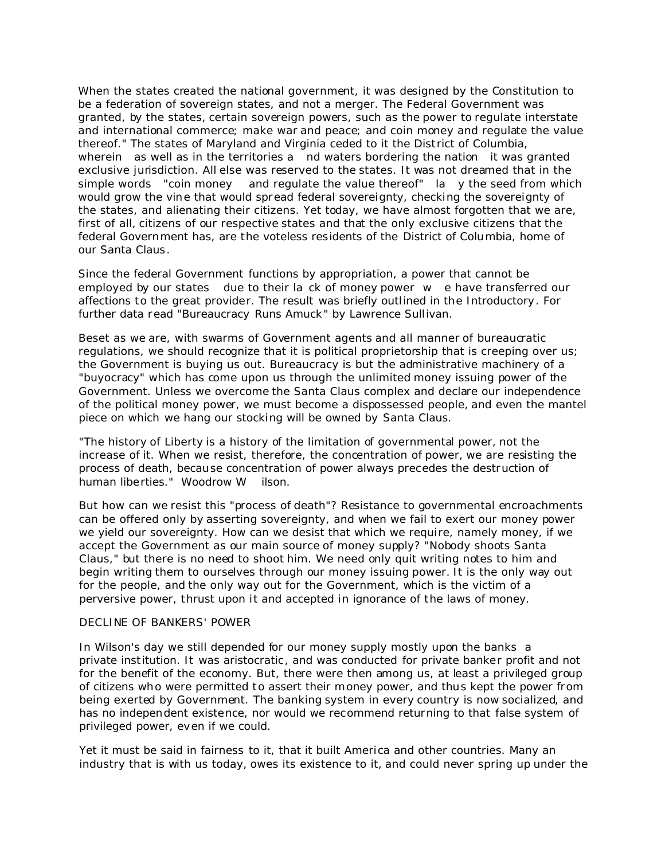When the states created the national government, it was designed by the Constitution to be a federation of sovereign states, and not a merger. The Federal Government was granted, by the states, certain sovereign powers, such as the power to regulate interstate and international commerce; make war and peace; and coin money and regulate the value thereof." The states of Maryland and Virginia ceded to it the Dist rict of Columbia, wherein as well as in the territories a nd waters bordering the nation it was granted exclusive jurisdiction. All else was reserved to the states. It was not dreamed that in the simple words "coin money and regulate the value thereof" Ia y the seed from which would grow the vine that would spread federal sovereignty, checking the sovereignty of the states, and alienating their citizens. Yet today, we have almost forgotten that we are, first of all, citizens of our respective states and that the only exclusive citizens that the federal Government has, are the voteless residents of the District of Columbia, home of our Santa Claus.

Since the federal Government functions by appropriation, a power that cannot be employed by our states due to their la ck of money power w e have transferred our affections to the great provider. The result was briefly outlined in the Introductory. For further data read "Bureaucracy Runs Amuck" by Lawrence Sullivan.

Beset as we are, with swarms of Government agents and all manner of bureaucratic regulations, we should recognize that it is political proprietorship that is creeping over us; the Government is buying us out. Bureaucracy is but the administrative machinery of a "buyocracy" which has come upon us through the unlimited money issuing power of the Government. Unless we overcome the Santa Claus complex and declare our independence of the political money power, we must become a dispossessed people, and even the mantel piece on which we hang our stocking will be owned by Santa Claus.

"The history of Liberty is a history of the limitation of governmental power, not the increase of it. When we resist, therefore, the concentration of power, we are resisting the process of death, because concentration of power always precedes the destruction of human liberties." Woodrow W ilson.

But how can we resist this "process of death"? Resistance to governmental encroachments can be offered only by asserting sovereignty, and when we fail to exert our money power we yield our sovereignty. How can we desist that which we require, namely money, if we accept the Government as our main source of money supply? "Nobody shoots Santa Claus," but there is no need to shoot him. We need only quit writing notes to him and begin writing them to ourselves through our money issuing power. It is the only way out for the people, and the only way out for the Government, which is the victim of a perversive power, thrust upon it and accepted in ignorance of the laws of money.

#### DECLINE OF BANKERS' POWER

In Wilson's day we still depended for our money supply mostly upon the banks a private institution. It was aristocratic, and was conducted for private banker profit and not for the benefit of the economy. But, there were then among us, at least a privileged group of citizens who were permitted to assert their money power, and thus kept the power from being exerted by Government. The banking system in every country is now socialized, and has no independent existence, nor would we recommend returning to that false system of privileged power, even if we could.

Yet it must be said in fairness to it, that it built America and other countries. Many an industry that is with us today, owes its existence to it, and could never spring up under the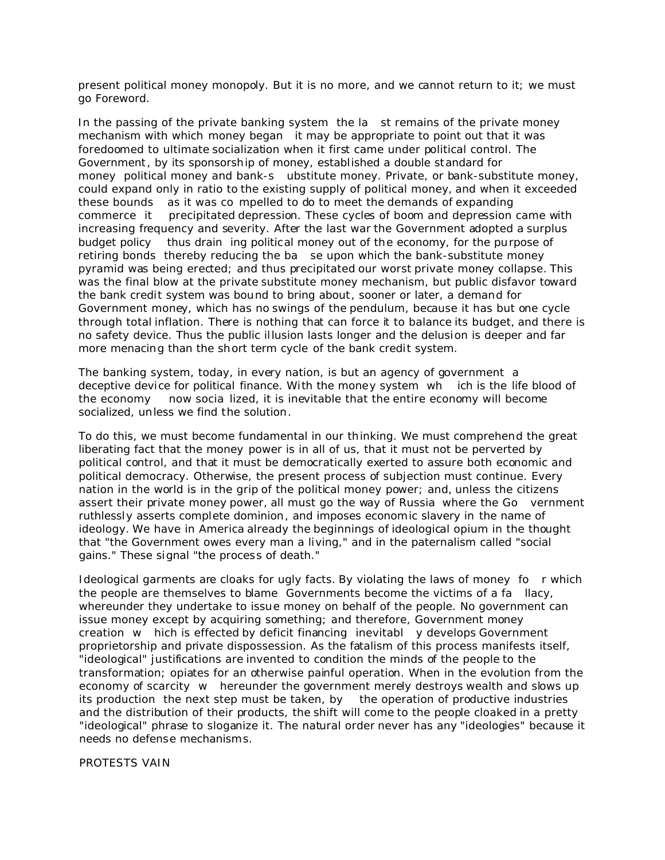present political money monopoly. But it is no more, and we cannot return to it; we must go Foreword.

In the passing of the private banking system the la st remains of the private money mechanism with which money began it may be appropriate to point out that it was foredoomed to ultimate socialization when it first came under political control. The Government, by its sponsorship of money, established a double standard for money political money and bank-s ubstitute money. Private, or bank-substitute money, could expand only in ratio to the existing supply of political money, and when it exceeded these bounds as it was co mpelled to do to meet the demands of expanding commerce it precipitated depression. These cycles of boom and depression came with increasing frequency and severity. After the last war the Government adopted a surplus budget policy thus drain ing political money out of the economy, for the purpose of retiring bonds thereby reducing the ba se upon which the bank-substitute money pyramid was being erected; and thus precipitated our worst private money collapse. This was the final blow at the private substitute money mechanism, but public disfavor toward the bank credit system was bound to bring about, sooner or later, a demand for Government money, which has no swings of the pendulum, because it has but one cycle through total inflation. There is nothing that can force it to balance its budget, and there is no safety device. Thus the public illusion lasts longer and the delusion is deeper and far more menacing than the short term cycle of the bank credit system.

The banking system, today, in every nation, is but an agency of government a deceptive device for political finance. With the money system wh ich is the life blood of the economy now socia lized, it is inevitable that the entire economy will become socialized, unless we find the solution.

To do this, we must become fundamental in our thinking. We must comprehend the great liberating fact that the money power is in all of us, that it must not be perverted by political control, and that it must be democratically exerted to assure both economic and political democracy. Otherwise, the present process of subjection must continue. Every nation in the world is in the grip of the political money power; and, unless the citizens assert their private money power, all must go the way of Russia where the Go vernment ruthlessly asserts complete dominion, and imposes economic slavery in the name of ideology. We have in America already the beginnings of ideological opium in the thought that "the Government owes every man a living," and in the paternalism called "social gains." These signal "the process of death."

Ideological garments are cloaks for ugly facts. By violating the laws of money fo r which the people are themselves to blame Governments become the victims of a fa llacy, whereunder they undertake to issue money on behalf of the people. No government can issue money except by acquiring something; and therefore, Government money creation w hich is effected by deficit financing inevitabl y develops Government proprietorship and private dispossession. As the fatalism of this process manifests itself, "ideological" justifications are invented to condition the minds of the people to the transformation; opiates for an otherwise painful operation. When in the evolution from the economy of scarcity w hereunder the government merely destroys wealth and slows up its production the next step must be taken, by the operation of productive industries and the distribution of their products, the shift will come to the people cloaked in a pretty "ideological" phrase to sloganize it. The natural order never has any "ideologies" because it needs no defense mechanisms.

PROTESTS VAIN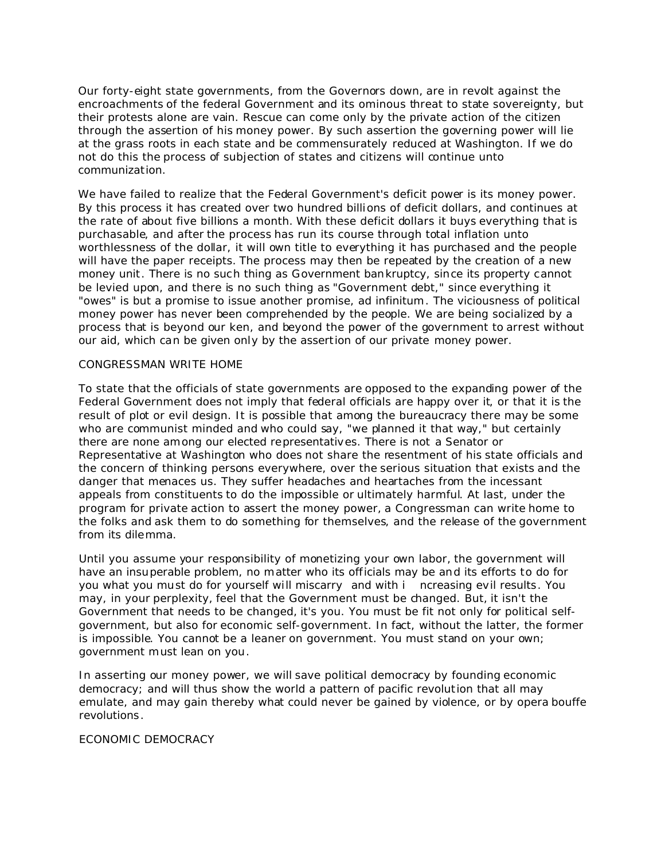Our forty-eight state governments, from the Governors down, are in revolt against the encroachments of the federal Government and its ominous threat to state sovereignty, but their protests alone are vain. Rescue can come only by the private action of the citizen through the assertion of his money power. By such assertion the governing power will lie at the grass roots in each state and be commensurately reduced at Washington. If we do not do this the process of subjection of states and citizens will continue unto communization.

We have failed to realize that the Federal Government's deficit power is its money power. By this process it has created over two hundred billions of deficit dollars, and continues at the rate of about five billions a month. With these deficit dollars it buys everything that is purchasable, and after the process has run its course through total inflation unto worthlessness of the dollar, it will own title to everything it has purchased and the people will have the paper receipts. The process may then be repeated by the creation of a new money unit. There is no such thing as Government bankruptcy, since its property cannot be levied upon, and there is no such thing as "Government debt," since everything it "owes" is but a promise to issue another promise, ad infinitum. The viciousness of political money power has never been comprehended by the people. We are being socialized by a process that is beyond our ken, and beyond the power of the government to arrest without our aid, which can be given only by the assertion of our private money power.

## CONGRESSMAN WRITE HOME

To state that the officials of state governments are opposed to the expanding power of the Federal Government does not imply that federal officials are happy over it, or that it is the result of plot or evil design. It is possible that among the bureaucracy there may be some who are communist minded and who could say, "we planned it that way," but certainly there are none among our elected representatives. There is not a Senator or Representative at Washington who does not share the resentment of his state officials and the concern of thinking persons everywhere, over the serious situation that exists and the danger that menaces us. They suffer headaches and heartaches from the incessant appeals from constituents to do the impossible or ultimately harmful. At last, under the program for private action to assert the money power, a Congressman can write home to the folks and ask them to do something for themselves, and the release of the government from its dilemma.

Until you assume your responsibility of monetizing your own labor, the government will have an insuperable problem, no matter who its officials may be and its efforts to do for you what you must do for yourself will miscarry and with i ncreasing evil results. You may, in your perplexity, feel that the Government must be changed. But, it isn't the Government that needs to be changed, it's you. You must be fit not only for political selfgovernment, but also for economic self-government. In fact, without the latter, the former is impossible. You cannot be a leaner on government. You must stand on your own; government must lean on you.

In asserting our money power, we will save political democracy by founding economic democracy; and will thus show the world a pattern of pacific revolution that all may emulate, and may gain thereby what could never be gained by violence, or by opera bouffe revolutions.

#### ECONOMIC DEMOCRACY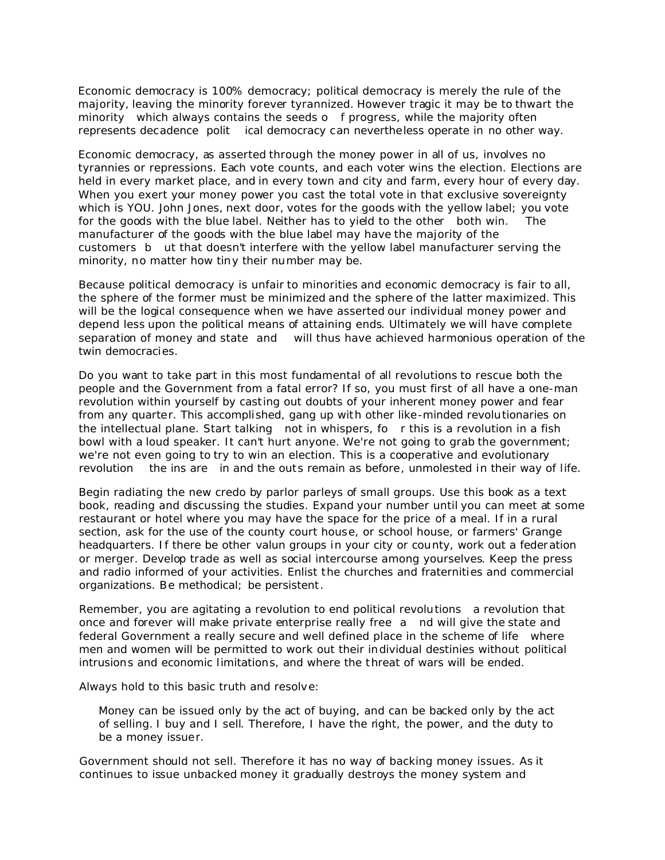Economic democracy is 100% democracy; political democracy is merely the rule of the majority, leaving the minority forever tyrannized. However tragic it may be to thwart the minority which always contains the seeds o f progress, while the majority often represents decadence polit ical democracy can nevertheless operate in no other way.

Economic democracy, as asserted through the money power in all of us, involves no tyrannies or repressions. Each vote counts, and each voter wins the election. Elections are held in every market place, and in every town and city and farm, every hour of every day. When you exert your money power you cast the total vote in that exclusive sovereignty which is YOU. John Jones, next door, votes for the goods with the yellow label; you vote for the goods with the blue label. Neither has to yield to the other both win. The manufacturer of the goods with the blue label may have the majority of the customers b ut that doesn't interfere with the yellow label manufacturer serving the minority, no matter how tiny their number may be.

Because political democracy is unfair to minorities and economic democracy is fair to all, the sphere of the former must be minimized and the sphere of the latter maximized. This will be the logical consequence when we have asserted our individual money power and depend less upon the political means of attaining ends. Ultimately we will have complete separation of money and state and will thus have achieved harmonious operation of the twin democracies.

Do you want to take part in this most fundamental of all revolutions to rescue both the people and the Government from a fatal error? If so, you must first of all have a one-man revolution within yourself by casting out doubts of your inherent money power and fear from any quarter. This accomplished, gang up with other like-minded revolutionaries on the intellectual plane. Start talking not in whispers, fo r this is a revolution in a fish bowl with a loud speaker. It can't hurt anyone. We're not going to grab the government; we're not even going to try to win an election. This is a cooperative and evolutionary revolution the ins are in and the outs remain as before, unmolested in their way of life.

Begin radiating the new credo by parlor parleys of small groups. Use this book as a text book, reading and discussing the studies. Expand your number until you can meet at some restaurant or hotel where you may have the space for the price of a meal. If in a rural section, ask for the use of the county court house, or school house, or farmers' Grange headquarters. If there be other valun groups in your city or county, work out a federation or merger. Develop trade as well as social intercourse among yourselves. Keep the press and radio informed of your activities. Enlist the churches and fraternities and commercial organizations. Be methodical; be persistent.

Remember, you are agitating a revolution to end political revolutions a revolution that once and forever will make private enterprise really free a nd will give the state and federal Government a really secure and well defined place in the scheme of life where men and women will be permitted to work out their individual destinies without political intrusions and economic limitations, and where the threat of wars will be ended.

Always hold to this basic truth and resolve:

Money can be issued only by the act of buying, and can be backed only by the act of selling. I buy and I sell. Therefore, I have the right, the power, and the duty to be a money issuer.

Government should not sell. Therefore it has no way of backing money issues. As it continues to issue unbacked money it gradually destroys the money system and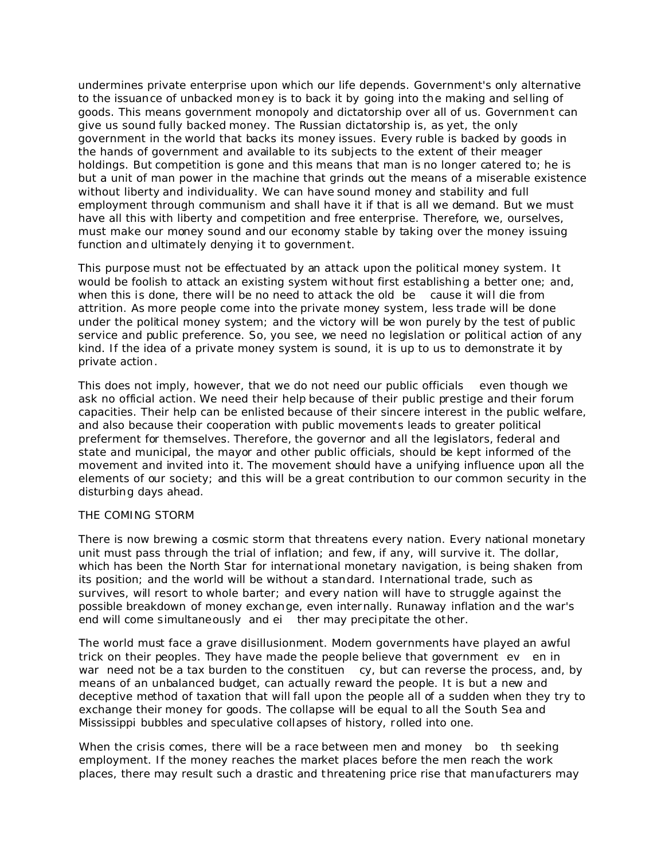undermines private enterprise upon which our life depends. Government's only alternative to the issuance of unbacked money is to back it by going into the making and selling of goods. This means government monopoly and dictatorship over all of us. Government can give us sound fully backed money. The Russian dictatorship is, as yet, the only government in the world that backs its money issues. Every ruble is backed by goods in the hands of government and available to its subjects to the extent of their meager holdings. But competition is gone and this means that man is no longer catered to; he is but a unit of man power in the machine that grinds out the means of a miserable existence without liberty and individuality. We can have sound money and stability and full employment through communism and shall have it if that is all we demand. But we must have all this with liberty and competition and free enterprise. Therefore, we, ourselves, must make our money sound and our economy stable by taking over the money issuing function and ultimately denying it to government.

This purpose must not be effectuated by an attack upon the political money system. It would be foolish to attack an existing system without first establishing a better one; and, when this is done, there will be no need to attack the old be cause it will die from attrition. As more people come into the private money system, less trade will be done under the political money system; and the victory will be won purely by the test of public service and public preference. So, you see, we need no legislation or political action of any kind. If the idea of a private money system is sound, it is up to us to demonstrate it by private action.

This does not imply, however, that we do not need our public officials even though we ask no official action. We need their help because of their public prestige and their forum capacities. Their help can be enlisted because of their sincere interest in the public welfare, and also because their cooperation with public movements leads to greater political preferment for themselves. Therefore, the governor and all the legislators, federal and state and municipal, the mayor and other public officials, should be kept informed of the movement and invited into it. The movement should have a unifying influence upon all the elements of our society; and this will be a great contribution to our common security in the disturbing days ahead.

## THE COMING STORM

There is now brewing a cosmic storm that threatens every nation. Every national monetary unit must pass through the trial of inflation; and few, if any, will survive it. The dollar, which has been the North Star for international monetary navigation, is being shaken from its position; and the world will be without a standard. International trade, such as survives, will resort to whole barter; and every nation will have to struggle against the possible breakdown of money exchange, even internally. Runaway inflation and the war's end will come simultaneously and ei ther may precipitate the other.

The world must face a grave disillusionment. Modern governments have played an awful trick on their peoples. They have made the people believe that government ev en in war need not be a tax burden to the constituen cy, but can reverse the process, and, by means of an unbalanced budget, can actually reward the people. It is but a new and deceptive method of taxation that will fall upon the people all of a sudden when they try to exchange their money for goods. The collapse will be equal to all the South Sea and Mississippi bubbles and speculative collapses of history, rolled into one.

When the crisis comes, there will be a race between men and money bo th seeking employment. If the money reaches the market places before the men reach the work places, there may result such a drastic and threatening price rise that manufacturers may